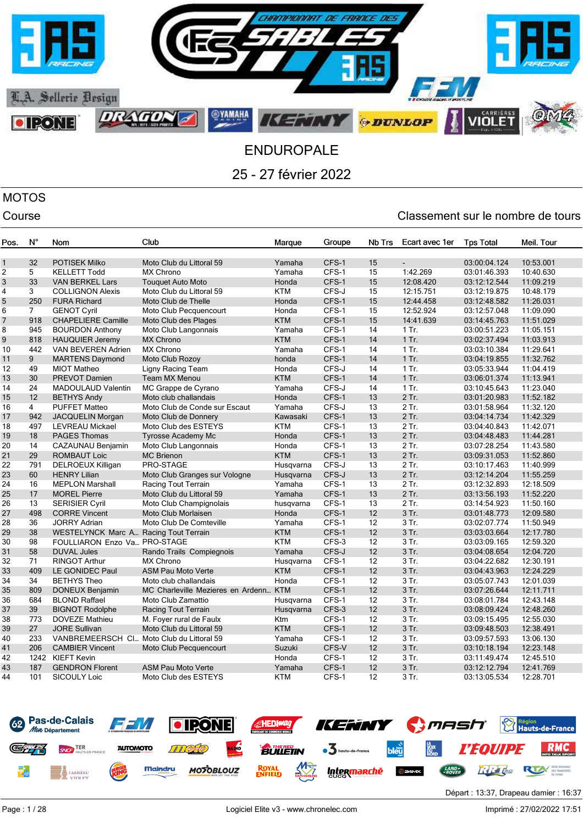

# MOTOS

| Pos.           | $N^{\circ}$    | Nom                                          | Club                                  | Marque     | Groupe | Nb Trs | Ecart avec 1er | <b>Tps Total</b> | Meil. Tour |
|----------------|----------------|----------------------------------------------|---------------------------------------|------------|--------|--------|----------------|------------------|------------|
|                |                |                                              |                                       |            |        |        |                |                  |            |
| $\mathbf{1}$   | 32             | <b>POTISEK Milko</b>                         | Moto Club du Littoral 59              | Yamaha     | CFS-1  | 15     |                | 03:00:04.124     | 10:53.001  |
| 2              | 5              | <b>KELLETT Todd</b>                          | <b>MX Chrono</b>                      | Yamaha     | CFS-1  | 15     | 1:42.269       | 03:01:46.393     | 10:40.630  |
| 3              | 33             | <b>VAN BERKEL Lars</b>                       | <b>Touquet Auto Moto</b>              | Honda      | CFS-1  | 15     | 12:08.420      | 03:12:12.544     | 11:09.219  |
| 4              | 3              | <b>COLLIGNON Alexis</b>                      | Moto Club du Littoral 59              | <b>KTM</b> | CFS-J  | 15     | 12:15.751      | 03:12:19.875     | 10:48.179  |
| 5              | 250            | <b>FURA Richard</b>                          | Moto Club de Thelle                   | Honda      | CFS-1  | 15     | 12:44.458      | 03:12:48.582     | 11:26.031  |
| 6              | $7^{\circ}$    | <b>GENOT Cyril</b>                           | Moto Club Pecquencourt                | Honda      | CFS-1  | 15     | 12:52.924      | 03:12:57.048     | 11:09.090  |
| $\overline{7}$ | 918            | <b>CHAPELIERE Camille</b>                    | Moto Club des Plages                  | <b>KTM</b> | CFS-1  | 15     | 14:41.639      | 03:14:45.763     | 11:51.029  |
| 8              | 945            | <b>BOURDON Anthony</b>                       | Moto Club Langonnais                  | Yamaha     | CFS-1  | 14     | 1 Tr.          | 03:00:51.223     | 11:05.151  |
| 9              | 818            | <b>HAUQUIER Jeremy</b>                       | <b>MX Chrono</b>                      | <b>KTM</b> | CFS-1  | 14     | $1$ Tr.        | 03:02:37.494     | 11:03.913  |
| 10             | 442            | VAN BEVEREN Adrien                           | MX Chrono                             | Yamaha     | CFS-1  | 14     | $1$ Tr.        | 03:03:10.384     | 11:29.641  |
| 11             | 9              | <b>MARTENS Daymond</b>                       | Moto Club Rozoy                       | honda      | CFS-1  | 14     | $1$ Tr.        | 03:04:19.855     | 11:32.762  |
| 12             | 49             | <b>MIOT Matheo</b>                           | Ligny Racing Team                     | Honda      | CFS-J  | 14     | $1$ Tr.        | 03:05:33.944     | 11:04.419  |
| 13             | 30             | <b>PREVOT Damien</b>                         | Team MX Menou                         | <b>KTM</b> | CFS-1  | 14     | $1$ Tr.        | 03:06:01.374     | 11:13.941  |
| 14             | 24             | MADOULAUD Valentin                           | MC Grappe de Cyrano                   | Yamaha     | CFS-J  | 14     | $1$ Tr.        | 03:10:45.643     | 11:23.040  |
| 15             | 12             | <b>BETHYS Andy</b>                           | Moto club challandais                 | Honda      | CFS-1  | 13     | $2$ Tr.        | 03:01:20.983     | 11:52.182  |
| 16             | $\overline{4}$ | <b>PUFFET Matteo</b>                         | Moto Club de Conde sur Escaut         | Yamaha     | CFS-J  | 13     | 2 Tr.          | 03:01:58.964     | 11:32.120  |
| 17             | 942            | <b>JACQUELIN Morgan</b>                      | Moto Club de Donnery                  | Kawasaki   | CFS-1  | 13     | 2 Tr.          | 03:04:14.734     | 11:42.329  |
| 18             | 497            | <b>LEVREAU Mickael</b>                       | Moto Club des ESTEYS                  | <b>KTM</b> | CFS-1  | 13     | 2 Tr.          | 03:04:40.843     | 11:42.071  |
| 19             | 18             | <b>PAGES Thomas</b>                          | <b>Tyrosse Academy Mc</b>             | Honda      | CFS-1  | 13     | 2 Tr.          | 03:04:48.483     | 11:44.281  |
| 20             | 14             | CAZAUNAU Benjamin                            | Moto Club Langonnais                  | Honda      | CFS-1  | 13     | 2 Tr.          | 03:07:28.254     | 11:43.580  |
| 21             | 29             | <b>ROMBAUT Loic</b>                          | <b>MC Brienon</b>                     | <b>KTM</b> | CFS-1  | 13     | 2 Tr.          | 03:09:31.053     | 11:52.860  |
| 22             | 791            | DELROEUX Killigan                            | PRO-STAGE                             | Husqvarna  | CFS-J  | 13     | 2 Tr.          | 03:10:17.463     | 11:40.999  |
| 23             | 60             | <b>HENRY Lilian</b>                          | Moto Club Granges sur Vologne         | Husqvarna  | CFS-J  | 13     | 2 Tr.          | 03:12:14.204     | 11:55.259  |
| 24             | 16             | <b>MEPLON Marshall</b>                       | Racing Tout Terrain                   | Yamaha     | CFS-1  | 13     | 2 Tr.          | 03:12:32.893     | 12:18.509  |
| 25             | 17             | <b>MOREL Pierre</b>                          | Moto Club du Littoral 59              | Yamaha     | CFS-1  | 13     | 2 Tr.          | 03:13:56.193     | 11:52.220  |
| 26             | 13             | <b>SERISIER Cyril</b>                        | Moto Club Champignolais               | husqvarna  | CFS-1  | 13     | 2 Tr.          | 03:14:54.923     | 11:50.160  |
| 27             | 498            | <b>CORRE Vincent</b>                         | Moto Club Morlaisen                   | Honda      | CFS-1  | 12     | 3 Tr.          | 03:01:48.773     | 12:09.580  |
| 28             | 36             | <b>JORRY Adrian</b>                          | Moto Club De Comteville               | Yamaha     | CFS-1  | 12     | 3 Tr.          | 03:02:07.774     | 11:50.949  |
| 29             | 38             | <b>WESTELYNCK Marc A Racing Tout Terrain</b> |                                       | <b>KTM</b> | CFS-1  | 12     | 3 Tr.          | 03:03:03.664     | 12:17.780  |
| 30             | 98             | FOULLIARON Enzo Va., PRO-STAGE               |                                       | <b>KTM</b> | CFS-3  | 12     | 3 Tr.          | 03:03:09.165     | 12:59.320  |
| 31             | 58             | <b>DUVAL Jules</b>                           | Rando Trails Compiegnois              | Yamaha     | CFS-J  | 12     | 3 Tr.          | 03:04:08.654     | 12:04.720  |
| 32             | 71             | <b>RINGOT Arthur</b>                         | MX Chrono                             | Husqvarna  | CFS-1  | 12     | 3 Tr.          | 03:04:22.682     | 12:30.191  |
| 33             | 409            | LE GONIDEC Paul                              | <b>ASM Pau Moto Verte</b>             | <b>KTM</b> | CFS-1  | 12     | 3 Tr.          | 03:04:43.963     | 12:24.229  |
| 34             | 34             | <b>BETHYS Theo</b>                           | Moto club challandais                 | Honda      | CFS-1  | 12     | 3 Tr.          | 03:05:07.743     | 12:01.039  |
| 35             | 809            | <b>DONEUX Benjamin</b>                       | MC Charleville Mezieres en Ardenn KTM |            | CFS-1  | 12     | 3 Tr.          | 03:07:26.644     | 12:11.711  |
| 36             | 684            | <b>BLOND Raffael</b>                         | Moto Club Zamattio                    | Husqvarna  | CFS-1  | 12     | 3 Tr.          | 03:08:01.784     | 12:43.148  |
| 37             | 39             | <b>BIGNOT Rodolphe</b>                       | Racing Tout Terrain                   | Husqvarna  | CFS-3  | 12     | 3 Tr.          | 03:08:09.424     | 12:48.260  |
| 38             | 773            | <b>DOVEZE Mathieu</b>                        | M. Foyer rural de Faulx               | Ktm        | CFS-1  | 12     | 3 Tr.          | 03:09:15.495     | 12:55.030  |
| 39             | 27             | <b>JORE Sullivan</b>                         | Moto Club du Littoral 59              | <b>KTM</b> | CFS-1  | 12     | 3 Tr.          | 03:09:48.503     | 12:38.491  |
| 40             | 233            | VANBREMEERSCH Cl Moto Club du Littoral 59    |                                       | Yamaha     | CFS-1  | 12     | 3 Tr.          | 03:09:57.593     | 13:06.130  |
| 41             | 206            |                                              |                                       |            | CFS-V  | 12     | 3 Tr.          |                  |            |
|                |                | <b>CAMBIER Vincent</b>                       | Moto Club Pecquencourt                | Suzuki     |        |        |                | 03:10:18.194     | 12:23.148  |
| 42             | 1242           | <b>KIEFT Kevin</b>                           |                                       | Honda      | CFS-1  | 12     | 3 Tr.          | 03:11:49.474     | 12:45.510  |
| 43             | 187            | <b>GENDRON Florent</b>                       | <b>ASM Pau Moto Verte</b>             | Yamaha     | CFS-1  | 12     | 3 Tr.          | 03:12:12.794     | 12:41.769  |
| 44             | 101            | <b>SICOULY Loic</b>                          | Moto Club des ESTEYS                  | <b>KTM</b> | CFS-1  | 12     | 3 Tr.          | 03:13:05.534     | 12:28.701  |

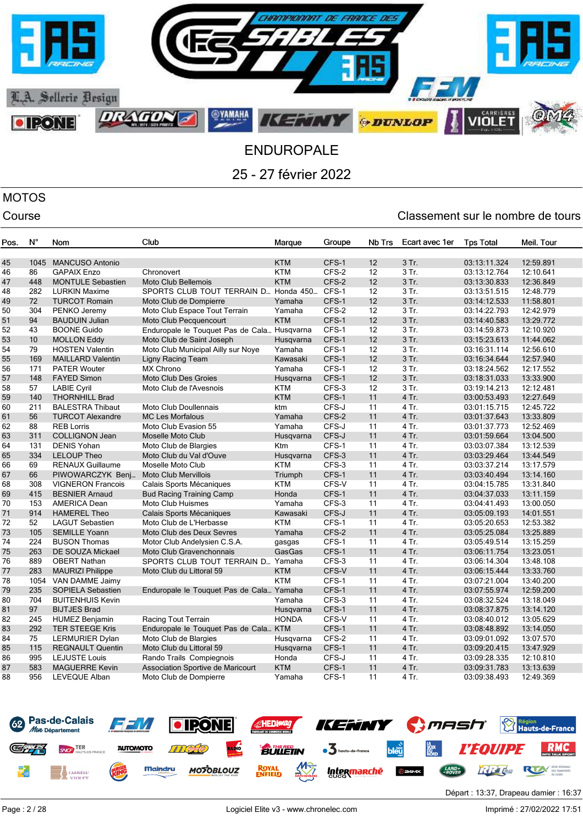

# MOTOS

| Pos.     | N°         | Nom                                         | Club                                                     | Marque           | Groupe         | Nb Trs   | Ecart avec 1er | <b>Tps Total</b>             | Meil. Tour             |
|----------|------------|---------------------------------------------|----------------------------------------------------------|------------------|----------------|----------|----------------|------------------------------|------------------------|
|          |            |                                             |                                                          |                  |                |          |                |                              |                        |
| 45       | 1045       | <b>MANCUSO Antonio</b>                      |                                                          | <b>KTM</b>       | CFS-1          | 12       | 3 Tr.          | 03:13:11.324                 | 12:59.891              |
| 46       | 86         | <b>GAPAIX Enzo</b>                          | Chronovert                                               | <b>KTM</b>       | CFS-2          | 12       | 3 Tr.          | 03:13:12.764                 | 12:10.641              |
| 47       | 448        | <b>MONTULE Sebastien</b>                    | Moto Club Bellemois                                      | <b>KTM</b>       | CFS-2          | 12       | 3 Tr.          | 03:13:30.833                 | 12:36.849              |
| 48       | 282        | <b>LURKIN Maxime</b>                        | SPORTS CLUB TOUT TERRAIN D Honda 450 CFS-1               |                  |                | 12       | 3 Tr.          | 03:13:51.515                 | 12:48.779              |
| 49       | 72         | <b>TURCOT Romain</b>                        | Moto Club de Dompierre                                   | Yamaha           | CFS-1          | 12       | 3 Tr.          | 03:14:12.533                 | 11:58.801              |
| 50       | 304        | PENKO Jeremy                                | Moto Club Espace Tout Terrain                            | Yamaha           | CFS-2          | 12       | 3 Tr.          | 03:14:22.793                 | 12:42.979              |
| 51       | 94         | <b>BAUDUIN Julian</b>                       | Moto Club Pecquencourt                                   | <b>KTM</b>       | CFS-1          | 12       | 3 Tr.          | 03:14:40.583                 | 13:29.772              |
| 52       | 43         | <b>BOONE Guido</b>                          | Enduropale le Touquet Pas de Cala Husqvarna              |                  | CFS-1          | 12       | 3 Tr.          | 03:14:59.873                 | 12:10.920              |
| 53       | 10         | <b>MOLLON Eddy</b>                          | Moto Club de Saint Joseph                                | Husqvarna        | CFS-1          | 12       | 3 Tr.          | 03:15:23.613                 | 11:44.062              |
| 54       | 79         | <b>HOSTEN Valentin</b>                      | Moto Club Municipal Ailly sur Noye                       | Yamaha           | CFS-1          | 12       | $3$ Tr.        | 03:16:31.114                 | 12:56.610              |
| 55       | 169        | <b>MAILLARD Valentin</b>                    | Ligny Racing Team                                        | Kawasaki         | CFS-1          | 12       | 3 Tr.          | 03:16:34.644                 | 12:57.940              |
| 56       | 171        | <b>PATER Wouter</b>                         | <b>MX Chrono</b>                                         | Yamaha           | CFS-1          | 12       | 3 Tr.          | 03:18:24.562                 | 12:17.552              |
| 57       | 148        | <b>FAYED Simon</b>                          | <b>Moto Club Des Groies</b>                              | Husqvarna        | CFS-1          | 12       | 3 Tr.          | 03:18:31.033                 | 13:33.900              |
| 58       | 57         | <b>LABIE Cyril</b>                          | Moto Club de l'Avesnois                                  | <b>KTM</b>       | CFS-3          | 12       | 3 Tr.          | 03:19:14.213                 | 12:12.481              |
| 59       | 140        | <b>THORNHILL Brad</b>                       |                                                          | <b>KTM</b>       | CFS-1          | 11       | 4 Tr.          | 03:00:53.493                 | 12:27.649              |
| 60       | 211        | <b>BALESTRA Thibaut</b>                     | Moto Club Doullennais                                    | ktm              | CFS-J          | 11       | 4 Tr.          | 03:01:15.715                 | 12:45.722              |
| 61       | 56         | <b>TURCOT Alexandre</b>                     | <b>MC Les Morfalous</b>                                  | Yamaha           | CFS-2          | 11       | 4 Tr.          | 03:01:37.643                 | 13:33.809              |
| 62       | 88         | <b>REB Lorris</b>                           | Moto Club Evasion 55                                     | Yamaha           | CFS-J          | 11       | 4 Tr.          | 03:01:37.773                 | 12:52.469              |
| 63       | 311        | <b>COLLIGNON Jean</b>                       | Moselle Moto Club                                        | Husgvarna        | CFS-J          | 11       | 4 Tr.          | 03:01:59.664                 | 13:04.500              |
| 64       | 131        | <b>DENIS Yohan</b>                          | Moto Club de Blargies                                    | Ktm              | CFS-1          | 11       | 4 Tr.          | 03:03:07.384                 | 13:12.539              |
| 65       | 334        | <b>LELOUP Theo</b>                          | Moto Club du Val d'Ouve                                  | Husqvarna        | CFS-3          | 11       | 4 Tr.          | 03:03:29.464                 | 13:44.549              |
| 66       | 69         | <b>RENAUX Guillaume</b>                     | Moselle Moto Club                                        | <b>KTM</b>       | CFS-3          | 11       | 4 Tr.          | 03:03:37.214                 | 13:17.579              |
| 67       | 66         | PIWOWARCZYK Benj                            | <b>Moto Club Mervillois</b>                              | Triumph          | CFS-1          | 11       | 4 Tr.          | 03:03:40.494                 | 13:14.160              |
| 68       | 308        | <b>VIGNERON Francois</b>                    | Calais Sports Mécaniques                                 | <b>KTM</b>       | CFS-V          | 11       | 4 Tr.          | 03:04:15.785                 | 13:31.840              |
| 69       | 415        | <b>BESNIER Arnaud</b>                       | <b>Bud Racing Training Camp</b>                          | Honda            | CFS-1          | 11       | 4 Tr.          | 03:04:37.033                 | 13:11.159              |
| 70       | 153        | <b>AMERICA Dean</b>                         | Moto Club Huismes                                        | Yamaha           | CFS-3          | 11       | 4 Tr.          | 03:04:41.493                 | 13:00.050              |
| 71       | 914        | <b>HAMEREL Theo</b>                         | Calais Sports Mécaniques                                 | Kawasaki         | CFS-J          | 11       | 4 Tr.          | 03:05:09.193                 | 14:01.551              |
| 72       | 52         | <b>LAGUT Sebastien</b>                      | Moto Club de L'Herbasse                                  | <b>KTM</b>       | CFS-1          | 11       | 4 Tr.          | 03:05:20.653                 | 12:53.382              |
| 73       | 105<br>224 | <b>SEMILLE Yoann</b><br><b>BUSON Thomas</b> | Moto Club des Deux Sevres                                | Yamaha           | CFS-2<br>CFS-1 | 11<br>11 | 4 Tr.<br>4 Tr. | 03:05:25.084                 | 13:25.889              |
| 74<br>75 | 263        | <b>DE SOUZA Mickael</b>                     | Motor Club Andelysien C.S.A.<br>Moto Club Gravenchonnais | gasgas<br>GasGas | CFS-1          | 11       | 4 Tr.          | 03:05:49.514<br>03:06:11.754 | 13:15.259<br>13:23.051 |
| 76       | 889        | <b>OBERT Nathan</b>                         | SPORTS CLUB TOUT TERRAIN D Yamaha                        |                  | CFS-3          | 11       | 4 Tr.          | 03:06:14.304                 | 13:48.108              |
| 77       | 283        | <b>MAURIZI Philippe</b>                     | Moto Club du Littoral 59                                 | <b>KTM</b>       | CFS-V          | 11       | 4 Tr.          | 03:06:15.444                 | 13:33.760              |
| 78       | 1054       | VAN DAMME Jaimy                             |                                                          | <b>KTM</b>       | CFS-1          | 11       | 4 Tr.          | 03:07:21.004                 | 13:40.200              |
| 79       | 235        | <b>SOPIELA Sebastien</b>                    | Enduropale le Touquet Pas de Cala Yamaha                 |                  | CFS-1          | 11       | 4 Tr.          | 03:07:55.974                 | 12:59.200              |
| 80       | 704        | <b>BUITENHUIS Kevin</b>                     |                                                          | Yamaha           | CFS-3          | 11       | 4 Tr.          | 03:08:32.524                 | 13:18.049              |
| 81       | 97         | <b>BIJTJES Brad</b>                         |                                                          | Husqvarna        | CFS-1          | 11       | 4 Tr.          | 03:08:37.875                 | 13:14.120              |
| 82       | 245        | <b>HUMEZ Benjamin</b>                       | Racing Tout Terrain                                      | <b>HONDA</b>     | CFS-V          | 11       | 4 Tr.          | 03:08:40.012                 | 13:05.629              |
| 83       | 292        | <b>TER STEEGE Kris</b>                      | Enduropale le Touquet Pas de Cala KTM                    |                  | CFS-1          | 11       | 4 Tr.          | 03:08:48.892                 | 13:14.050              |
| 84       | 75         | LERMURIER Dylan                             | Moto Club de Blargies                                    | Husqvarna        | CFS-2          | 11       | 4 Tr.          | 03:09:01.092                 | 13:07.570              |
| 85       | 115        | <b>REGNAULT Quentin</b>                     | Moto Club du Littoral 59                                 | Husqvarna        | CFS-1          | 11       | 4 Tr.          | 03:09:20.415                 | 13:47.929              |
| 86       | 995        | <b>LEJUSTE Louis</b>                        | Rando Trails Compiegnois                                 | Honda            | CFS-J          | 11       | 4 Tr.          | 03:09:28.335                 | 12:10.810              |
| 87       | 583        | <b>MAGUERRE Kevin</b>                       | Association Sportive de Maricourt                        | <b>KTM</b>       | CFS-1          | 11       | 4 Tr.          | 03:09:31.783                 | 13:13.639              |
| 88       | 956        | LEVEQUE Alban                               | Moto Club de Dompierre                                   | Yamaha           | CFS-1          | 11       | 4 Tr.          | 03:09:38.493                 | 12:49.369              |
|          |            |                                             |                                                          |                  |                |          |                |                              |                        |

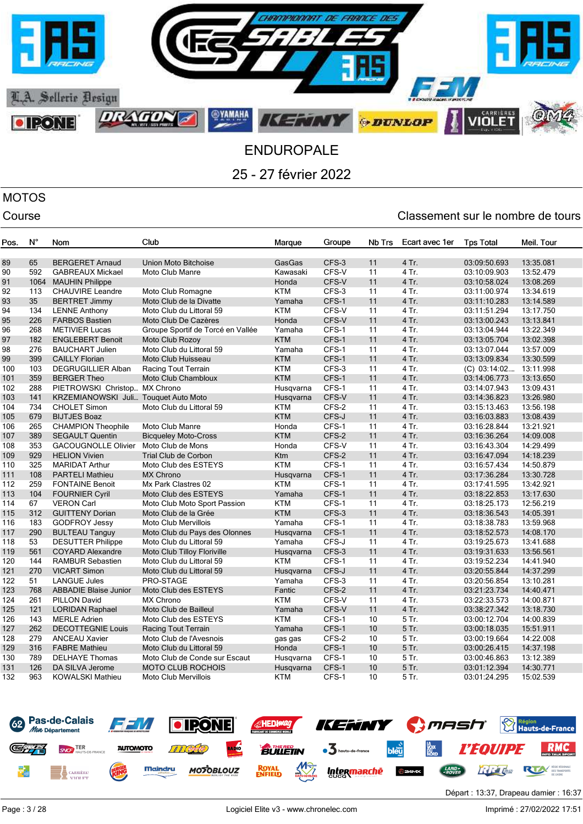

## MOTOS

| Pos. | $N^{\circ}$ | Nom                                  | Club                               | Marque     | Groupe | Nb Trs | Ecart avec 1er | <b>Tps Total</b>       | Meil. Tour |
|------|-------------|--------------------------------------|------------------------------------|------------|--------|--------|----------------|------------------------|------------|
|      |             |                                      |                                    |            |        |        |                |                        |            |
| 89   | 65          | <b>BERGERET Arnaud</b>               | Union Moto Bitchoise               | GasGas     | CFS-3  | 11     | 4 Tr.          | 03:09:50.693           | 13:35.081  |
| 90   | 592         | <b>GABREAUX Mickael</b>              | <b>Moto Club Manre</b>             | Kawasaki   | CFS-V  | 11     | 4 Tr.          | 03:10:09.903           | 13:52.479  |
| 91   | 1064        | <b>MAUHIN Philippe</b>               |                                    | Honda      | CFS-V  | 11     | 4 Tr.          | 03:10:58.024           | 13:08.269  |
| 92   | 113         | <b>CHAUVIRE Leandre</b>              | Moto Club Romagne                  | <b>KTM</b> | CFS-3  | 11     | 4 Tr.          | 03:11:00.974           | 13:34.619  |
| 93   | 35          | <b>BERTRET Jimmy</b>                 | Moto Club de la Divatte            | Yamaha     | CFS-1  | 11     | 4 Tr.          | 03:11:10.283           | 13:14.589  |
| 94   | 134         | <b>LENNE Anthony</b>                 | Moto Club du Littoral 59           | <b>KTM</b> | CFS-V  | 11     | 4 Tr.          | 03:11:51.294           | 13:17.750  |
| 95   | 226         | <b>FARBOS Bastien</b>                | Moto Club De Cazères               | Honda      | CFS-V  | 11     | 4 Tr.          | 03:13:00.243           | 13:13.841  |
| 96   | 268         | <b>METIVIER Lucas</b>                | Groupe Sportif de Torcé en Vallée  | Yamaha     | CFS-1  | 11     | 4 Tr.          | 03:13:04.944           | 13:22.349  |
| 97   | 182         | <b>ENGLEBERT Benoit</b>              | Moto Club Rozoy                    | <b>KTM</b> | CFS-1  | 11     | 4 Tr.          | 03:13:05.704           | 13:02.398  |
| 98   | 276         | <b>BAUCHART Julien</b>               | Moto Club du Littoral 59           | Yamaha     | CFS-1  | 11     | 4 Tr.          | 03:13:07.044           | 13:57.009  |
| 99   | 399         | <b>CAILLY Florian</b>                | Moto Club Huisseau                 | <b>KTM</b> | CFS-1  | 11     | 4 Tr.          | 03:13:09.834           | 13:30.599  |
| 100  | 103         | <b>DEGRUGILLIER Alban</b>            | Racing Tout Terrain                | <b>KTM</b> | CFS-3  | 11     | 4 Tr.          | (C) 03:14:02 13:11.998 |            |
| 101  | 359         | <b>BERGER Theo</b>                   | Moto Club Chambloux                | <b>KTM</b> | CFS-1  | 11     | 4 Tr.          | 03:14:06.773           | 13:13.650  |
| 102  | 288         | PIETROWSKI Christop MX Chrono        |                                    | Husqvarna  | CFS-1  | 11     | 4 Tr.          | 03:14:07.943           | 13:09.431  |
| 103  | 141         | KRZEMIANOWSKI Juli Touquet Auto Moto |                                    | Husqvarna  | CFS-V  | 11     | 4 Tr.          | 03:14:36.823           | 13:26.980  |
| 104  | 734         | <b>CHOLET Simon</b>                  | Moto Club du Littoral 59           | <b>KTM</b> | CFS-2  | 11     | 4 Tr.          | 03:15:13.463           | 13:56.198  |
| 105  | 679         | <b>BIJTJES Boaz</b>                  |                                    | <b>KTM</b> | CFS-J  | 11     | 4 Tr.          | 03:16:03.883           | 13:08.439  |
| 106  | 265         | <b>CHAMPION Theophile</b>            | Moto Club Manre                    | Honda      | CFS-1  | 11     | 4 Tr.          | 03:16:28.844           | 13:21.921  |
| 107  | 389         | <b>SEGAULT Quentin</b>               | <b>Bicqueley Moto-Cross</b>        | <b>KTM</b> | CFS-2  | 11     | 4 Tr.          | 03:16:36.264           | 14:09.008  |
| 108  | 353         | <b>GACOUGNOLLE Olivier</b>           | Moto Club de Mons                  | Honda      | CFS-V  | 11     | 4 Tr.          | 03:16:43.304           | 14:29.499  |
| 109  | 929         | <b>HELION Vivien</b>                 | <b>Trial Club de Corbon</b>        | <b>Ktm</b> | CFS-2  | 11     | 4 Tr.          | 03:16:47.094           | 14:18.239  |
| 110  | 325         | <b>MARIDAT Arthur</b>                | Moto Club des ESTEYS               | <b>KTM</b> | CFS-1  | 11     | 4 Tr.          | 03:16:57.434           | 14:50.879  |
| 111  | 108         | <b>PARTELI Mathieu</b>               | <b>MX Chrono</b>                   | Husgvarna  | CFS-1  | 11     | 4 Tr.          | 03:17:36.284           | 13:30.728  |
| 112  | 259         | <b>FONTAINE Benoit</b>               | Mx Park Clastres 02                | <b>KTM</b> | CFS-1  | 11     | 4 Tr.          | 03:17:41.595           | 13:42.921  |
| 113  | 104         | <b>FOURNIER Cyril</b>                | Moto Club des ESTEYS               | Yamaha     | CFS-1  | 11     | 4 Tr.          | 03:18:22.853           | 13:17.630  |
| 114  | 67          | <b>VERON Carl</b>                    | Moto Club Moto Sport Passion       | <b>KTM</b> | CFS-1  | 11     | 4 Tr.          | 03:18:25.173           | 12:56.219  |
| 115  | 312         | <b>GUITTENY Dorian</b>               | Moto Club de la Grée               | <b>KTM</b> | CFS-3  | 11     | 4 Tr.          | 03:18:36.543           | 14:05.391  |
| 116  | 183         | <b>GODFROY Jessy</b>                 | Moto Club Mervillois               | Yamaha     | CFS-1  | 11     | 4 Tr.          | 03:18:38.783           | 13:59.968  |
| 117  | 290         | <b>BULTEAU Tanguy</b>                | Moto Club du Pays des Olonnes      | Husqvarna  | CFS-1  | 11     | 4 Tr.          | 03:18:52.573           | 14:08.170  |
| 118  | 53          | <b>DESUTTER Philippe</b>             | Moto Club du Littoral 59           | Yamaha     | CFS-J  | 11     | 4 Tr.          | 03:19:25.673           | 13:41.688  |
| 119  | 561         | <b>COYARD Alexandre</b>              | <b>Moto Club Tilloy Floriville</b> | Husqvarna  | CFS-3  | 11     | 4 Tr.          | 03:19:31.633           | 13:56.561  |
| 120  | 144         | <b>RAMBUR Sebastien</b>              | Moto Club du Littoral 59           | <b>KTM</b> | CFS-1  | 11     | 4 Tr.          | 03:19:52.234           | 14:41.940  |
| 121  | 270         | <b>VICART Simon</b>                  | Moto Club du Littoral 59           | Husqvarna  | CFS-J  | 11     | 4 Tr.          | 03:20:55.844           | 14:37.299  |
| 122  | 51          | <b>LANGUE Jules</b>                  | PRO-STAGE                          | Yamaha     | CFS-3  | 11     | 4 Tr.          | 03:20:56.854           | 13:10.281  |
| 123  | 768         | <b>ABBADIE Blaise Junior</b>         | Moto Club des ESTEYS               | Fantic     | CFS-2  | 11     | 4 Tr.          | 03:21:23.734           | 14:40.471  |
| 124  | 261         | <b>PILLON David</b>                  | <b>MX Chrono</b>                   | <b>KTM</b> | CFS-V  | 11     | 4 Tr.          | 03:22:33.573           | 14:00.871  |
| 125  | 121         | <b>LORIDAN Raphael</b>               | Moto Club de Bailleul              | Yamaha     | CFS-V  | 11     | 4 Tr.          | 03:38:27.342           | 13:18.730  |
| 126  | 143         | <b>MERLE Adrien</b>                  | Moto Club des ESTEYS               | <b>KTM</b> | CFS-1  | 10     | 5 Tr.          | 03:00:12.704           | 14:00.839  |
| 127  | 262         | <b>DECOTTEGNIE Louis</b>             | Racing Tout Terrain                | Yamaha     | CFS-1  | 10     | 5 Tr.          | 03:00:18.035           | 15:51.911  |
| 128  | 279         | <b>ANCEAU Xavier</b>                 | Moto Club de l'Avesnois            | gas gas    | CFS-2  | 10     | 5 Tr.          | 03:00:19.664           | 14:22.008  |
| 129  | 316         | <b>FABRE Mathieu</b>                 | Moto Club du Littoral 59           | Honda      | CFS-1  | 10     | 5 Tr.          | 03:00:26.415           | 14:37.198  |
| 130  | 789         | <b>DELHAYE Thomas</b>                | Moto Club de Conde sur Escaut      | Husqvarna  | CFS-1  | 10     | 5 Tr.          | 03:00:46.863           | 13:12.389  |
| 131  | 126         | DA SILVA Jerome                      | <b>MOTO CLUB ROCHOIS</b>           | Husqvarna  | CFS-1  | 10     | 5 Tr.          | 03:01:12.394           | 14:30.771  |
| 132  | 963         | KOWALSKI Mathieu                     | <b>Moto Club Mervillois</b>        | <b>KTM</b> | CFS-1  | 10     | 5 Tr.          | 03:01:24.295           | 15:02.539  |

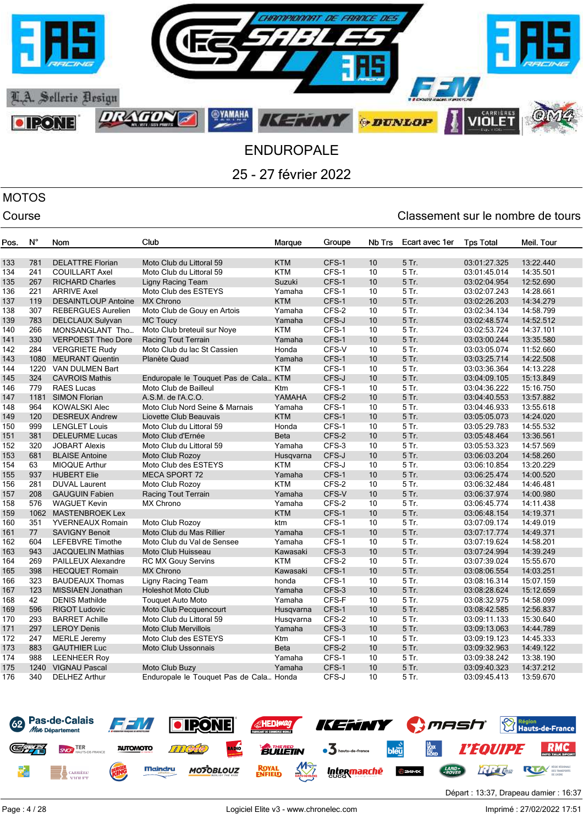

# MOTOS

| Pos. | N°   | Nom                        | Club                                    | Marque      | Groupe | Nb Trs | Ecart avec 1er | <b>Tps Total</b> | Meil. Tour |
|------|------|----------------------------|-----------------------------------------|-------------|--------|--------|----------------|------------------|------------|
| 133  | 781  | <b>DELATTRE Florian</b>    | Moto Club du Littoral 59                | <b>KTM</b>  | CFS-1  | 10     | 5 Tr.          | 03:01:27.325     | 13:22.440  |
| 134  | 241  | <b>COUILLART Axel</b>      | Moto Club du Littoral 59                | <b>KTM</b>  | CFS-1  | 10     | 5 Tr.          | 03:01:45.014     | 14:35.501  |
| 135  | 267  | <b>RICHARD Charles</b>     | <b>Ligny Racing Team</b>                | Suzuki      | CFS-1  | 10     | 5 Tr.          | 03:02:04.954     | 12:52.690  |
| 136  | 221  | <b>ARRIVE Axel</b>         | Moto Club des ESTEYS                    | Yamaha      | CFS-1  | 10     | 5 Tr.          | 03:02:07.243     | 14:28.661  |
| 137  | 119  | <b>DESAINTLOUP Antoine</b> | <b>MX Chrono</b>                        | <b>KTM</b>  | CFS-1  | 10     | 5 Tr.          | 03:02:26.203     | 14:34.279  |
| 138  | 307  | <b>REBERGUES Aurelien</b>  | Moto Club de Gouy en Artois             | Yamaha      | CFS-2  | 10     | 5 Tr.          | 03:02:34.134     | 14:58.799  |
| 139  | 783  | DELCLAUX Sulyvan           | <b>MC Toucy</b>                         | Yamaha      | CFS-J  | 10     | 5 Tr.          | 03:02:48.574     | 14:52.512  |
| 140  | 266  | MONSANGLANT Tho            | Moto Club breteuil sur Noye             | <b>KTM</b>  | CFS-1  | 10     | 5 Tr.          | 03:02:53.724     | 14:37.101  |
| 141  | 330  | <b>VERPOEST Theo Dore</b>  | Racing Tout Terrain                     | Yamaha      | CFS-1  | 10     | 5 Tr.          | 03:03:00.244     | 13:35.580  |
| 142  | 284  | <b>VERGRIETE Rudy</b>      | Moto Club du lac St Cassien             | Honda       | CFS-V  | 10     | 5 Tr.          | 03:03:05.074     | 11:52.660  |
| 143  | 1080 | <b>MEURANT Quentin</b>     | Planète Quad                            | Yamaha      | CFS-1  | 10     | 5 Tr.          | 03:03:25.714     | 14:22.508  |
| 144  |      | 1220 VAN DULMEN Bart       |                                         | <b>KTM</b>  | CFS-1  | 10     | 5 Tr.          | 03:03:36.364     | 14:13.228  |
| 145  | 324  | <b>CAVROIS Mathis</b>      | Enduropale le Touquet Pas de Cala KTM   |             | CFS-J  | 10     | 5 Tr.          | 03:04:09.105     | 15:13.849  |
| 146  | 779  | <b>RAES Lucas</b>          | Moto Club de Bailleul                   | Ktm         | CFS-1  | 10     | 5 Tr.          | 03:04:36.222     | 15:16.750  |
| 147  | 1181 | <b>SIMON Florian</b>       | A.S.M. de l'A.C.O.                      | YAMAHA      | CFS-2  | 10     | 5 Tr.          | 03:04:40.553     | 13:57.882  |
| 148  | 964  | <b>KOWALSKI Alec</b>       | Moto Club Nord Seine & Marnais          | Yamaha      | CFS-1  | 10     | 5 Tr.          | 03:04:46.933     | 13:55.618  |
| 149  | 120  | <b>DESREUX Andrew</b>      | Liovette Club Beauvais                  | <b>KTM</b>  | CFS-1  | 10     | 5 Tr.          | 03:05:05.073     | 14:24.020  |
| 150  | 999  | <b>LENGLET Louis</b>       | Moto Club du Littoral 59                | Honda       | CFS-1  | 10     | 5 Tr.          | 03:05:29.783     | 14:55.532  |
| 151  | 381  | <b>DELEURME Lucas</b>      | Moto Club d'Ernée                       | <b>Beta</b> | CFS-2  | 10     | 5 Tr.          | 03:05:48.464     | 13:36.561  |
| 152  | 320  | <b>JOBART Alexis</b>       | Moto Club du Littoral 59                | Yamaha      | CFS-3  | 10     | 5 Tr.          | 03:05:53.323     | 14:57.569  |
| 153  | 681  | <b>BLAISE Antoine</b>      | Moto Club Rozoy                         | Husqvarna   | CFS-J  | 10     | 5 Tr.          | 03:06:03.204     | 14:58.260  |
| 154  | 63   | <b>MIOQUE Arthur</b>       | Moto Club des ESTEYS                    | <b>KTM</b>  | CFS-J  | 10     | 5 Tr.          | 03:06:10.854     | 13:20.229  |
| 155  | 937  | <b>HUBERT Elie</b>         | <b>MECA SPORT 72</b>                    | Yamaha      | CFS-1  | 10     | 5 Tr.          | 03:06:25.474     | 14:00.520  |
| 156  | 281  | <b>DUVAL Laurent</b>       | Moto Club Rozoy                         | <b>KTM</b>  | CFS-2  | 10     | 5 Tr.          | 03:06:32.484     | 14:46.481  |
| 157  | 208  | <b>GAUGUIN Fabien</b>      | Racing Tout Terrain                     | Yamaha      | CFS-V  | 10     | 5 Tr.          | 03:06:37.974     | 14:00.980  |
| 158  | 576  | <b>WAGUET Kevin</b>        | <b>MX Chrono</b>                        | Yamaha      | CFS-2  | 10     | 5 Tr.          | 03:06:45.774     | 14:11.438  |
| 159  |      | 1062 MASTENBROEK Lex       |                                         | <b>KTM</b>  | CFS-1  | 10     | 5 Tr.          | 03:06:48.154     | 14:19.371  |
| 160  | 351  | <b>YVERNEAUX Romain</b>    | Moto Club Rozoy                         | ktm         | CFS-1  | 10     | 5 Tr.          | 03:07:09.174     | 14:49.019  |
| 161  | 77   | <b>SAVIGNY Benoit</b>      | Moto Club du Mas Rillier                | Yamaha      | CFS-1  | 10     | 5 Tr.          | 03:07:17.774     | 14:49.371  |
| 162  | 604  | LEFEBVRE Timothe           | Moto Club du Val de Sensee              | Yamaha      | CFS-1  | 10     | 5 Tr.          | 03:07:19.624     | 14:58.201  |
| 163  | 943  | <b>JACQUELIN Mathias</b>   | Moto Club Huisseau                      | Kawasaki    | CFS-3  | 10     | 5 Tr.          | 03:07:24.994     | 14:39.249  |
| 164  | 269  | <b>PAILLEUX Alexandre</b>  | <b>RC MX Gouy Servins</b>               | <b>KTM</b>  | CFS-2  | 10     | 5 Tr.          | 03:07:39.024     | 15:55.670  |
| 165  | 398  | <b>HECQUET Romain</b>      | <b>MX Chrono</b>                        | Kawasaki    | CFS-1  | 10     | 5 Tr.          | 03:08:06.554     | 14:03.251  |
| 166  | 323  | <b>BAUDEAUX Thomas</b>     | Ligny Racing Team                       | honda       | CFS-1  | 10     | 5 Tr.          | 03:08:16.314     | 15:07.159  |
| 167  | 123  | <b>MISSIAEN Jonathan</b>   | <b>Holeshot Moto Club</b>               | Yamaha      | CFS-3  | 10     | 5 Tr.          | 03:08:28.624     | 15:12.659  |
| 168  | 42   | <b>DENIS Mathilde</b>      | <b>Touquet Auto Moto</b>                | Yamaha      | CFS-F  | 10     | 5 Tr.          | 03:08:32.975     | 14:58.099  |
| 169  | 596  | <b>RIGOT Ludovic</b>       | Moto Club Pecquencourt                  | Husqvarna   | CFS-1  | 10     | 5 Tr.          | 03:08:42.585     | 12:56.837  |
| 170  | 293  | <b>BARRET Achille</b>      | Moto Club du Littoral 59                | Husqvarna   | CFS-2  | 10     | 5 Tr.          | 03:09:11.133     | 15:30.640  |
| 171  | 297  | <b>LEROY Denis</b>         | <b>Moto Club Mervillois</b>             | Yamaha      | CFS-3  | 10     | 5 Tr.          | 03:09:13.063     | 14:44.789  |
| 172  | 247  | <b>MERLE Jeremy</b>        | Moto Club des ESTEYS                    | Ktm         | CFS-1  | 10     | 5 Tr.          | 03:09:19.123     | 14:45.333  |
| 173  | 883  | <b>GAUTHIER Luc</b>        | <b>Moto Club Ussonnais</b>              | <b>Beta</b> | CFS-2  | 10     | 5 Tr.          | 03:09:32.963     | 14:49.122  |
| 174  | 988  | <b>LEENHEER Roy</b>        |                                         | Yamaha      | CFS-1  | 10     | 5 Tr.          | 03:09:38.242     | 13:38.190  |
| 175  | 1240 | <b>VIGNAU Pascal</b>       | Moto Club Buzy                          | Yamaha      | CFS-1  | 10     | 5 Tr.          | 03:09:40.323     | 14:37.212  |
| 176  | 340  | <b>DELHEZ Arthur</b>       | Enduropale le Touquet Pas de Cala Honda |             | CFS-J  | 10     | 5 Tr.          | 03:09:45.413     | 13:59.670  |

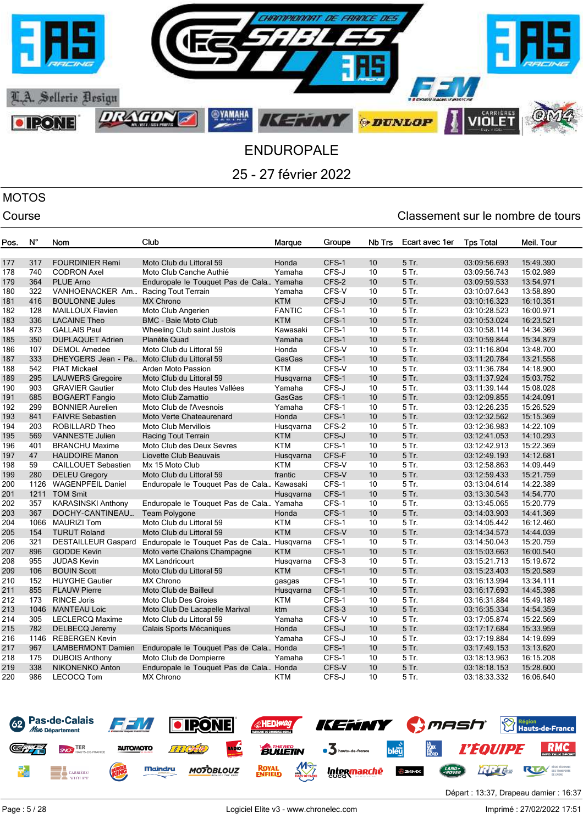

# MOTOS

| Pos. | $N^{\circ}$ | Nom                                         | Club                                        | Marque        | Groupe | Nb Trs   | Ecart avec 1er | <b>Tps Total</b> | Meil. Tour |
|------|-------------|---------------------------------------------|---------------------------------------------|---------------|--------|----------|----------------|------------------|------------|
| 177  | 317         | <b>FOURDINIER Remi</b>                      | Moto Club du Littoral 59                    | Honda         | CFS-1  | 10       | 5 Tr.          | 03:09:56.693     | 15:49.390  |
| 178  | 740         | <b>CODRON Axel</b>                          | Moto Club Canche Authié                     | Yamaha        | CFS-J  | 10       | 5 Tr.          | 03:09:56.743     | 15:02.989  |
| 179  | 364         | <b>PLUE Arno</b>                            | Enduropale le Touquet Pas de Cala Yamaha    |               | CFS-2  | 10       | 5 Tr.          | 03:09:59.533     | 13:54.971  |
| 180  | 322         | VANHOENACKER Am                             | Racing Tout Terrain                         | Yamaha        | CFS-V  | 10       | 5 Tr.          | 03:10:07.643     | 13:58.890  |
| 181  | 416         | <b>BOULONNE Jules</b>                       | <b>MX Chrono</b>                            | <b>KTM</b>    | CFS-J  | 10       | 5 Tr.          | 03:10:16.323     | 16:10.351  |
| 182  | 128         | MAILLOUX Flavien                            | Moto Club Angerien                          | <b>FANTIC</b> | CFS-1  | 10       | 5 Tr.          | 03:10:28.523     | 16:00.971  |
| 183  | 336         | <b>LACAINE Theo</b>                         | <b>BMC - Baie Moto Club</b>                 | <b>KTM</b>    | CFS-1  | 10       | 5 Tr.          | 03:10:53.024     | 16:23.521  |
| 184  | 873         | <b>GALLAIS Paul</b>                         | Wheeling Club saint Justois                 | Kawasaki      | CFS-1  | 10       | 5 Tr.          | 03:10:58.114     | 14:34.369  |
| 185  | 350         | <b>DUPLAQUET Adrien</b>                     | Planète Quad                                | Yamaha        | CFS-1  | 10       | 5 Tr.          | 03:10:59.844     | 15:34.879  |
| 186  | 107         | <b>DEMOL Amedee</b>                         | Moto Club du Littoral 59                    | Honda         | CFS-V  | 10       | 5 Tr.          | 03:11:16.804     | 13:48.700  |
| 187  | 333         | DHEYGERS Jean - Pa Moto Club du Littoral 59 |                                             | GasGas        | CFS-1  | 10       | 5 Tr.          | 03:11:20.784     | 13:21.558  |
| 188  | 542         | <b>PIAT Mickael</b>                         | Arden Moto Passion                          | <b>KTM</b>    | CFS-V  | 10       | 5 Tr.          | 03:11:36.784     | 14:18.900  |
| 189  | 295         | <b>LAUWERS Gregoire</b>                     | Moto Club du Littoral 59                    | Husqvarna     | CFS-1  | 10       | 5 Tr.          | 03:11:37.924     | 15:03.752  |
| 190  | 903         | <b>GRAVIER Gautier</b>                      | Moto Club des Hautes Vallées                | Yamaha        | CFS-J  | 10       | 5 Tr.          | 03:11:39.144     | 15:08.028  |
| 191  | 685         | <b>BOGAERT Fangio</b>                       | Moto Club Zamattio                          | GasGas        | CFS-1  | 10       | 5 Tr.          | 03:12:09.855     | 14:24.091  |
| 192  | 299         | <b>BONNIER Aurelien</b>                     | Moto Club de l'Avesnois                     | Yamaha        | CFS-1  | 10       | 5 Tr.          | 03:12:26.235     | 15:26.529  |
| 193  | 841         | <b>FAIVRE Sebastien</b>                     | Moto Verte Chateaurenard                    | Honda         | CFS-1  | 10       | 5 Tr.          | 03:12:32.562     | 15:15.369  |
| 194  | 203         | <b>ROBILLARD Theo</b>                       | <b>Moto Club Mervillois</b>                 | Husqvarna     | CFS-2  | 10       | 5 Tr.          | 03:12:36.983     | 14:22.109  |
| 195  | 569         | <b>VANNESTE Julien</b>                      | Racing Tout Terrain                         | <b>KTM</b>    | CFS-J  | 10       | 5 Tr.          | 03:12:41.053     | 14:10.293  |
| 196  | 401         | <b>BRANCHU Maxime</b>                       | Moto Club des Deux Sevres                   | <b>KTM</b>    | CFS-1  | 10       | 5 Tr.          | 03:12:42.913     | 15:22.369  |
| 197  | 47          | <b>HAUDOIRE Manon</b>                       | Liovette Club Beauvais                      | Husqvarna     | CFS-F  | 10       | 5 Tr.          | 03:12:49.193     | 14:12.681  |
| 198  | 59          | <b>CAILLOUET Sebastien</b>                  | Mx 15 Moto Club                             | <b>KTM</b>    | CFS-V  | 10       | 5 Tr.          | 03:12:58.863     | 14:09.449  |
| 199  | 280         | <b>DELEU Gregory</b>                        | Moto Club du Littoral 59                    | frantic       | CFS-V  | 10       | 5 Tr.          | 03:12:59.433     | 15:21.759  |
| 200  | 1126        | <b>WAGENPFEIL Daniel</b>                    | Enduropale le Touquet Pas de Cala Kawasaki  |               | CFS-1  | 10       | 5 Tr.          | 03:13:04.614     | 14:22.389  |
| 201  | 1211        | <b>TOM Smit</b>                             |                                             | Husqvarna     | CFS-1  | 10       | 5 Tr.          | 03:13:30.543     | 14:54.770  |
| 202  | 357         | <b>KARASINSKI Anthony</b>                   | Enduropale le Touquet Pas de Cala Yamaha    |               | CFS-1  | 10       | 5 Tr.          | 03:13:45.065     | 15:20.779  |
| 203  | 367         | DOCHY-CANTINEAU                             | Team Polygone                               | Honda         | CFS-1  | 10       | 5 Tr.          | 03:14:03.903     | 14:41.369  |
| 204  | 1066        | <b>MAURIZI Tom</b>                          | Moto Club du Littoral 59                    | <b>KTM</b>    | CFS-1  | 10       | 5 Tr.          | 03:14:05.442     | 16:12.460  |
| 205  | 154         | <b>TURUT Roland</b>                         | Moto Club du Littoral 59                    | <b>KTM</b>    | CFS-V  | 10       | 5 Tr.          | 03:14:34.573     | 14:44.039  |
| 206  | 321         | <b>DESTAILLEUR Gaspard</b>                  | Enduropale le Touquet Pas de Cala Husqvarna |               | CFS-1  | 10       | 5 Tr.          | 03:14:50.043     | 15:20.759  |
| 207  | 896         | <b>GODDE Kevin</b>                          | Moto verte Chalons Champagne                | <b>KTM</b>    | CFS-1  | 10       | 5 Tr.          | 03:15:03.663     | 16:00.540  |
| 208  | 955         | <b>JUDAS Kevin</b>                          | <b>MX Landricourt</b>                       | Husqvarna     | CFS-3  | 10       | 5 Tr.          | 03:15:21.713     | 15:19.672  |
| 209  | 106         | <b>BOUIN Scott</b>                          | Moto Club du Littoral 59                    | <b>KTM</b>    | CFS-1  | 10       | 5 Tr.          | 03:15:23.403     | 15:20.589  |
| 210  | 152         | <b>HUYGHE Gautier</b>                       | <b>MX Chrono</b>                            | gasgas        | CFS-1  | 10       | 5 Tr.          | 03:16:13.994     | 13:34.111  |
| 211  | 855         | <b>FLAUW Pierre</b>                         | Moto Club de Bailleul                       | Husqvarna     | CFS-1  | 10       | 5 Tr.          | 03:16:17.693     | 14:45.398  |
| 212  | 173         | <b>RINCE Joris</b>                          | Moto Club Des Groies                        | KTM           | CFS-1  | 10       | 5 Tr.          | 03:16:31.884     | 15:49.189  |
| 213  | 1046        | <b>MANTEAU Loic</b>                         | Moto Club De Lacapelle Marival              | ktm           | CFS-3  | 10       | 5 Tr.          | 03:16:35.334     | 14:54.359  |
| 214  | 305         | LECLERCQ Maxime                             | Moto Club du Littoral 59                    | Yamaha        | CFS-V  | 10       | 5 Tr.          | 03:17:05.874     | 15:22.569  |
| 215  | 782         | <b>DELBECQ Jeremy</b>                       | Calais Sports Mécaniques                    | Honda         | CFS-J  | 10       | 5 Tr.          | 03:17:17.684     | 15:33.959  |
| 216  | 1146        | <b>REBERGEN Kevin</b>                       |                                             | Yamaha        | CFS-J  | 10       | 5 Tr.          | 03:17:19.884     | 14:19.699  |
| 217  | 967         | <b>LAMBERMONT Damien</b>                    | Enduropale le Touquet Pas de Cala Honda     |               | CFS-1  | 10       | 5 Tr.          | 03:17:49.153     | 13:13.620  |
| 218  | 175         | <b>DUBOIS Anthony</b>                       | Moto Club de Dompierre                      | Yamaha        | CFS-1  | 10       | 5 Tr.          | 03:18:13.963     | 16:15.208  |
| 219  | 338<br>986  | <b>NIKONENKO Anton</b>                      | Enduropale le Touquet Pas de Cala Honda     |               | CFS-V  | 10<br>10 | 5 Tr.          | 03:18:18.153     | 15:28.600  |
| 220  |             | <b>LECOCQ Tom</b>                           | <b>MX Chrono</b>                            | <b>KTM</b>    | CFS-J  |          | 5 Tr.          | 03:18:33.332     | 16:06.640  |

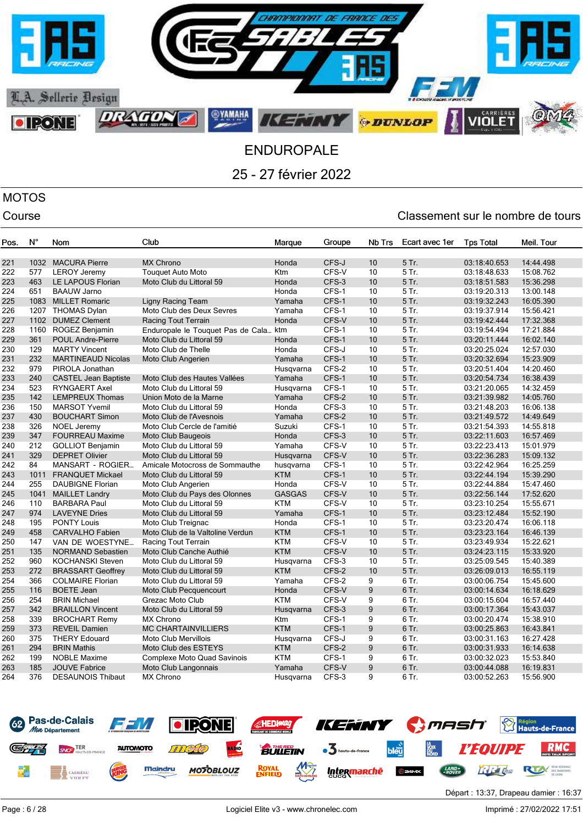

# MOTOS

### Course Course Course Course Course Course Course Course Course Course Course Course Course Course Course Cours

| Pos. | $N^{\circ}$ | <b>Nom</b>                  | Club                                  | Marque        | Groupe | Nb Trs           | Ecart avec 1er | <b>Tps Total</b> | Meil. Tour |
|------|-------------|-----------------------------|---------------------------------------|---------------|--------|------------------|----------------|------------------|------------|
| 221  | 1032        | <b>MACURA Pierre</b>        | <b>MX Chrono</b>                      | Honda         | CFS-J  | 10               | 5 Tr.          | 03:18:40.653     | 14:44.498  |
| 222  | 577         | <b>LEROY Jeremy</b>         | <b>Touquet Auto Moto</b>              | Ktm           | CFS-V  | 10               | 5 Tr.          | 03:18:48.633     | 15:08.762  |
| 223  | 463         | LE LAPOUS Florian           | Moto Club du Littoral 59              | Honda         | CFS-3  | 10               | 5 Tr.          | 03:18:51.583     | 15:36.298  |
| 224  | 651         | <b>BAAUW Jarno</b>          |                                       | Honda         | CFS-1  | 10               | 5 Tr.          | 03:19:20.313     | 13:00.148  |
| 225  | 1083        | <b>MILLET Romaric</b>       | Ligny Racing Team                     | Yamaha        | CFS-1  | 10 <sup>10</sup> | 5 Tr.          | 03:19:32.243     | 16:05.390  |
| 226  | 1207        | <b>THOMAS Dylan</b>         | Moto Club des Deux Sevres             | Yamaha        | CFS-1  | 10               | 5 Tr.          | 03:19:37.914     | 15:56.421  |
| 227  | 1102        | <b>DUMEZ Clement</b>        | Racing Tout Terrain                   | Honda         | CFS-V  | 10               | 5 Tr.          | 03:19:42.444     | 17:32.368  |
| 228  | 1160        | ROGEZ Benjamin              | Enduropale le Touquet Pas de Cala ktm |               | CFS-1  | 10               | 5 Tr.          | 03:19:54.494     | 17:21.884  |
| 229  | 361         | <b>POUL Andre-Pierre</b>    | Moto Club du Littoral 59              | Honda         | CFS-1  | 10               | 5 Tr.          | 03:20:11.444     | 16:02.140  |
| 230  | 129         | <b>MARTY Vincent</b>        | Moto Club de Thelle                   | Honda         | CFS-J  | 10 <sup>10</sup> | 5 Tr.          | 03:20:25.024     | 12:57.030  |
| 231  | 232         | <b>MARTINEAUD Nicolas</b>   | Moto Club Angerien                    | Yamaha        | CFS-1  | 10               | 5 Tr.          | 03:20:32.694     | 15:23.909  |
| 232  | 979         | PIROLA Jonathan             |                                       | Husqvarna     | CFS-2  | 10               | 5 Tr.          | 03:20:51.404     | 14:20.460  |
| 233  | 240         | <b>CASTEL Jean Baptiste</b> | Moto Club des Hautes Vallées          | Yamaha        | CFS-1  | 10               | 5 Tr.          | 03:20:54.734     | 16:38.439  |
| 234  | 523         | <b>RYNGAERT Axel</b>        | Moto Club du Littoral 59              | Husqvarna     | CFS-1  | 10               | 5 Tr.          | 03:21:20.065     | 14:32.459  |
| 235  | 142         | <b>LEMPREUX Thomas</b>      | Union Moto de la Marne                | Yamaha        | CFS-2  | 10               | 5 Tr.          | 03:21:39.982     | 14:05.760  |
| 236  | 150         | <b>MARSOT Yvemil</b>        | Moto Club du Littoral 59              | Honda         | CFS-3  | 10               | 5 Tr.          | 03:21:48.203     | 16:06.138  |
| 237  | 430         | <b>BOUCHART Simon</b>       | Moto Club de l'Avesnois               | Yamaha        | CFS-2  | 10               | 5 Tr.          | 03:21:49.572     | 14:49.649  |
| 238  | 326         | <b>NOEL Jeremy</b>          | Moto Club Cercle de l'amitié          | Suzuki        | CFS-1  | 10               | 5 Tr.          | 03:21:54.393     | 14:55.818  |
| 239  | 347         | <b>FOURREAU Maxime</b>      | Moto Club Baugeois                    | Honda         | CFS-3  | 10               | 5 Tr.          | 03:22:11.603     | 16:57.469  |
| 240  | 212         | <b>GOLLIOT Benjamin</b>     | Moto Club du Littoral 59              | Yamaha        | CFS-V  | 10               | 5 Tr.          | 03:22:23.413     | 15:01.979  |
| 241  | 329         | <b>DEPRET Olivier</b>       | Moto Club du Littoral 59              | Husgvarna     | CFS-V  | 10               | 5 Tr.          | 03:22:36.283     | 15:09.132  |
| 242  | 84          | MANSART - ROGIER            | Amicale Motocross de Sommauthe        | husqvarna     | CFS-1  | 10               | 5 Tr.          | 03:22:42.964     | 16:25.259  |
| 243  | 1011        | <b>FRANQUET Mickael</b>     | Moto Club du Littoral 59              | <b>KTM</b>    | CFS-1  | 10               | 5 Tr.          | 03:22:44.194     | 15:39.290  |
| 244  | 255         | <b>DAUBIGNE Florian</b>     | Moto Club Angerien                    | Honda         | CFS-V  | 10               | 5 Tr.          | 03:22:44.884     | 15:47.460  |
| 245  | 1041        | <b>MAILLET Landry</b>       | Moto Club du Pays des Olonnes         | <b>GASGAS</b> | CFS-V  | 10               | 5 Tr.          | 03:22:56.144     | 17:52.620  |
| 246  | 110         | <b>BARBARA Paul</b>         | Moto Club du Littoral 59              | <b>KTM</b>    | CFS-V  | 10               | 5 Tr.          | 03:23:10.254     | 15:55.671  |
| 247  | 974         | <b>LAVEYNE Dries</b>        | Moto Club du Littoral 59              | Yamaha        | CFS-1  | 10               | 5 Tr.          | 03:23:12.484     | 15:52.190  |
| 248  | 195         | <b>PONTY Louis</b>          | Moto Club Treignac                    | Honda         | CFS-1  | 10               | 5 Tr.          | 03:23:20.474     | 16:06.118  |
| 249  | 458         | <b>CARVALHO Fabien</b>      | Moto Club de la Valtoline Verdun      | <b>KTM</b>    | CFS-1  | 10               | 5 Tr.          | 03:23:23.164     | 16:46.139  |
| 250  | 147         | VAN DE WOESTYNE             | Racing Tout Terrain                   | <b>KTM</b>    | CFS-V  | 10               | 5 Tr.          | 03:23:49.934     | 15:22.621  |
| 251  | 135         | <b>NORMAND Sebastien</b>    | Moto Club Canche Authié               | <b>KTM</b>    | CFS-V  | 10               | 5 Tr.          | 03:24:23.115     | 15:33.920  |
| 252  | 960         | <b>KOCHANSKI Steven</b>     | Moto Club du Littoral 59              | Husqvarna     | CFS-3  | 10               | 5 Tr.          | 03:25:09.545     | 15:40.389  |
| 253  | 272         | <b>BRASSART Geoffrey</b>    | Moto Club du Littoral 59              | <b>KTM</b>    | CFS-2  | 10               | 5 Tr.          | 03:26:09.013     | 16:55.119  |
| 254  | 366         | <b>COLMAIRE Florian</b>     | Moto Club du Littoral 59              | Yamaha        | CFS-2  | 9                | 6 Tr.          | 03:00:06.754     | 15:45.600  |
| 255  | 116         | <b>BOETE Jean</b>           | Moto Club Pecquencourt                | Honda         | CFS-V  | 9                | 6 Tr.          | 03:00:14.634     | 16:18.629  |
| 256  | 254         | <b>BRIN Michael</b>         | Grezac Moto Club                      | <b>KTM</b>    | CFS-V  | 9                | 6 Tr.          | 03:00:15.604     | 16:57.440  |
| 257  | 342         | <b>BRAILLON Vincent</b>     | Moto Club du Littoral 59              | Husqvarna     | CFS-3  | 9                | 6 Tr.          | 03:00:17.364     | 15:43.037  |
| 258  | 339         | <b>BROCHART Remy</b>        | <b>MX Chrono</b>                      | Ktm           | CFS-1  | 9                | 6 Tr.          | 03:00:20.474     | 15:38.910  |
| 259  | 373         | <b>REVEIL Damien</b>        | <b>MC CHARTAINVILLIERS</b>            | <b>KTM</b>    | CFS-1  | 9                | 6 Tr.          | 03:00:25.863     | 16:43.841  |
| 260  | 375         | <b>THERY Edouard</b>        | Moto Club Mervillois                  | Husqvarna     | CFS-J  | 9                | 6 Tr.          | 03:00:31.163     | 16:27.428  |
| 261  | 294         | <b>BRIN Mathis</b>          | Moto Club des ESTEYS                  | <b>KTM</b>    | CFS-2  | 9                | 6 Tr.          | 03:00:31.933     | 16:14.638  |
| 262  | 199         | <b>NOBLE Maxime</b>         | Complexe Moto Quad Savinois           | <b>KTM</b>    | CFS-1  | 9                | 6 Tr.          | 03:00:32.023     | 15:53.840  |
| 263  | 185         | <b>JOUVE Fabrice</b>        | Moto Club Langonnais                  | Yamaha        | CFS-V  | 9                | 6 Tr.          | 03:00:44.088     | 16:19.831  |
| 264  | 376         | <b>DESAUNOIS Thibaut</b>    | <b>MX Chrono</b>                      | Husqvarna     | CFS-3  | 9                | 6 Tr.          | 03:00:52.263     | 15:56.900  |

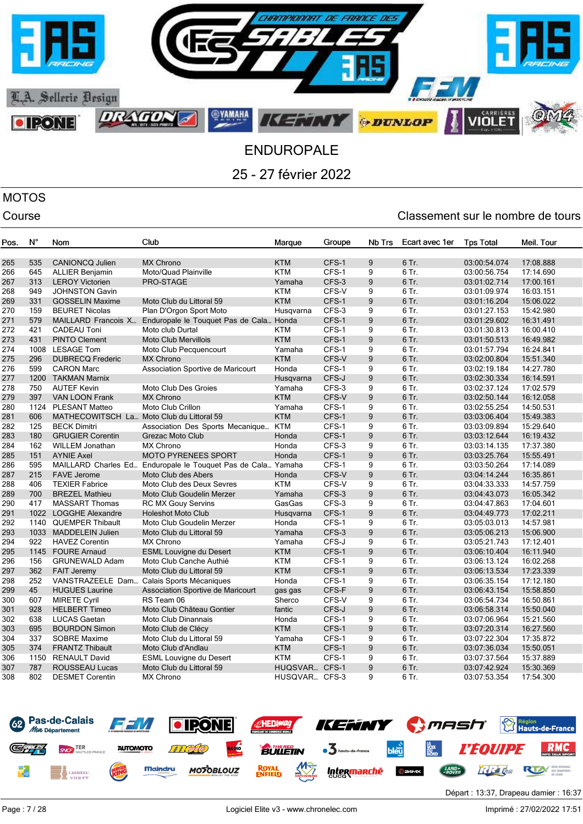

# MOTOS

| Pos. | N°   | Nom                                       | Club                                                         | Marque        | Groupe | Nb Trs | Ecart avec 1er | <b>Tps Total</b> | Meil. Tour |
|------|------|-------------------------------------------|--------------------------------------------------------------|---------------|--------|--------|----------------|------------------|------------|
| 265  | 535  | <b>CANIONCQ Julien</b>                    | <b>MX Chrono</b>                                             | <b>KTM</b>    | CFS-1  | 9      | 6 Tr.          | 03:00:54.074     | 17:08.888  |
| 266  | 645  | <b>ALLIER Benjamin</b>                    | Moto/Quad Plainville                                         | <b>KTM</b>    | CFS-1  | 9      | 6 Tr.          | 03:00:56.754     | 17:14.690  |
| 267  | 313  | <b>LEROY Victorien</b>                    | PRO-STAGE                                                    | Yamaha        | CFS-3  | 9      | 6 Tr.          | 03:01:02.714     | 17:00.161  |
| 268  | 949  | <b>JOHNSTON Gavin</b>                     |                                                              | <b>KTM</b>    | CFS-V  | 9      | 6 Tr.          | 03:01:09.974     | 16:03.151  |
| 269  | 331  | <b>GOSSELIN Maxime</b>                    | Moto Club du Littoral 59                                     | <b>KTM</b>    | CFS-1  | 9      | 6 Tr.          | 03:01:16.204     | 15:06.022  |
| 270  | 159  | <b>BEURET Nicolas</b>                     | Plan D'Orgon Sport Moto                                      | Husqvarna     | CFS-3  | 9      | 6 Tr.          | 03:01:27.153     | 15:42.980  |
| 271  | 579  | MAILLARD Francois X                       | Enduropale le Touquet Pas de Cala Honda                      |               | CFS-1  | 9      | 6 Tr.          | 03:01:29.602     | 16:31.491  |
| 272  | 421  | <b>CADEAU Toni</b>                        | Moto club Durtal                                             | <b>KTM</b>    | CFS-1  | 9      | 6 Tr.          | 03:01:30.813     | 16:00.410  |
| 273  | 431  | <b>PINTO Clement</b>                      | <b>Moto Club Mervillois</b>                                  | <b>KTM</b>    | CFS-1  | 9      | 6 Tr.          | 03:01:50.513     | 16:49.982  |
| 274  | 1008 | <b>LESAGE Tom</b>                         | Moto Club Pecquencourt                                       | Yamaha        | CFS-1  | 9      | 6 Tr.          | 03:01:57.794     | 16:24.841  |
| 275  | 296  | <b>DUBRECQ Frederic</b>                   | <b>MX Chrono</b>                                             | <b>KTM</b>    | CFS-V  | 9      | 6 Tr.          | 03:02:00.804     | 15:51.340  |
| 276  | 599  | <b>CARON Marc</b>                         | Association Sportive de Maricourt                            | Honda         | CFS-1  | 9      | 6 Tr.          | 03:02:19.184     | 14:27.780  |
| 277  | 1200 | <b>TAKMAN Marnix</b>                      |                                                              | Husgvarna     | CFS-J  | 9      | 6 Tr.          | 03:02:30.334     | 16:14.591  |
| 278  | 750  | <b>AUTEF Kevin</b>                        | Moto Club Des Groies                                         | Yamaha        | CFS-3  | 9      | 6 Tr.          | 03:02:37.124     | 17:02.579  |
| 279  | 397  | <b>VAN LOON Frank</b>                     | <b>MX Chrono</b>                                             | <b>KTM</b>    | CFS-V  | 9      | 6 Tr.          | 03:02:50.144     | 16:12.058  |
| 280  | 1124 | <b>PLESANT Matteo</b>                     | Moto Club Crillon                                            | Yamaha        | CFS-1  | 9      | 6 Tr.          | 03:02:55.254     | 14:50.531  |
| 281  | 606  | MATHECOWITSCH La Moto Club du Littoral 59 |                                                              | <b>KTM</b>    | CFS-1  | 9      | 6 Tr.          | 03:03:06.404     | 15:49.383  |
| 282  | 125  | <b>BECK Dimitri</b>                       | Association Des Sports Mecanique KTM                         |               | CFS-1  | 9      | 6 Tr.          | 03:03:09.894     | 15:29.640  |
| 283  | 180  | <b>GRUGIER Corentin</b>                   | <b>Grezac Moto Club</b>                                      | Honda         | CFS-1  | 9      | 6 Tr.          | 03:03:12.644     | 16:19.432  |
| 284  | 162  | <b>WILLEM Jonathan</b>                    | <b>MX Chrono</b>                                             | Honda         | CFS-3  | 9      | 6 Tr.          | 03:03:14.135     | 17:37.380  |
| 285  | 151  | <b>AYNIE Axel</b>                         | <b>MOTO PYRENEES SPORT</b>                                   | Honda         | CFS-1  | 9      | 6 Tr.          | 03:03:25.764     | 15:55.491  |
| 286  | 595  |                                           | MAILLARD Charles Ed Enduropale le Touquet Pas de Cala Yamaha |               | CFS-1  | 9      | 6 Tr.          | 03:03:50.264     | 17:14.089  |
| 287  | 215  | <b>FAVE Jerome</b>                        | Moto Club des Abers                                          | Honda         | CFS-V  | 9      | 6 Tr.          | 03:04:14.244     | 16:35.861  |
| 288  | 406  | <b>TEXIER Fabrice</b>                     | Moto Club des Deux Sevres                                    | <b>KTM</b>    | CFS-V  | 9      | 6 Tr.          | 03:04:33.333     | 14:57.759  |
| 289  | 700  | <b>BREZEL Mathieu</b>                     | Moto Club Goudelin Merzer                                    | Yamaha        | CFS-3  | 9      | 6 Tr.          | 03:04:43.073     | 16:05.342  |
| 290  | 417  | <b>MASSART Thomas</b>                     | <b>RC MX Gouy Servins</b>                                    | GasGas        | CFS-3  | 9      | 6 Tr.          | 03:04:47.863     | 17:04.601  |
| 291  | 1022 | <b>LOGGHE Alexandre</b>                   | <b>Holeshot Moto Club</b>                                    | Husqvarna     | CFS-1  | 9      | 6 Tr.          | 03:04:49.773     | 17:02.211  |
| 292  | 1140 | <b>QUEMPER Thibault</b>                   | Moto Club Goudelin Merzer                                    | Honda         | CFS-1  | 9      | 6 Tr.          | 03:05:03.013     | 14:57.981  |
| 293  | 1033 | <b>MADDELEIN Julien</b>                   | Moto Club du Littoral 59                                     | Yamaha        | CFS-3  | 9      | 6 Tr.          | 03:05:06.213     | 15:06.900  |
| 294  | 922  | <b>HAVEZ Corentin</b>                     | <b>MX Chrono</b>                                             | Yamaha        | CFS-J  | 9      | 6 Tr.          | 03:05:21.743     | 17:12.401  |
| 295  | 1145 | <b>FOURE Arnaud</b>                       | <b>ESML Louvigne du Desert</b>                               | <b>KTM</b>    | CFS-1  | 9      | 6 Tr.          | 03:06:10.404     | 16:11.940  |
| 296  | 156  | <b>GRUNEWALD Adam</b>                     | Moto Club Canche Authié                                      | <b>KTM</b>    | CFS-1  | 9      | 6 Tr.          | 03:06:13.124     | 16:02.268  |
| 297  | 362  | <b>FAIT Jeremy</b>                        | Moto Club du Littoral 59                                     | <b>KTM</b>    | CFS-1  | 9      | 6 Tr.          | 03:06:13.534     | 17:23.339  |
| 298  | 252  | VANSTRAZEELE Dam                          | Calais Sports Mécaniques                                     | Honda         | CFS-1  | 9      | 6 Tr.          | 03:06:35.154     | 17:12.180  |
| 299  | 45   | <b>HUGUES Laurine</b>                     | Association Sportive de Maricourt                            | gas gas       | CFS-F  | 9      | 6 Tr.          | 03:06:43.154     | 15:58.850  |
| 300  | 607  | <b>MIRETE Cyril</b>                       | RS Team 06                                                   | Sherco        | CFS-V  | 9      | 6 Tr.          | 03:06:54.734     | 16:50.861  |
| 301  | 928  | <b>HELBERT Timeo</b>                      | Moto Club Château Gontier                                    | fantic        | CFS-J  | 9      | 6 Tr.          | 03:06:58.314     | 15:50.040  |
| 302  | 638  | <b>LUCAS Gaetan</b>                       | Moto Club Dinannais                                          | Honda         | CFS-1  | 9      | 6 Tr.          | 03:07:06.964     | 15:21.560  |
| 303  | 695  | <b>BOURDON Simon</b>                      | Moto Club de Clécy                                           | <b>KTM</b>    | CFS-1  | 9      | 6 Tr.          | 03:07:20.314     | 16:27.560  |
| 304  | 337  | <b>SOBRE Maxime</b>                       | Moto Club du Littoral 59                                     | Yamaha        | CFS-1  | 9      | 6 Tr.          | 03:07:22.304     | 17:35.872  |
| 305  | 374  | <b>FRANTZ Thibault</b>                    | Moto Club d'Andlau                                           | <b>KTM</b>    | CFS-1  | 9      | 6 Tr.          | 03:07:36.034     | 15:50.051  |
| 306  | 1150 | <b>RENAULT David</b>                      | <b>ESML Louvigne du Desert</b>                               | <b>KTM</b>    | CFS-1  | 9      | 6 Tr.          | 03:07:37.564     | 15:37.889  |
| 307  | 787  | <b>ROUSSEAU Lucas</b>                     | Moto Club du Littoral 59                                     | HUQSVAR       | CFS-1  | 9      | 6 Tr.          | 03:07:42.924     | 15:30.369  |
| 308  | 802  | <b>DESMET Corentin</b>                    | <b>MX Chrono</b>                                             | HUSQVAR CFS-3 |        | 9      | 6 Tr.          | 03:07:53.354     | 17:54.300  |

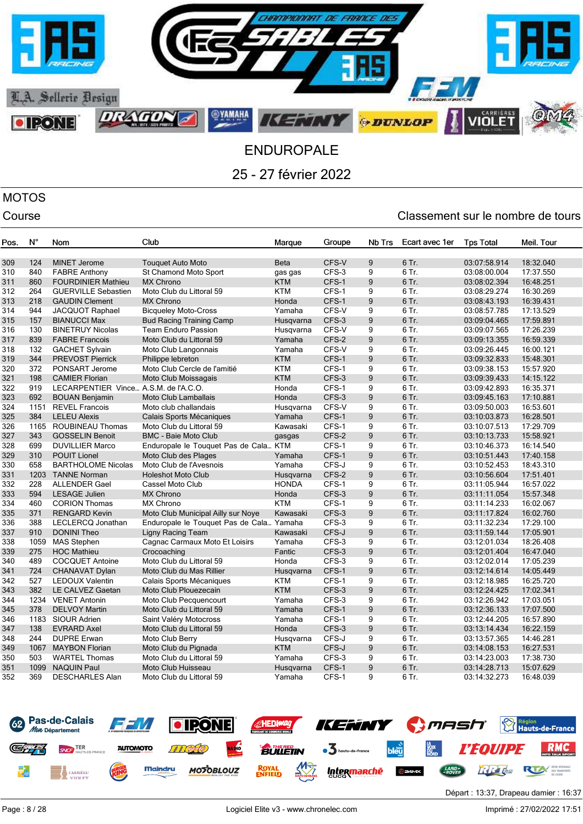

# MOTOS

| Pos. | N°   | Nom                                   | Club                                     | Marque       | Groupe | Nb Trs | Ecart avec 1er | <b>Tps Total</b> | Meil. Tour |
|------|------|---------------------------------------|------------------------------------------|--------------|--------|--------|----------------|------------------|------------|
|      |      |                                       |                                          |              |        |        |                |                  |            |
| 309  | 124  | <b>MINET Jerome</b>                   | <b>Touquet Auto Moto</b>                 | <b>Beta</b>  | CFS-V  | 9      | 6 Tr.          | 03:07:58.914     | 18:32.040  |
| 310  | 840  | <b>FABRE Anthony</b>                  | St Chamond Moto Sport                    | gas gas      | CFS-3  | 9      | 6 Tr.          | 03:08:00.004     | 17:37.550  |
| 311  | 860  | <b>FOURDINIER Mathieu</b>             | <b>MX Chrono</b>                         | <b>KTM</b>   | CFS-1  | 9      | 6 Tr.          | 03:08:02.394     | 16:48.251  |
| 312  | 264  | <b>GUERVILLE Sebastien</b>            | Moto Club du Littoral 59                 | <b>KTM</b>   | CFS-1  | 9      | 6 Tr.          | 03:08:29.274     | 16:30.269  |
| 313  | 218  | <b>GAUDIN Clement</b>                 | <b>MX Chrono</b>                         | Honda        | CFS-1  | 9      | 6 Tr.          | 03:08:43.193     | 16:39.431  |
| 314  | 944  | JACQUOT Raphael                       | <b>Bicqueley Moto-Cross</b>              | Yamaha       | CFS-V  | 9      | 6 Tr.          | 03:08:57.785     | 17:13.529  |
| 315  | 157  | <b>BIANUCCI Max</b>                   | <b>Bud Racing Training Camp</b>          | Husqvarna    | CFS-3  | 9      | 6 Tr.          | 03:09:04.465     | 17:59.891  |
| 316  | 130  | <b>BINETRUY Nicolas</b>               | <b>Team Enduro Passion</b>               | Husqvarna    | CFS-V  | 9      | 6 Tr.          | 03:09:07.565     | 17:26.239  |
| 317  | 839  | <b>FABRE Francois</b>                 | Moto Club du Littoral 59                 | Yamaha       | CFS-2  | 9      | 6 Tr.          | 03:09:13.355     | 16:59.339  |
| 318  | 132  | <b>GACHET Sylvain</b>                 | Moto Club Langonnais                     | Yamaha       | CFS-V  | 9      | 6 Tr.          | 03:09:26.445     | 16:00.121  |
| 319  | 344  | <b>PREVOST Pierrick</b>               | Philippe lebreton                        | <b>KTM</b>   | CFS-1  | 9      | 6 Tr.          | 03:09:32.833     | 15:48.301  |
| 320  | 372  | PONSART Jerome                        | Moto Club Cercle de l'amitié             | <b>KTM</b>   | CFS-1  | 9      | 6 Tr.          | 03:09:38.153     | 15:57.920  |
| 321  | 198  | <b>CAMIER Florian</b>                 | Moto Club Moissagais                     | <b>KTM</b>   | CFS-3  | 9      | 6 Tr.          | 03:09:39.433     | 14:15.122  |
| 322  | 919  | LECARPENTIER Vince A.S.M. de l'A.C.O. |                                          | Honda        | CFS-1  | 9      | 6 Tr.          | 03:09:42.893     | 16:35.371  |
| 323  | 692  | <b>BOUAN Benjamin</b>                 | <b>Moto Club Lamballais</b>              | Honda        | CFS-3  | 9      | 6 Tr.          | 03:09:45.163     | 17:10.881  |
| 324  | 1151 | <b>REVEL Francois</b>                 | Moto club challandais                    | Husqvarna    | CFS-V  | 9      | 6 Tr.          | 03:09:50.003     | 16:53.601  |
| 325  | 384  | <b>LELEU Alexis</b>                   | Calais Sports Mécaniques                 | Yamaha       | CFS-1  | 9      | 6 Tr.          | 03:10:03.873     | 16:28.501  |
| 326  | 1165 | <b>ROUBINEAU Thomas</b>               | Moto Club du Littoral 59                 | Kawasaki     | CFS-1  | 9      | 6 Tr.          | 03:10:07.513     | 17:29.709  |
| 327  | 343  | <b>GOSSELIN Benoit</b>                | <b>BMC - Baie Moto Club</b>              | gasgas       | CFS-2  | 9      | 6 Tr.          | 03:10:13.733     | 15:58.921  |
| 328  | 699  | <b>DUVILLIER Marco</b>                | Enduropale le Touquet Pas de Cala KTM    |              | CFS-1  | 9      | 6 Tr.          | 03:10:46.373     | 16:14.540  |
| 329  | 310  | <b>POUIT Lionel</b>                   | Moto Club des Plages                     | Yamaha       | CFS-1  | 9      | $6$ Tr.        | 03:10:51.443     | 17:40.158  |
| 330  | 658  | <b>BARTHOLOME Nicolas</b>             | Moto Club de l'Avesnois                  | Yamaha       | CFS-J  | 9      | 6 Tr.          | 03:10:52.453     | 18:43.310  |
| 331  | 1203 | <b>TANNE Norman</b>                   | <b>Holeshot Moto Club</b>                | Husgvarna    | CFS-2  | 9      | 6 Tr.          | 03:10:56.604     | 17:51.401  |
| 332  | 228  | <b>ALLENDER Gael</b>                  | Cassel Moto Club                         | <b>HONDA</b> | CFS-1  | 9      | 6 Tr.          | 03:11:05.944     | 16:57.022  |
| 333  | 594  | <b>LESAGE Julien</b>                  | <b>MX Chrono</b>                         | Honda        | CFS-3  | 9      | 6 Tr.          | 03:11:11.054     | 15:57.348  |
| 334  | 460  | <b>CORION Thomas</b>                  | <b>MX Chrono</b>                         | <b>KTM</b>   | CFS-1  | 9      | 6 Tr.          | 03:11:14.233     | 16:02.067  |
| 335  | 371  | <b>RENGARD Kevin</b>                  | Moto Club Municipal Ailly sur Noye       | Kawasaki     | CFS-3  | 9      | 6 Tr.          | 03:11:17.824     | 16:02.760  |
| 336  | 388  | LECLERCQ Jonathan                     | Enduropale le Touquet Pas de Cala Yamaha |              | CFS-3  | 9      | 6 Tr.          | 03:11:32.234     | 17:29.100  |
| 337  | 910  | <b>DONINI Theo</b>                    | Ligny Racing Team                        | Kawasaki     | CFS-J  | 9      | 6 Tr.          | 03:11:59.144     | 17:05.901  |
| 338  | 1059 | <b>MAS Stephen</b>                    | Cagnac Carmaux Moto Et Loisirs           | Yamaha       | CFS-3  | 9      | 6 Tr.          | 03:12:01.034     | 18:26.408  |
| 339  | 275  | <b>HOC Mathieu</b>                    | Crocoaching                              | Fantic       | CFS-3  | 9      | 6 Tr.          | 03:12:01.404     | 16:47.040  |
| 340  | 489  | <b>COCQUET Antoine</b>                | Moto Club du Littoral 59                 | Honda        | CFS-3  | 9      | 6 Tr.          | 03:12:02.014     | 17:05.239  |
| 341  | 724  | CHANAVAT Dylan                        | Moto Club du Mas Rillier                 | Husqvarna    | CFS-1  | 9      | 6 Tr.          | 03:12:14.614     | 14:05.449  |
| 342  | 527  | <b>LEDOUX Valentin</b>                | Calais Sports Mécaniques                 | <b>KTM</b>   | CFS-1  | 9      | 6 Tr.          | 03:12:18.985     | 16:25.720  |
| 343  | 382  | <b>LE CALVEZ Gaetan</b>               | Moto Club Plouezecain                    | <b>KTM</b>   | CFS-3  | 9      | 6 Tr.          | 03:12:24.425     | 17:02.341  |
| 344  | 1234 | <b>VENET Antonin</b>                  | Moto Club Pecquencourt                   | Yamaha       | CFS-3  | 9      | 6 Tr.          | 03:12:26.942     | 17:03.051  |
| 345  | 378  | <b>DELVOY Martin</b>                  | Moto Club du Littoral 59                 | Yamaha       | CFS-1  | 9      | 6 Tr.          | 03:12:36.133     | 17:07.500  |
| 346  | 1183 | SIOUR Adrien                          | Saint Valéry Motocross                   | Yamaha       | CFS-1  | 9      | 6 Tr.          | 03:12:44.205     | 16:57.890  |
| 347  | 138  | <b>EVRARD Axel</b>                    | Moto Club du Littoral 59                 | Honda        | CFS-3  | 9      | 6 Tr.          | 03:13:14.434     | 16:22.159  |
| 348  | 244  | <b>DUPRE Erwan</b>                    | Moto Club Berry                          |              | CFS-J  | 9      | 6 Tr.          | 03:13:57.365     | 14:46.281  |
|      |      |                                       |                                          | Husqvarna    | CFS-J  |        | 6 Tr.          |                  |            |
| 349  | 1067 | <b>MAYBON Florian</b>                 | Moto Club du Pignada                     | <b>KTM</b>   |        | 9      |                | 03:14:08.153     | 16:27.531  |
| 350  | 503  | <b>WARTEL Thomas</b>                  | Moto Club du Littoral 59                 | Yamaha       | CFS-3  | 9      | 6 Tr.          | 03:14:23.003     | 17:38.730  |
| 351  | 1099 | <b>NAQUIN Paul</b>                    | Moto Club Huisseau                       | Husqvarna    | CFS-1  | 9      | 6 Tr.          | 03:14:28.713     | 15:07.629  |
| 352  | 369  | <b>DESCHARLES Alan</b>                | Moto Club du Littoral 59                 | Yamaha       | CFS-1  | 9      | 6 Tr.          | 03:14:32.273     | 16:48.039  |

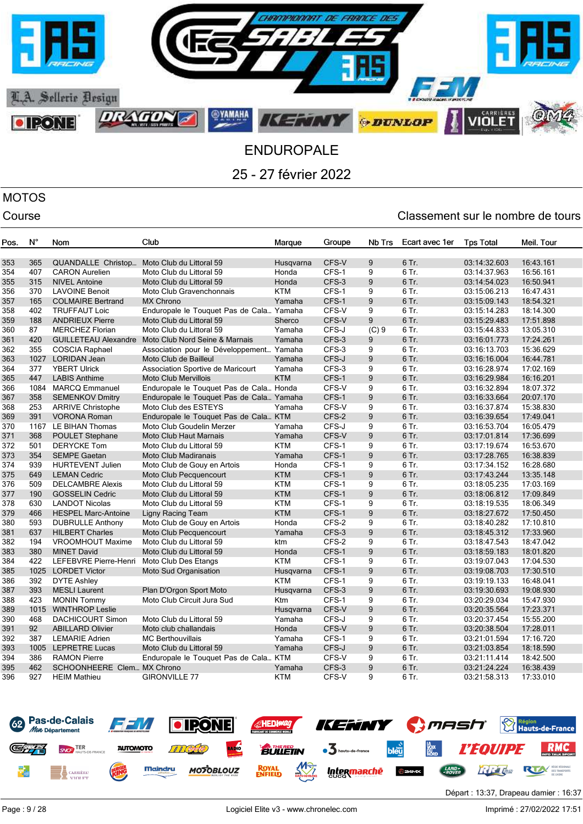

# MOTOS

| Pos. | N°   | Nom                         | Club                                     | Marque     | Groupe | Nb Trs | Ecart avec 1er | <b>Tps Total</b> | Meil. Tour |
|------|------|-----------------------------|------------------------------------------|------------|--------|--------|----------------|------------------|------------|
|      |      |                             |                                          |            |        |        |                |                  |            |
| 353  | 365  | QUANDALLE Christop          | Moto Club du Littoral 59                 | Husqvarna  | CFS-V  | 9      | 6 Tr.          | 03:14:32.603     | 16:43.161  |
| 354  | 407  | <b>CARON Aurelien</b>       | Moto Club du Littoral 59                 | Honda      | CFS-1  | 9      | 6 Tr.          | 03:14:37.963     | 16:56.161  |
| 355  | 315  | <b>NIVEL Antoine</b>        | Moto Club du Littoral 59                 | Honda      | CFS-3  | 9      | 6 Tr.          | 03:14:54.023     | 16:50.941  |
| 356  | 370  | <b>LAVOINE Benoit</b>       | Moto Club Gravenchonnais                 | <b>KTM</b> | CFS-1  | 9      | 6 Tr.          | 03:15:06.213     | 16:47.431  |
| 357  | 165  | <b>COLMAIRE Bertrand</b>    | <b>MX Chrono</b>                         | Yamaha     | CFS-1  | 9      | 6 Tr.          | 03:15:09.143     | 18:54.321  |
| 358  | 402  | <b>TRUFFAUT Loic</b>        | Enduropale le Touquet Pas de Cala Yamaha |            | CFS-V  | 9      | 6 Tr.          | 03:15:14.283     | 18:14.300  |
| 359  | 188  | <b>ANDRIEUX Pierre</b>      | Moto Club du Littoral 59                 | Sherco     | CFS-V  | 9      | 6 Tr.          | 03:15:29.483     | 17:51.898  |
| 360  | 87   | <b>MERCHEZ Florian</b>      | Moto Club du Littoral 59                 | Yamaha     | CFS-J  | (C)9   | 6 Tr.          | 03:15:44.833     | 13:05.310  |
| 361  | 420  | <b>GUILLETEAU Alexandre</b> | Moto Club Nord Seine & Marnais           | Yamaha     | CFS-3  | 9      | 6 Tr.          | 03:16:01.773     | 17:24.261  |
| 362  | 355  | <b>COSCIA Raphael</b>       | Association pour le Développement Yamaha |            | CFS-3  | 9      | 6 Tr.          | 03:16:13.703     | 15:36.629  |
| 363  | 1027 | <b>LORIDAN Jean</b>         | Moto Club de Bailleul                    | Yamaha     | CFS-J  | 9      | 6 Tr.          | 03:16:16.004     | 16:44.781  |
| 364  | 377  | <b>YBERT Ulrick</b>         | Association Sportive de Maricourt        | Yamaha     | CFS-3  | 9      | 6 Tr.          | 03:16:28.974     | 17:02.169  |
| 365  | 447  | <b>LABIS Anthime</b>        | <b>Moto Club Mervillois</b>              | <b>KTM</b> | CFS-1  | 9      | 6 Tr.          | 03:16:29.984     | 16:16.201  |
| 366  | 1084 | <b>MARCQ Emmanuel</b>       | Enduropale le Touquet Pas de Cala Honda  |            | CFS-V  | 9      | 6 Tr.          | 03:16:32.894     | 18:07.372  |
| 367  | 358  | <b>SEMENKOV Dmitry</b>      | Enduropale le Touquet Pas de Cala Yamaha |            | CFS-1  | 9      | 6 Tr.          | 03:16:33.664     | 20:07.170  |
| 368  | 253  | <b>ARRIVE Christophe</b>    | Moto Club des ESTEYS                     | Yamaha     | CFS-V  | 9      | 6 Tr.          | 03:16:37.874     | 15:38.830  |
| 369  | 391  | <b>VORONA Roman</b>         | Enduropale le Touquet Pas de Cala KTM    |            | CFS-2  | 9      | 6 Tr.          | 03:16:39.654     | 17:49.041  |
| 370  | 1167 | LE BIHAN Thomas             | Moto Club Goudelin Merzer                | Yamaha     | CFS-J  | 9      | 6 Tr.          | 03:16:53.704     | 16:05.479  |
| 371  | 368  | <b>POULET Stephane</b>      | <b>Moto Club Haut Marnais</b>            | Yamaha     | CFS-V  | 9      | 6 Tr.          | 03:17:01.814     | 17:36.699  |
| 372  | 501  | <b>DERYCKE Tom</b>          | Moto Club du Littoral 59                 | <b>KTM</b> | CFS-1  | 9      | 6 Tr.          | 03:17:19.674     | 16:53.670  |
| 373  | 354  | <b>SEMPE Gaetan</b>         | <b>Moto Club Madiranais</b>              | Yamaha     | CFS-1  | 9      | 6 Tr.          | 03:17:28.765     | 16:38.839  |
| 374  | 939  | <b>HURTEVENT Julien</b>     | Moto Club de Gouy en Artois              | Honda      | CFS-1  | 9      | 6 Tr.          | 03:17:34.152     | 16:28.680  |
| 375  | 649  | <b>LEMAN Cedric</b>         | Moto Club Pecquencourt                   | <b>KTM</b> | CFS-1  | 9      | 6 Tr.          | 03:17:43.244     | 13:35.148  |
| 376  | 509  | <b>DELCAMBRE Alexis</b>     | Moto Club du Littoral 59                 | <b>KTM</b> | CFS-1  | 9      | 6 Tr.          | 03:18:05.235     | 17:03.169  |
| 377  | 190  | <b>GOSSELIN Cedric</b>      | Moto Club du Littoral 59                 | <b>KTM</b> | CFS-1  | 9      | 6 Tr.          | 03:18:06.812     | 17:09.849  |
| 378  | 630  | <b>LANDOT Nicolas</b>       | Moto Club du Littoral 59                 | <b>KTM</b> | CFS-1  | 9      | 6 Tr.          | 03:18:19.535     | 18:06.349  |
| 379  | 466  | <b>HESPEL Marc-Antoine</b>  | <b>Ligny Racing Team</b>                 | <b>KTM</b> | CFS-1  | 9      | 6 Tr.          | 03:18:27.672     | 17:50.450  |
| 380  | 593  | <b>DUBRULLE Anthony</b>     | Moto Club de Gouy en Artois              | Honda      | CFS-2  | 9      | 6 Tr.          | 03:18:40.282     | 17:10.810  |
| 381  | 637  | <b>HILBERT Charles</b>      | Moto Club Pecquencourt                   | Yamaha     | CFS-3  | 9      | 6 Tr.          | 03:18:45.312     | 17:33.960  |
| 382  | 194  | <b>VROOMHOUT Maxime</b>     | Moto Club du Littoral 59                 | ktm        | CFS-2  | 9      | 6 Tr.          | 03:18:47.543     | 18:47.042  |
| 383  | 380  | <b>MINET David</b>          | Moto Club du Littoral 59                 | Honda      | CFS-1  | 9      | 6 Tr.          | 03:18:59.183     | 18:01.820  |
| 384  | 422  | LEFEBVRE Pierre-Henri       | Moto Club Des Etangs                     | <b>KTM</b> | CFS-1  | 9      | 6 Tr.          | 03:19:07.043     | 17:04.530  |
| 385  | 1025 | <b>LORDET Victor</b>        | <b>Moto Sud Organisation</b>             | Husqvarna  | CFS-1  | 9      | 6 Tr.          | 03:19:08.703     | 17:30.510  |
| 386  | 392  | <b>DYTE Ashley</b>          |                                          | <b>KTM</b> | CFS-1  | 9      | 6 Tr.          | 03:19:19.133     | 16:48.041  |
| 387  | 393  | <b>MESLI Laurent</b>        | Plan D'Orgon Sport Moto                  | Husqvarna  | CFS-3  | 9      | 6 Tr.          | 03:19:30.693     | 19:08.930  |
| 388  | 423  | <b>MONIN Tommy</b>          | Moto Club Circuit Jura Sud               | Ktm        | CFS-1  | 9      | 6 Tr.          | 03:20:29.034     | 15:47.930  |
| 389  | 1015 | <b>WINTHROP Leslie</b>      |                                          | Husqvarna  | CFS-V  | 9      | 6 Tr.          | 03:20:35.564     | 17:23.371  |
| 390  | 468  | <b>DACHICOURT Simon</b>     | Moto Club du Littoral 59                 | Yamaha     | CFS-J  | 9      | 6 Tr.          | 03:20:37.454     | 15:55.200  |
| 391  | 92   | <b>ABILLARD Olivier</b>     | Moto club challandais                    | Honda      | CFS-V  | 9      | 6 Tr.          | 03:20:38.504     | 17:28.011  |
| 392  | 387  | <b>LEMARIE Adrien</b>       | <b>MC Berthouvillais</b>                 | Yamaha     | CFS-1  | 9      | 6 Tr.          | 03:21:01.594     | 17:16.720  |
| 393  | 1005 | <b>LEPRETRE Lucas</b>       | Moto Club du Littoral 59                 | Yamaha     | CFS-J  | 9      | 6 Tr.          |                  |            |
|      | 386  | <b>RAMON Pierre</b>         |                                          |            |        | 9      | 6 Tr.          | 03:21:03.854     | 18:18.590  |
| 394  |      |                             | Enduropale le Touquet Pas de Cala KTM    |            | CFS-V  |        |                | 03:21:11.414     | 18:42.500  |
| 395  | 462  | SCHOONHEERE Clem MX Chrono  |                                          | Yamaha     | CFS-3  | 9      | 6 Tr.          | 03:21:24.224     | 16:38.439  |
| 396  | 927  | <b>HEIM Mathieu</b>         | <b>GIRONVILLE 77</b>                     | KTM        | CFS-V  | 9      | 6 Tr.          | 03:21:58.313     | 17:33.010  |

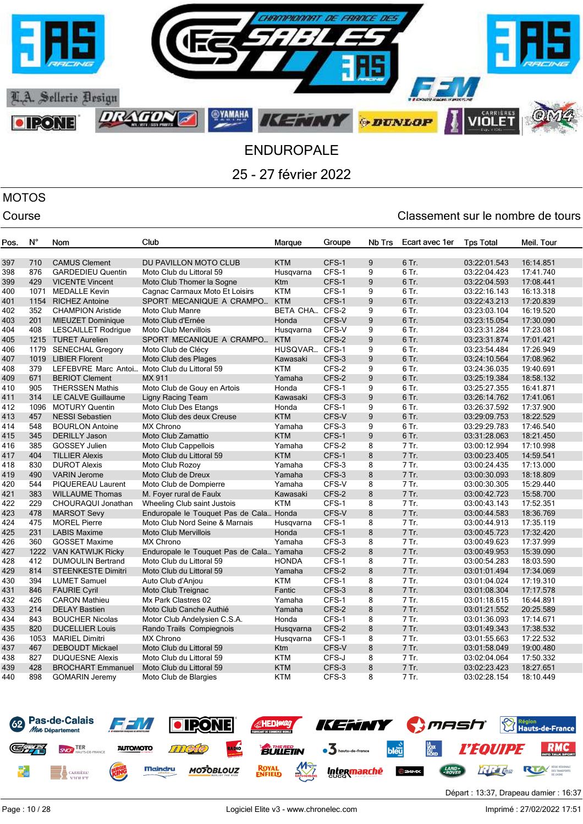

# MOTOS

## Course Course Course Course Course Course Course Course Course Course Course Course Course Course Course Cours

| Pos.       | N°          | Nom                                             | Club                                     | Marque           | Groupe         | Nb Trs | Ecart avec 1er | <b>Tps Total</b>             | Meil. Tour             |
|------------|-------------|-------------------------------------------------|------------------------------------------|------------------|----------------|--------|----------------|------------------------------|------------------------|
| 397        | 710         | <b>CAMUS Clement</b>                            | DU PAVILLON MOTO CLUB                    | <b>KTM</b>       | CFS-1          | 9      | 6 Tr.          | 03:22:01.543                 | 16:14.851              |
| 398        | 876         | <b>GARDEDIEU Quentin</b>                        | Moto Club du Littoral 59                 | Husgvarna        | CFS-1          | 9      | 6 Tr.          | 03:22:04.423                 | 17:41.740              |
| 399        | 429         | <b>VICENTE Vincent</b>                          | Moto Club Thomer la Sogne                | Ktm              | CFS-1          | 9      | 6 Tr.          | 03:22:04.593                 | 17:08.441              |
| 400        | 1071        | <b>MEDALLE Kevin</b>                            | Cagnac Carmaux Moto Et Loisirs           | <b>KTM</b>       | CFS-1          | 9      | 6 Tr.          | 03:22:16.143                 | 16:13.318              |
| 401        | 1154        | <b>RICHEZ Antoine</b>                           | SPORT MECANIQUE A CRAMPO                 | <b>KTM</b>       | CFS-1          | 9      | 6 Tr.          | 03:22:43.213                 | 17:20.839              |
| 402        | 352         | <b>CHAMPION Aristide</b>                        | Moto Club Manre                          | BETA CHA         | CFS-2          | 9      | 6 Tr.          | 03:23:03.104                 | 16:19.520              |
| 403        | 201         | <b>MIEUZET Dominique</b>                        | Moto Club d'Ernée                        | Honda            | CFS-V          | 9      | 6 Tr.          | 03:23:15.054                 | 17:30.090              |
| 404        | 408         | <b>LESCAILLET Rodrigue</b>                      | <b>Moto Club Mervillois</b>              | Husqvarna        | CFS-V          | 9      | 6 Tr.          | 03:23:31.284                 | 17:23.081              |
| 405        | 1215        | <b>TURET Aurelien</b>                           | SPORT MECANIQUE A CRAMPO                 | <b>KTM</b>       | CFS-2          | 9      | 6 Tr.          | 03:23:31.874                 | 17:01.421              |
| 406        | 1179        | <b>SENECHAL Gregory</b>                         | Moto Club de Clécy                       | HUSQVAR          | CFS-1          | 9      | 6 Tr.          | 03:23:54.484                 | 17:26.949              |
| 407        | 1019        | <b>LIBIER Florent</b>                           | Moto Club des Plages                     | Kawasaki         | CFS-3          | 9      | 6 Tr.          | 03:24:10.564                 | 17:08.962              |
| 408        | 379         | LEFEBVRE Marc Antoi                             | Moto Club du Littoral 59                 | <b>KTM</b>       | CFS-2          | 9      | 6 Tr.          | 03:24:36.035                 | 19:40.691              |
| 409        | 671         | <b>BERIOT Clement</b>                           | MX 911                                   | Yamaha           | CFS-2          | 9      | 6 Tr.          | 03:25:19.384                 | 18:58.132              |
| 410        | 905         | <b>THERSSEN Mathis</b>                          | Moto Club de Gouy en Artois              | Honda            | CFS-1          | 9      | 6 Tr.          | 03:25:27.355                 | 16:41.871              |
| 411        | 314         | LE CALVE Guillaume                              | Ligny Racing Team                        | Kawasaki         | CFS-3          | 9      | 6 Tr.          | 03:26:14.762                 | 17:41.061              |
| 412        | 1096        | <b>MOTURY Quentin</b>                           | Moto Club Des Etangs                     | Honda            | CFS-1          | 9      | 6 Tr.          | 03:26:37.592                 | 17:37.900              |
| 413        | 457         | <b>NESSI Sebastien</b>                          | Moto Club des deux Creuse                | <b>KTM</b>       | CFS-V          | 9      | 6 Tr.          | 03:29:09.753                 | 18:22.529              |
| 414        | 548         | <b>BOURLON Antoine</b>                          | <b>MX Chrono</b>                         | Yamaha           | CFS-3          | 9      | 6 Tr.          | 03:29:29.783                 | 17:46.540              |
| 415        | 345         | <b>DERILLY Jason</b>                            | Moto Club Zamattio                       | <b>KTM</b>       | CFS-1          | 9      | 6 Tr.          | 03:31:28.063                 | 18:21.450              |
| 416        | 385         | <b>GOSSEY Julien</b>                            | Moto Club Cappellois                     | Yamaha           | CFS-2          | 8      | 7 Tr.          | 03:00:12.994                 | 17:10.998              |
| 417        | 404         | <b>TILLIER Alexis</b>                           | Moto Club du Littoral 59                 | <b>KTM</b>       | CFS-1          | 8      | 7 Tr.          | 03:00:23.405                 | 14:59.541              |
| 418        | 830         | <b>DUROT Alexis</b>                             | Moto Club Rozoy                          | Yamaha           | CFS-3          | 8      | 7 Tr.          | 03:00:24.435                 | 17:13.000              |
| 419        | 490         | <b>VARIN Jerome</b>                             | Moto Club de Dreux                       | Yamaha           | CFS-3          | 8      | 7 Tr.          | 03:00:30.093                 | 18:18.809              |
| 420        | 544         | PIQUEREAU Laurent                               | Moto Club de Dompierre                   | Yamaha           | CFS-V          | 8      | 7 Tr.          | 03:00:30.305                 | 15:29.440              |
| 421        | 383         | <b>WILLAUME Thomas</b>                          | M. Foyer rural de Faulx                  | Kawasaki         | CFS-2          | 8      | 7 Tr.          | 03:00:42.723                 | 15:58.700              |
| 422        | 229         | CHOURAQUI Jonathan                              | Wheeling Club saint Justois              | <b>KTM</b>       | CFS-1          | 8      | 7 Tr.          | 03:00:43.143                 | 17:52.351              |
| 423        | 478         | <b>MARSOT Sevy</b>                              | Enduropale le Touquet Pas de Cala Honda  |                  | CFS-V          | 8      | 7 Tr.          | 03:00:44.583                 | 18:36.769              |
| 424        | 475         | <b>MOREL Pierre</b>                             | Moto Club Nord Seine & Marnais           | Husqvarna        | CFS-1          | 8      | 7 Tr.          | 03:00:44.913                 | 17:35.119              |
| 425        | 231         | <b>LABIS Maxime</b>                             | <b>Moto Club Mervillois</b>              | Honda            | CFS-1          | 8      | 7 Tr.          | 03:00:45.723                 | 17:32.420              |
| 426        | 360         | <b>GOSSET Maxime</b>                            | MX Chrono                                | Yamaha           | CFS-3          | 8      | 7 Tr.          | 03:00:49.623                 | 17:37.999              |
| 427        | 1222        | <b>VAN KATWIJK Ricky</b>                        | Enduropale le Touquet Pas de Cala Yamaha |                  | CFS-2          | 8      | 7 Tr.          | 03:00:49.953                 | 15:39.090              |
| 428        | 412         | <b>DUMOULIN Bertrand</b>                        | Moto Club du Littoral 59                 | <b>HONDA</b>     | CFS-1          | 8      | 7 Tr.          | 03:00:54.283                 | 18:03.590              |
| 429        | 814         | <b>STEENKESTE Dimitri</b>                       | Moto Club du Littoral 59                 | Yamaha           | CFS-2          | 8      | 7 Tr.          | 03:01:01.494                 | 17:34.069              |
| 430        | 394         | <b>LUMET Samuel</b>                             | Auto Club d'Anjou                        | <b>KTM</b>       | CFS-1          | 8      | 7 Tr.          | 03:01:04.024                 | 17:19.310              |
| 431        | 846         | <b>FAURIE Cyril</b>                             | Moto Club Treignac                       | Fantic           | CFS-3          | 8      | 7 Tr.          | 03:01:08.304                 | 17:17.578              |
| 432        | 426         | <b>CARON Mathieu</b>                            | Mx Park Clastres 02                      | Yamaha           | CFS-1          | 8      | 7 Tr.          | 03:01:18.615                 | 16:44.891              |
| 433        | 214         | <b>DELAY Bastien</b>                            | Moto Club Canche Authié                  | Yamaha           | CFS-2          | 8      | 7 Tr.          | 03:01:21.552                 | 20:25.589              |
| 434        | 843         | <b>BOUCHER Nicolas</b>                          | Motor Club Andelysien C.S.A.             | Honda            | CFS-1          | 8      | 7 Tr.          | 03:01:36.093                 | 17:14.671              |
| 435        | 820<br>1053 | <b>DUCELLIER Louis</b>                          | Rando Trails Compiegnois<br>MX Chrono    | Husqvarna        | CFS-2<br>CFS-1 | 8<br>8 | 7 Tr.          | 03:01:49.343                 | 17:38.532              |
| 436<br>437 | 467         | <b>MARIEL Dimitri</b><br><b>DEBOUDT Mickael</b> | Moto Club du Littoral 59                 | Husqvarna<br>Ktm | CFS-V          | 8      | 7 Tr.<br>7 Tr. | 03:01:55.663                 | 17:22.532              |
| 438        | 827         | <b>DUQUESNE Alexis</b>                          | Moto Club du Littoral 59                 | <b>KTM</b>       | CFS-J          | 8      | 7 Tr.          | 03:01:58.049<br>03:02:04.064 | 19:00.480<br>17:50.332 |
| 439        | 428         | <b>BROCHART Emmanuel</b>                        | Moto Club du Littoral 59                 | <b>KTM</b>       | CFS-3          | 8      | 7 Tr.          | 03:02:23.423                 | 18:27.651              |
| 440        | 898         | <b>GOMARIN Jeremy</b>                           | Moto Club de Blargies                    | <b>KTM</b>       | CFS-3          | 8      | 7 Tr.          | 03:02:28.154                 | 18:10.449              |
|            |             |                                                 |                                          |                  |                |        |                |                              |                        |

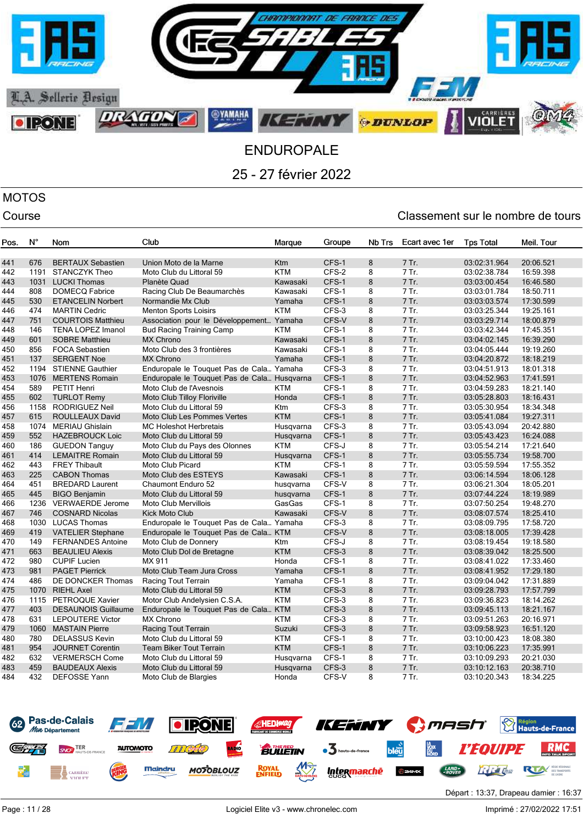

# MOTOS

| Pos. | $N^{\circ}$ | Nom                        | Club                                        | Marque     | Groupe | Nb Trs | Ecart avec 1er | <b>Tps Total</b> | Meil. Tour |
|------|-------------|----------------------------|---------------------------------------------|------------|--------|--------|----------------|------------------|------------|
|      |             |                            |                                             |            |        |        |                |                  |            |
| 441  | 676         | <b>BERTAUX Sebastien</b>   | Union Moto de la Marne                      | <b>Ktm</b> | CFS-1  | 8      | 7 Tr.          | 03:02:31.964     | 20:06.521  |
| 442  | 1191        | <b>STANCZYK Theo</b>       | Moto Club du Littoral 59                    | <b>KTM</b> | CFS-2  | 8      | 7 Tr.          | 03:02:38.784     | 16:59.398  |
| 443  | 1031        | <b>LUCKI Thomas</b>        | Planète Quad                                | Kawasaki   | CFS-1  | 8      | 7 Tr.          | 03:03:00.454     | 16:46.580  |
| 444  | 808         | <b>DOMECQ Fabrice</b>      | Racing Club De Beaumarchès                  | Kawasaki   | CFS-1  | 8      | 7 Tr.          | 03:03:01.784     | 18:50.711  |
| 445  | 530         | <b>ETANCELIN Norbert</b>   | Normandie Mx Club                           | Yamaha     | CFS-1  | 8      | 7 Tr.          | 03:03:03.574     | 17:30.599  |
| 446  | 474         | <b>MARTIN Cedric</b>       | <b>Menton Sports Loisirs</b>                | <b>KTM</b> | CFS-3  | 8      | 7 Tr.          | 03:03:25.344     | 19:25.161  |
| 447  | 751         | <b>COURTOIS Matthieu</b>   | Association pour le Développement Yamaha    |            | CFS-V  | 8      | 7 Tr.          | 03:03:29.714     | 18:00.879  |
| 448  | 146         | <b>TENA LOPEZ Imanol</b>   | <b>Bud Racing Training Camp</b>             | <b>KTM</b> | CFS-1  | 8      | 7 Tr.          | 03:03:42.344     | 17:45.351  |
| 449  | 601         | <b>SOBRE Matthieu</b>      | <b>MX Chrono</b>                            | Kawasaki   | CFS-1  | 8      | 7 Tr.          | 03:04:02.145     | 16:39.290  |
| 450  | 856         | <b>FOCA Sebastien</b>      | Moto Club des 3 frontières                  | Kawasaki   | CFS-1  | 8      | 7 Tr.          | 03:04:05.444     | 19:19.260  |
| 451  | 137         | <b>SERGENT Noe</b>         | <b>MX Chrono</b>                            | Yamaha     | CFS-1  | 8      | 7 Tr.          | 03:04:20.872     | 18:18.219  |
| 452  |             | 1194 STIENNE Gauthier      | Enduropale le Touquet Pas de Cala Yamaha    |            | CFS-3  | 8      | 7 Tr.          | 03:04:51.913     | 18:01.318  |
| 453  | 1076        | <b>MERTENS Romain</b>      | Enduropale le Touquet Pas de Cala Husqvarna |            | CFS-1  | 8      | 7 Tr.          | 03:04:52.963     | 17:41.591  |
| 454  | 589         | <b>PETIT Henri</b>         | Moto Club de l'Avesnois                     | <b>KTM</b> | CFS-1  | 8      | 7 Tr.          | 03:04:59.283     | 18:21.140  |
| 455  | 602         | <b>TURLOT Remy</b>         | Moto Club Tilloy Floriville                 | Honda      | CFS-1  | 8      | 7 Tr.          | 03:05:28.803     | 18:16.431  |
| 456  | 1158        | RODRIGUEZ Neil             | Moto Club du Littoral 59                    | Ktm        | CFS-3  | 8      | 7 Tr.          | 03:05:30.954     | 18:34.348  |
| 457  | 615         | <b>ROULLEAUX David</b>     | Moto Club Les Pommes Vertes                 | <b>KTM</b> | CFS-1  | 8      | 7 Tr.          | 03:05:41.084     | 19:27.311  |
| 458  | 1074        | <b>MERIAU Ghislain</b>     | <b>MC Holeshot Herbretais</b>               | Husqvarna  | CFS-3  | 8      | 7 Tr.          | 03:05:43.094     | 20:42.880  |
| 459  | 552         | <b>HAZEBROUCK Loic</b>     | Moto Club du Littoral 59                    | Husqvarna  | CFS-1  | 8      | 7 Tr.          | 03:05:43.423     | 16:24.088  |
| 460  | 186         | <b>GUEDON Tanguy</b>       | Moto Club du Pays des Olonnes               | <b>KTM</b> | CFS-J  | 8      | 7 Tr.          | 03:05:54.214     | 17:21.640  |
| 461  | 414         | <b>LEMAITRE Romain</b>     | Moto Club du Littoral 59                    | Husqvarna  | CFS-1  | 8      | 7 Tr.          | 03:05:55.734     | 19:58.700  |
| 462  | 443         | <b>FREY Thibault</b>       | Moto Club Picard                            | <b>KTM</b> | CFS-1  | 8      | 7 Tr.          | 03:05:59.594     | 17:55.352  |
| 463  | 225         | <b>CABON Thomas</b>        | Moto Club des ESTEYS                        | Kawasaki   | CFS-1  | 8      | 7 Tr.          | 03:06:14.594     | 18:06.128  |
| 464  | 451         | <b>BREDARD Laurent</b>     | Chaumont Enduro 52                          | husqvarna  | CFS-V  | 8      | 7 Tr.          | 03:06:21.304     | 18:05.201  |
| 465  | 445         | <b>BIGO Benjamin</b>       | Moto Club du Littoral 59                    | husqvarna  | CFS-1  | 8      | 7 Tr.          | 03:07:44.224     | 18:19.989  |
| 466  | 1236        | <b>VERWAERDE Jerome</b>    | <b>Moto Club Mervillois</b>                 | GasGas     | CFS-1  | 8      | 7 Tr.          | 03:07:50.254     | 19:48.270  |
| 467  | 746         | <b>COSNARD Nicolas</b>     | <b>Kick Moto Club</b>                       | Kawasaki   | CFS-V  | 8      | 7 Tr.          | 03:08:07.574     | 18:25.410  |
| 468  | 1030        | <b>LUCAS Thomas</b>        | Enduropale le Touquet Pas de Cala Yamaha    |            | CFS-3  | 8      | 7 Tr.          | 03:08:09.795     | 17:58.720  |
| 469  | 419         | <b>VATELIER Stephane</b>   | Enduropale le Touquet Pas de Cala KTM       |            | CFS-V  | 8      | 7 Tr.          | 03:08:18.005     | 17:39.428  |
| 470  | 149         | <b>FERNANDES Antoine</b>   | Moto Club de Donnery                        | Ktm        | CFS-J  | 8      | 7 Tr.          | 03:08:19.454     | 19:18.580  |
| 471  | 663         | <b>BEAULIEU Alexis</b>     | Moto Club Dol de Bretagne                   | <b>KTM</b> | CFS-3  | 8      | 7 Tr.          | 03:08:39.042     | 18:25.500  |
| 472  | 980         | <b>CUPIF Lucien</b>        | MX 911                                      | Honda      | CFS-1  | 8      | 7 Tr.          | 03:08:41.022     | 17:33.460  |
| 473  | 981         | <b>PAGET Pierrick</b>      | Moto Club Team Jura Cross                   | Yamaha     | CFS-1  | 8      | 7 Tr.          | 03:08:41.952     | 17:29.180  |
| 474  | 486         | DE DONCKER Thomas          | Racing Tout Terrain                         | Yamaha     | CFS-1  | 8      | 7 Tr.          | 03:09:04.042     | 17:31.889  |
| 475  | 1070        | <b>RIEHL Axel</b>          | Moto Club du Littoral 59                    | <b>KTM</b> | CFS-3  | 8      | 7 Tr.          | 03:09:28.793     | 17:57.799  |
| 476  | 1115        | PETROQUE Xavier            | Motor Club Andelysien C.S.A.                | <b>KTM</b> | CFS-3  | 8      | 7 Tr.          | 03:09:36.823     | 18:14.262  |
| 477  | 403         | <b>DESAUNOIS Guillaume</b> | Enduropale le Touquet Pas de Cala KTM       |            | CFS-3  | 8      | 7 Tr.          | 03:09:45.113     | 18:21.167  |
| 478  | 631         | <b>LEPOUTERE Victor</b>    | <b>MX Chrono</b>                            | <b>KTM</b> | CFS-3  | 8      | 7 Tr.          | 03:09:51.263     | 20:16.971  |
| 479  | 1060        | <b>MASTAIN Pierre</b>      | Racing Tout Terrain                         | Suzuki     | CFS-3  | 8      | 7 Tr.          | 03:09:58.923     | 16:51.120  |
| 480  | 780         | <b>DELASSUS Kevin</b>      | Moto Club du Littoral 59                    | <b>KTM</b> | CFS-1  | 8      | 7 Tr.          | 03:10:00.423     | 18:08.380  |
| 481  | 954         | <b>JOURNET Corentin</b>    | <b>Team Biker Tout Terrain</b>              | <b>KTM</b> | CFS-1  | 8      | 7 Tr.          | 03:10:06.223     | 17:35.991  |
| 482  | 632         | <b>VERMERSCH Come</b>      | Moto Club du Littoral 59                    | Husqvarna  | CFS-1  | 8      | 7 Tr.          | 03:10:09.293     | 20:21.030  |
| 483  | 459         | <b>BAUDEAUX Alexis</b>     | Moto Club du Littoral 59                    | Husqvarna  | CFS-3  | 8      | 7 Tr.          | 03:10:12.163     | 20:38.710  |
| 484  | 432         | <b>DEFOSSE Yann</b>        | Moto Club de Blargies                       | Honda      | CFS-V  | 8      | 7 Tr.          | 03:10:20.343     | 18:34.225  |

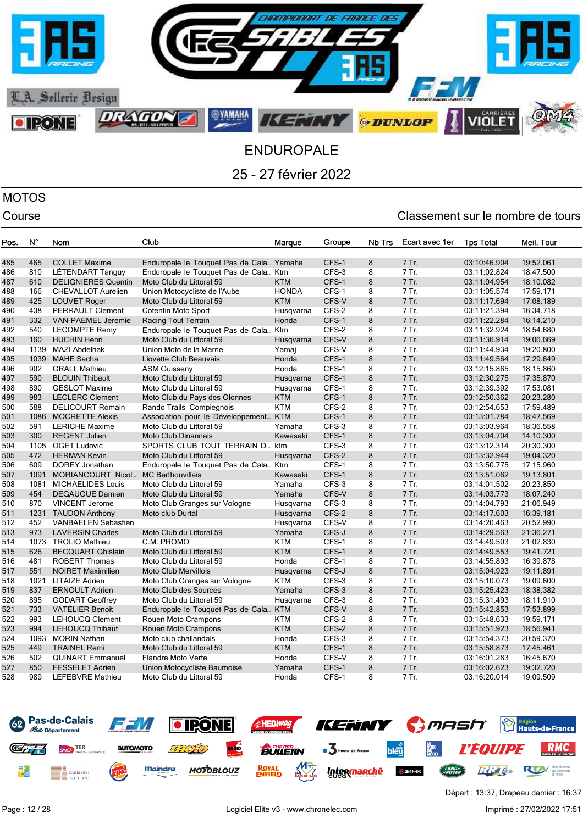

# MOTOS

| Pos. | N°   | Nom                        | Club                                     | Marque       | Groupe | <b>Nb Trs</b> | Ecart avec 1er | <b>Tps Total</b> | Meil. Tour |
|------|------|----------------------------|------------------------------------------|--------------|--------|---------------|----------------|------------------|------------|
|      |      |                            |                                          |              |        |               |                |                  |            |
| 485  | 465  | <b>COLLET Maxime</b>       | Enduropale le Touquet Pas de Cala Yamaha |              | CFS-1  | 8             | 7 Tr.          | 03:10:46.904     | 19:52.061  |
| 486  | 810  | LÉTENDART Tanguy           | Enduropale le Touquet Pas de Cala Ktm    |              | CFS-3  | 8             | 7 Tr.          | 03:11:02.824     | 18:47.500  |
| 487  | 610  | <b>DELIGNIERES Quentin</b> | Moto Club du Littoral 59                 | <b>KTM</b>   | CFS-1  | 8             | 7 Tr.          | 03:11:04.954     | 18:10.082  |
| 488  | 166  | <b>CHEVALLOT Aurelien</b>  | Union Motocycliste de l'Aube             | <b>HONDA</b> | CFS-1  | 8             | 7 Tr.          | 03:11:05.574     | 17:59.171  |
| 489  | 425  | <b>LOUVET Roger</b>        | Moto Club du Littoral 59                 | <b>KTM</b>   | CFS-V  | 8             | 7 Tr.          | 03:11:17.694     | 17:08.189  |
| 490  | 438  | <b>PERRAULT Clement</b>    | Cotentin Moto Sport                      | Husqvarna    | CFS-2  | 8             | 7 Tr.          | 03:11:21.394     | 16:34.718  |
| 491  | 332  | <b>VAN-PAEMEL Jeremie</b>  | Racing Tout Terrain                      | Honda        | CFS-1  | 8             | 7 Tr.          | 03:11:22.284     | 16:14.210  |
| 492  | 540  | <b>LECOMPTE Remy</b>       | Enduropale le Touquet Pas de Cala Ktm    |              | CFS-2  | 8             | 7 Tr.          | 03:11:32.924     | 18:54.680  |
| 493  | 160  | <b>HUCHIN Henri</b>        | Moto Club du Littoral 59                 | Husqvarna    | CFS-V  | 8             | 7 Tr.          | 03:11:36.914     | 19:06.669  |
| 494  | 1139 | <b>MAZI Abdelhak</b>       | Union Moto de la Marne                   | Yamaj        | CFS-V  | 8             | 7 Tr.          | 03:11:44.934     | 19:20.800  |
| 495  | 1039 | <b>MAHE Sacha</b>          | Liovette Club Beauvais                   | Honda        | CFS-1  | 8             | 7 Tr.          | 03:11:49.564     | 17:29.649  |
| 496  | 902  | <b>GRALL Mathieu</b>       | <b>ASM Guisseny</b>                      | Honda        | CFS-1  | 8             | 7 Tr.          | 03:12:15.865     | 18:15.860  |
| 497  | 590  | <b>BLOUIN Thibault</b>     | Moto Club du Littoral 59                 | Husgvarna    | CFS-1  | 8             | 7 Tr.          | 03:12:30.275     | 17:35.870  |
| 498  | 890  | <b>GESLOT Maxime</b>       | Moto Club du Littoral 59                 | Husqvarna    | CFS-1  | 8             | 7 Tr.          | 03:12:39.392     | 17:53.081  |
| 499  | 983  | <b>LECLERC Clement</b>     | Moto Club du Pays des Olonnes            | <b>KTM</b>   | CFS-1  | 8             | 7 Tr.          | 03:12:50.362     | 20:23.280  |
| 500  | 588  | <b>DELICOURT Romain</b>    | Rando Trails Compiegnois                 | <b>KTM</b>   | CFS-2  | 8             | 7 Tr.          | 03:12:54.653     | 17:59.489  |
| 501  | 1086 | <b>MOCRETTE Alexis</b>     | Association pour le Développement KTM    |              | CFS-1  | 8             | 7 Tr.          | 03:13:01.784     | 18:47.569  |
| 502  | 591  | <b>LERICHE Maxime</b>      | Moto Club du Littoral 59                 | Yamaha       | CFS-3  | 8             | 7 Tr.          | 03:13:03.964     | 18:36.558  |
| 503  | 300  | <b>REGENT Julien</b>       | <b>Moto Club Dinannais</b>               | Kawasaki     | CFS-1  | 8             | 7 Tr.          | 03:13:04.704     | 14:10.300  |
| 504  | 1105 | <b>OGET Ludovic</b>        | SPORTS CLUB TOUT TERRAIN D ktm           |              | CFS-3  | 8             | 7 Tr.          | 03:13:12.314     | 20:30.300  |
| 505  | 472  | <b>HERMAN Kevin</b>        | Moto Club du Littoral 59                 | Husgvarna    | CFS-2  | 8             | 7 Tr.          | 03:13:32.944     | 19:04.320  |
| 506  | 609  | <b>DOREY Jonathan</b>      | Enduropale le Touquet Pas de Cala Ktm    |              | CFS-1  | 8             | 7 Tr.          | 03:13:50.775     | 17:15.960  |
| 507  | 1091 | <b>MORIANCOURT Nicol</b>   | <b>MC Berthouvillais</b>                 | Kawasaki     | CFS-1  | 8             | 7 Tr.          | 03:13:51.062     | 19:13.801  |
| 508  | 1081 | <b>MICHAELIDES Louis</b>   | Moto Club du Littoral 59                 | Yamaha       | CFS-3  | 8             | 7 Tr.          | 03:14:01.502     | 20:23.850  |
| 509  | 454  | <b>DEGAUGUE Damien</b>     | Moto Club du Littoral 59                 | Yamaha       | CFS-V  | 8             | 7 Tr.          | 03:14:03.773     | 18:07.240  |
| 510  | 870  | <b>VINCENT Jerome</b>      | Moto Club Granges sur Vologne            | Husgvarna    | CFS-3  | 8             | 7 Tr.          | 03:14:04.793     | 21:06.949  |
| 511  | 1231 | <b>TAUDON Anthony</b>      | Moto club Durtal                         | Husqvarna    | CFS-2  | 8             | 7 Tr.          | 03:14:17.603     | 16:39.181  |
| 512  | 452  | <b>VANBAELEN Sebastien</b> |                                          | Husqvarna    | CFS-V  | 8             | 7 Tr.          | 03:14:20.463     | 20:52.990  |
| 513  | 973  | <b>LAVERSIN Charles</b>    | Moto Club du Littoral 59                 | Yamaha       | CFS-J  | 8             | 7 Tr.          | 03:14:29.563     | 21:36.271  |
| 514  | 1073 | <b>TROLIO Mathieu</b>      | C.M. PROMO                               | <b>KTM</b>   | CFS-1  | 8             | 7 Tr.          | 03:14:49.503     | 21:02.830  |
| 515  | 626  | <b>BECQUART Ghislain</b>   | Moto Club du Littoral 59                 | <b>KTM</b>   | CFS-1  | 8             | 7 Tr.          | 03:14:49.553     | 19:41.721  |
| 516  | 481  | <b>ROBERT Thomas</b>       | Moto Club du Littoral 59                 | Honda        | CFS-1  | 8             | 7 Tr.          | 03:14:55.893     | 16:39.878  |
| 517  | 551  | <b>NOIRET Maximilien</b>   | <b>Moto Club Mervillois</b>              | Husgvarna    | CFS-J  | 8             | 7 Tr.          | 03:15:04.923     | 19:11.891  |
| 518  | 1021 | <b>LITAIZE Adrien</b>      | Moto Club Granges sur Vologne            | <b>KTM</b>   | CFS-3  | 8             | $7$ Tr.        | 03:15:10.073     | 19:09.600  |
| 519  | 837  | <b>ERNOULT Adrien</b>      | Moto Club des Sources                    | Yamaha       | CFS-3  | 8             | 7 Tr.          | 03:15:25.423     | 18:38.382  |
| 520  | 895  | <b>GODART Geoffrey</b>     | Moto Club du Littoral 59                 | Husqvarna    | CFS-3  | 8             | 7 Tr.          | 03:15:31.493     | 18:11.910  |
| 521  | 733  | <b>VATELIER Benoit</b>     | Enduropale le Touquet Pas de Cala KTM    |              | CFS-V  | 8             | 7 Tr.          | 03:15:42.853     | 17:53.899  |
| 522  | 993  | <b>LEHOUCQ Clement</b>     | Rouen Moto Crampons                      | <b>KTM</b>   | CFS-2  | 8             | 7 Tr.          | 03:15:48.633     | 19:59.171  |
| 523  | 994  | <b>LEHOUCQ Thibaut</b>     | Rouen Moto Crampons                      | <b>KTM</b>   | CFS-2  | 8             | 7 Tr.          | 03:15:51.923     | 18:56.941  |
| 524  | 1093 | <b>MORIN Nathan</b>        | Moto club challandais                    | Honda        | CFS-3  | 8             | 7 Tr.          | 03:15:54.373     | 20:59.370  |
| 525  | 449  | <b>TRAINEL Remi</b>        | Moto Club du Littoral 59                 | <b>KTM</b>   | CFS-1  | 8             | 7 Tr.          | 03:15:58.873     | 17:45.461  |
| 526  | 502  | <b>QUINART Emmanuel</b>    | <b>Flandre Moto Verte</b>                | Honda        | CFS-V  | 8             | 7 Tr.          | 03:16:01.283     | 16:45.670  |
| 527  | 850  | <b>FESSELET Adrien</b>     | Union Motocycliste Baumoise              | Yamaha       | CFS-1  | 8             | 7 Tr.          | 03:16:02.623     | 19:32.720  |
| 528  | 989  | <b>LEFEBVRE Mathieu</b>    | Moto Club du Littoral 59                 | Honda        | CFS-1  | 8             | 7 Tr.          | 03:16:20.014     | 19:09.509  |
|      |      |                            |                                          |              |        |               |                |                  |            |

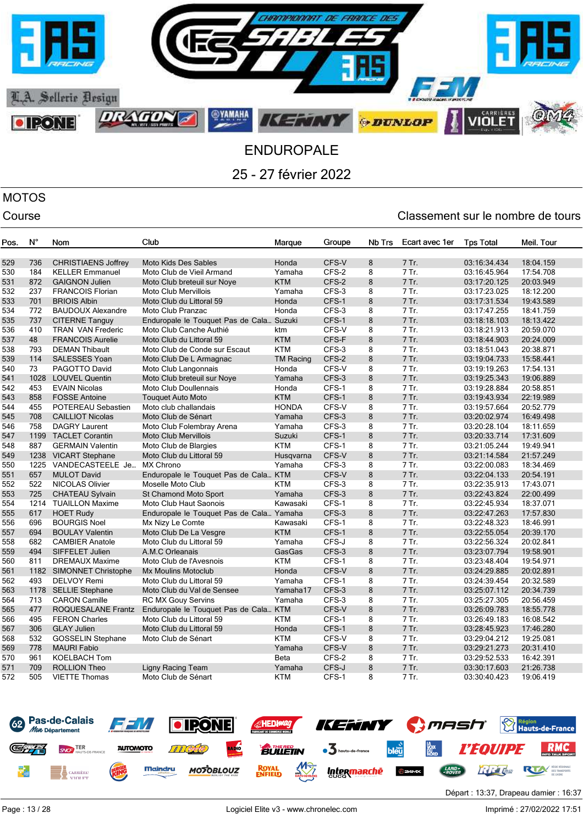

# MOTOS

## Course Course Course Course Course Course Course Course Course Course Course Course Course Course Course Cours

| Pos. | N°   | Nom                        | Club                                     | Marque           | Groupe | Nb Trs | Ecart avec 1er | <b>Tps Total</b> | Meil. Tour |
|------|------|----------------------------|------------------------------------------|------------------|--------|--------|----------------|------------------|------------|
| 529  | 736  | <b>CHRISTIAENS Joffrey</b> | <b>Moto Kids Des Sables</b>              | Honda            | CFS-V  | 8      | 7 Tr.          | 03:16:34.434     | 18:04.159  |
| 530  | 184  | <b>KELLER Emmanuel</b>     | Moto Club de Vieil Armand                | Yamaha           | CFS-2  | 8      | 7 Tr.          | 03:16:45.964     | 17:54.708  |
| 531  | 872  | <b>GAIGNON Julien</b>      | Moto Club breteuil sur Nove              | <b>KTM</b>       | CFS-2  | 8      | 7 Tr.          | 03:17:20.125     | 20:03.949  |
| 532  | 237  | <b>FRANCOIS Florian</b>    | <b>Moto Club Mervillois</b>              | Yamaha           | CFS-3  | 8      | 7 Tr.          | 03:17:23.025     | 18:12.200  |
| 533  | 701  | <b>BRIOIS Albin</b>        | Moto Club du Littoral 59                 | Honda            | CFS-1  | 8      | 7 Tr.          | 03:17:31.534     | 19:43.589  |
| 534  | 772  | <b>BAUDOUX Alexandre</b>   | Moto Club Pranzac                        | Honda            | CFS-3  | 8      | 7 Tr.          | 03:17:47.255     | 18:41.759  |
| 535  | 737  | <b>CITERNE Tanguy</b>      | Enduropale le Touquet Pas de Cala Suzuki |                  | CFS-1  | 8      | 7 Tr.          | 03:18:18.103     | 18:13.422  |
| 536  | 410  | <b>TRAN VAN Frederic</b>   | Moto Club Canche Authié                  | ktm              | CFS-V  | 8      | 7 Tr.          | 03:18:21.913     | 20:59.070  |
| 537  | 48   | <b>FRANCOIS Aurelie</b>    | Moto Club du Littoral 59                 | <b>KTM</b>       | CFS-F  | 8      | 7 Tr.          | 03:18:44.903     | 20:24.009  |
| 538  | 793  | <b>DEMAN Thibault</b>      | Moto Club de Conde sur Escaut            | <b>KTM</b>       | CFS-3  | 8      | 7 Tr.          | 03:18:51.043     | 20:38.871  |
| 539  | 114  | <b>SALESSES Yoan</b>       | Moto Club De L Armagnac                  | <b>TM Racing</b> | CFS-2  | 8      | 7 Tr.          | 03:19:04.733     | 15:58.441  |
| 540  | 73   | PAGOTTO David              | Moto Club Langonnais                     | Honda            | CFS-V  | 8      | 7 Tr.          | 03:19:19.263     | 17:54.131  |
| 541  | 1028 | <b>LOUVEL Quentin</b>      | Moto Club breteuil sur Nove              | Yamaha           | CFS-3  | 8      | 7 Tr.          | 03:19:25.343     | 19:06.889  |
| 542  | 453  | <b>EVAIN Nicolas</b>       | <b>Moto Club Doullennais</b>             | Honda            | CFS-1  | 8      | 7 Tr.          | 03:19:28.884     | 20:58.851  |
| 543  | 858  | <b>FOSSE Antoine</b>       | <b>Touquet Auto Moto</b>                 | <b>KTM</b>       | CFS-1  | 8      | 7 Tr.          | 03:19:43.934     | 22:19.989  |
| 544  | 455  | <b>POTEREAU Sebastien</b>  | Moto club challandais                    | <b>HONDA</b>     | CFS-V  | 8      | 7 Tr.          | 03:19:57.664     | 20:52.779  |
| 545  | 708  | <b>CAILLIOT Nicolas</b>    | Moto Club de Sénart                      | Yamaha           | CFS-3  | 8      | 7 Tr.          | 03:20:02.974     | 16:49.498  |
| 546  | 758  | <b>DAGRY Laurent</b>       | Moto Club Folembray Arena                | Yamaha           | CFS-3  | 8      | 7 Tr.          | 03:20:28.104     | 18:11.659  |
| 547  | 1199 | <b>TACLET Corantin</b>     | <b>Moto Club Mervillois</b>              | Suzuki           | CFS-1  | 8      | 7 Tr.          | 03:20:33.714     | 17:31.609  |
| 548  | 887  | <b>GERMAIN Valentin</b>    | Moto Club de Blargies                    | <b>KTM</b>       | CFS-1  | 8      | 7 Tr.          | 03:21:05.244     | 19:49.941  |
| 549  | 1238 | <b>VICART Stephane</b>     | Moto Club du Littoral 59                 | Husgvarna        | CFS-V  | 8      | 7 Tr.          | 03:21:14.584     | 21:57.249  |
| 550  | 1225 | VANDECASTEELE Je           | <b>MX Chrono</b>                         | Yamaha           | CFS-3  | 8      | 7 Tr.          | 03:22:00.083     | 18:34.469  |
| 551  | 657  | <b>MULOT David</b>         | Enduropale le Touquet Pas de Cala KTM    |                  | CFS-V  | 8      | 7 Tr.          | 03:22:04.133     | 20:54.191  |
| 552  | 522  | <b>NICOLAS Olivier</b>     | Moselle Moto Club                        | <b>KTM</b>       | CFS-3  | 8      | 7 Tr.          | 03:22:35.913     | 17:43.071  |
| 553  | 725  | <b>CHATEAU Sylvain</b>     | <b>St Chamond Moto Sport</b>             | Yamaha           | CFS-3  | 8      | 7 Tr.          | 03:22:43.824     | 22:00.499  |
| 554  |      | 1214 TUAILLON Maxime       | <b>Moto Club Haut Saonois</b>            | Kawasaki         | CFS-1  | 8      | 7 Tr.          | 03:22:45.934     | 18:37.071  |
| 555  | 617  | <b>HOET Rudy</b>           | Enduropale le Touquet Pas de Cala Yamaha |                  | CFS-3  | 8      | 7 Tr.          | 03:22:47.263     | 17:57.830  |
| 556  | 696  | <b>BOURGIS Noel</b>        | Mx Nizy Le Comte                         | Kawasaki         | CFS-1  | 8      | 7 Tr.          | 03:22:48.323     | 18:46.991  |
| 557  | 694  | <b>BOULAY Valentin</b>     | Moto Club De La Vesgre                   | <b>KTM</b>       | CFS-1  | 8      | 7 Tr.          | 03:22:55.054     | 20:39.170  |
| 558  | 682  | <b>CAMBIER Anatole</b>     | Moto Club du Littoral 59                 | Yamaha           | CFS-J  | 8      | 7 Tr.          | 03:22:56.324     | 20:02.841  |
| 559  | 494  | SIFFELET Julien            | A.M.C Orleanais                          | GasGas           | CFS-3  | 8      | 7 Tr.          | 03:23:07.794     | 19:58.901  |
| 560  | 811  | <b>DREMAUX Maxime</b>      | Moto Club de l'Avesnois                  | <b>KTM</b>       | CFS-1  | 8      | 7 Tr.          | 03:23:48.404     | 19:54.971  |
| 561  |      | 1182 SIMONNET Christophe   | <b>Mx Moulins Motoclub</b>               | Honda            | CFS-V  | 8      | 7 Tr.          | 03:24:29.885     | 20:02.891  |
| 562  | 493  | <b>DELVOY Remi</b>         | Moto Club du Littoral 59                 | Yamaha           | CFS-1  | 8      | 7 Tr.          | 03:24:39.454     | 20:32.589  |
| 563  |      | 1178 SELLIE Stephane       | Moto Club du Val de Sensee               | Yamaha17         | CFS-3  | 8      | 7 Tr.          | 03:25:07.112     | 20:34.739  |
| 564  | 713  | <b>CARON Camille</b>       | <b>RC MX Gouy Servins</b>                | Yamaha           | CFS-3  | 8      | 7 Tr.          | 03:25:27.305     | 20:56.459  |
| 565  | 477  | ROQUESALANE Frantz         | Enduropale le Touquet Pas de Cala KTM    |                  | CFS-V  | 8      | 7 Tr.          | 03:26:09.783     | 18:55.778  |
| 566  | 495  | <b>FERON Charles</b>       | Moto Club du Littoral 59                 | <b>KTM</b>       | CFS-1  | 8      | 7 Tr.          | 03:26:49.183     | 16:08.542  |
| 567  | 306  | <b>GLAY Julien</b>         | Moto Club du Littoral 59                 | Honda            | CFS-1  | 8      | 7 Tr.          | 03:28:45.923     | 17:46.280  |
| 568  | 532  | <b>GOSSELIN Stephane</b>   | Moto Club de Sénart                      | <b>KTM</b>       | CFS-V  | 8      | 7 Tr.          | 03:29:04.212     | 19:25.081  |
| 569  | 778  | <b>MAURI Fabio</b>         |                                          | Yamaha           | CFS-V  | 8      | 7 Tr.          | 03:29:21.273     | 20:31.410  |
| 570  | 961  | <b>KOELBACH Tom</b>        |                                          | Beta             | CFS-2  | 8      | 7 Tr.          | 03:29:52.533     | 16:42.391  |
| 571  | 709  | <b>ROLLION Theo</b>        | Ligny Racing Team                        | Yamaha           | CFS-J  | 8      | 7 Tr.          | 03:30:17.603     | 21:26.738  |
| 572  | 505  | <b>VIETTE Thomas</b>       | Moto Club de Sénart                      | <b>KTM</b>       | CFS-1  | 8      | 7 Tr.          | 03:30:40.423     | 19:06.419  |

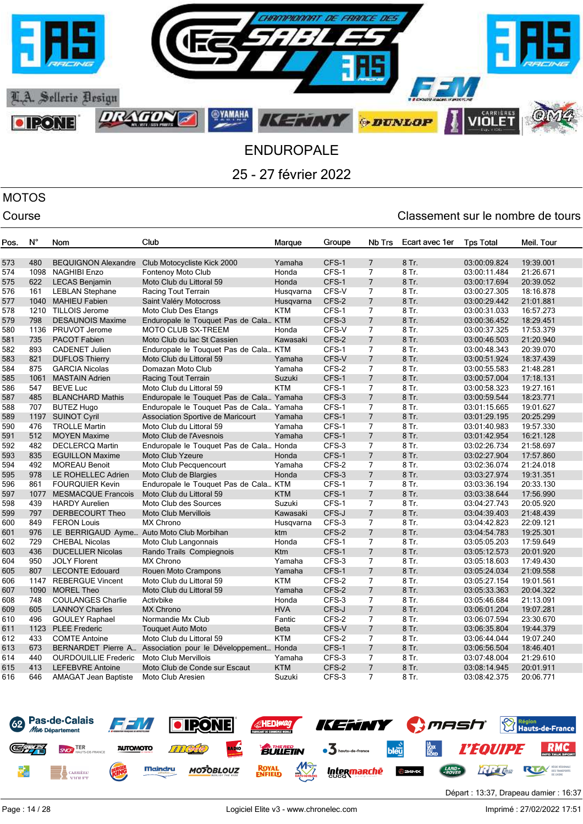

# MOTOS

### Course Course Course Course Course Course Course Course Course Course Course Course Course Course Course Cours

| Pos.       | Ν°         | Nom                                               | Club                                                       | Marque              | Groupe         | Nb Trs                           | Ecart avec 1er | <b>Tps Total</b>             | Meil. Tour             |
|------------|------------|---------------------------------------------------|------------------------------------------------------------|---------------------|----------------|----------------------------------|----------------|------------------------------|------------------------|
| 573        | 480        | <b>BEQUIGNON Alexandre</b>                        | Club Motocycliste Kick 2000                                | Yamaha              | CFS-1          | $\overline{7}$                   | 8 Tr.          | 03:00:09.824                 | 19:39.001              |
| 574        | 1098       | <b>NAGHIBI Enzo</b>                               | <b>Fontenoy Moto Club</b>                                  | Honda               | CFS-1          | $\overline{7}$                   | 8 Tr.          | 03:00:11.484                 | 21:26.671              |
| 575        | 622        | <b>LECAS Benjamin</b>                             | Moto Club du Littoral 59                                   | Honda               | CFS-1          | $\overline{7}$                   | 8 Tr.          | 03:00:17.694                 | 20:39.052              |
| 576        | 161        | <b>LEBLAN Stephane</b>                            | Racing Tout Terrain                                        | Husqvarna           | CFS-V          | $\overline{7}$                   | 8 Tr.          | 03:00:27.305                 | 18:16.878              |
| 577        | 1040       | <b>MAHIEU Fabien</b>                              | Saint Valéry Motocross                                     | Husqvarna           | CFS-2          | 7                                | 8 Tr.          | 03:00:29.442                 | 21:01.881              |
| 578        | 1210       | <b>TILLOIS Jerome</b>                             | Moto Club Des Etangs                                       | <b>KTM</b>          | CFS-1          | 7                                | 8 Tr.          | 03:00:31.033                 | 16:57.273              |
| 579        | 798        | <b>DESAUNOIS Maxime</b>                           | Enduropale le Touquet Pas de Cala KTM                      |                     | CFS-3          | $\overline{7}$                   | 8 Tr.          | 03:00:36.452                 | 18:29.451              |
| 580        | 1136       | PRUVOT Jerome                                     | <b>MOTO CLUB SX-TREEM</b>                                  | Honda               | CFS-V          | $\overline{7}$                   | 8 Tr.          | 03:00:37.325                 | 17:53.379              |
| 581        | 735        | PACOT Fabien                                      | Moto Club du lac St Cassien                                | Kawasaki            | CFS-2          | $\overline{7}$                   | 8 Tr.          | 03:00:46.503                 | 21:20.940              |
| 582        | 893        | <b>CADENET Julien</b>                             | Enduropale le Touquet Pas de Cala KTM                      |                     | CFS-1          | $\overline{7}$                   | 8 Tr.          | 03:00:48.343                 | 20:39.070              |
| 583        | 821        | <b>DUFLOS Thierry</b>                             | Moto Club du Littoral 59                                   | Yamaha              | CFS-V          | $\overline{7}$                   | 8 Tr.          | 03:00:51.924                 | 18:37.439              |
| 584        | 875        | <b>GARCIA Nicolas</b>                             | Domazan Moto Club                                          | Yamaha              | CFS-2          | $\overline{7}$                   | 8 Tr.          | 03:00:55.583                 | 21:48.281              |
| 585        | 1061       | <b>MASTAIN Adrien</b>                             | Racing Tout Terrain                                        | Suzuki              | CFS-1          | $\overline{7}$                   | 8 Tr.          | 03:00:57.004                 | 17:18.131              |
| 586        | 547        | <b>BEVE Luc</b>                                   | Moto Club du Littoral 59                                   | <b>KTM</b>          | CFS-1          | $\overline{7}$                   | 8 Tr.          | 03:00:58.323                 | 19:27.161              |
| 587        | 485        | <b>BLANCHARD Mathis</b>                           | Enduropale le Touquet Pas de Cala Yamaha                   |                     | CFS-3          | $\overline{7}$                   | 8 Tr.          | 03:00:59.544                 | 18:23.771              |
| 588        | 707        | <b>BUTEZ Hugo</b>                                 | Enduropale le Touquet Pas de Cala Yamaha                   |                     | CFS-1          | 7                                | 8 Tr.          | 03:01:15.665                 | 19:01.627              |
| 589        | 1197       | <b>SUINOT Cyril</b>                               | Association Sportive de Maricourt                          | Yamaha              | CFS-1          | 7                                | 8 Tr.          | 03:01:29.195                 | 20:25.299              |
| 590        | 476        | <b>TROLLE Martin</b>                              | Moto Club du Littoral 59                                   | Yamaha              | CFS-1          | 7                                | 8 Tr.          | 03:01:40.983                 | 19:57.330              |
| 591        | 512        | <b>MOYEN Maxime</b>                               | Moto Club de l'Avesnois                                    | Yamaha              | CFS-1          | $\overline{7}$                   | 8 Tr.          | 03:01:42.954                 | 16:21.128              |
| 592        | 482        | <b>DECLERCQ Martin</b>                            | Enduropale le Touquet Pas de Cala Honda                    |                     | CFS-3          | 7                                | 8 Tr.          | 03:02:26.734                 | 21:58.697              |
| 593        | 835        | <b>EGUILLON Maxime</b>                            | Moto Club Yzeure                                           | Honda               | CFS-1          | $\overline{7}$                   | 8 Tr.          | 03:02:27.904                 | 17:57.860              |
| 594        | 492        | <b>MOREAU Benoit</b>                              | Moto Club Pecquencourt                                     | Yamaha              | CFS-2          | $\overline{7}$                   | 8 Tr.          | 03:02:36.074                 | 21:24.018              |
| 595        | 978        | LE ROHELLEC Adrien                                | Moto Club de Blargies                                      | Honda               | CFS-3          | $\overline{7}$                   | 8 Tr.          | 03:03:27.974                 | 19:31.351              |
| 596        | 861        | <b>FOURQUIER Kevin</b>                            | Enduropale le Touquet Pas de Cala KTM                      |                     | CFS-1          | $\overline{7}$                   | 8 Tr.          | 03:03:36.194                 | 20:33.130              |
| 597        | 1077       | <b>MESMACQUE Francois</b>                         | Moto Club du Littoral 59                                   | <b>KTM</b>          | CFS-1          | $\overline{7}$                   | 8 Tr.          | 03:03:38.644                 | 17:56.990              |
| 598        | 439        | <b>HARDY Aurelien</b>                             | Moto Club des Sources                                      | Suzuki              | CFS-1          | $\overline{7}$                   | 8 Tr.          | 03:04:27.743                 | 20:05.920              |
| 599        | 797        | DERBECOURT Theo                                   | <b>Moto Club Mervillois</b>                                | Kawasaki            | CFS-J          | $\overline{7}$                   | 8 Tr.          | 03:04:39.403                 | 21:48.439              |
| 600        | 849        | <b>FERON Louis</b>                                | <b>MX Chrono</b>                                           | Husqvarna           | CFS-3          | 7                                | 8 Tr.          | 03:04:42.823                 | 22:09.121              |
| 601        | 976        |                                                   | LE BERRIGAUD Ayme Auto Moto Club Morbihan                  | ktm                 | CFS-2          | $\overline{7}$                   | 8 Tr.          | 03:04:54.783                 | 19:25.301              |
| 602        | 729        | <b>CHEBAL Nicolas</b>                             | Moto Club Langonnais                                       | Honda               | CFS-1          | $\overline{7}$                   | 8 Tr.          | 03:05:05.203                 | 17:59.649              |
| 603        | 436        | <b>DUCELLIER Nicolas</b>                          | Rando Trails Compiegnois                                   | Ktm                 | CFS-1          | $\overline{7}$                   | 8 Tr.          | 03:05:12.573                 | 20:01.920              |
| 604        | 950        | <b>JOLY Florent</b>                               | MX Chrono                                                  | Yamaha              | CFS-3          | $\overline{7}$                   | 8 Tr.          | 03:05:18.603                 | 17:49.430              |
| 605        | 807        | <b>LECONTE Edouard</b>                            | Rouen Moto Crampons                                        | Yamaha              | CFS-1          | $\overline{7}$                   | 8 Tr.          | 03:05:24.034                 | 21:09.558              |
| 606        | 1147       | <b>REBERGUE Vincent</b>                           | Moto Club du Littoral 59                                   | <b>KTM</b>          | CFS-2          | $\overline{7}$                   | 8 Tr.          | 03:05:27.154                 | 19:01.561              |
| 607        | 1090       | <b>MOREL Theo</b>                                 | Moto Club du Littoral 59                                   | Yamaha              | CFS-2<br>CFS-3 | $\overline{7}$<br>$\overline{7}$ | 8 Tr.          | 03:05:33.363                 | 20:04.322              |
| 608<br>609 | 748<br>605 | <b>COULANGES Charlie</b><br><b>LANNOY Charles</b> | Activbike<br><b>MX Chrono</b>                              | Honda<br><b>HVA</b> | CFS-J          | $\overline{7}$                   | 8 Tr.<br>8 Tr. | 03:05:46.684<br>03:06:01.204 | 21:13.091<br>19:07.281 |
|            | 496        |                                                   |                                                            |                     |                | 7                                | 8 Tr.          |                              |                        |
| 610<br>611 | 1123       | <b>GOULEY Raphael</b><br><b>PLEE Frederic</b>     | Normandie Mx Club<br><b>Touquet Auto Moto</b>              | Fantic<br>Beta      | CFS-2<br>CFS-V | $\overline{7}$                   | 8 Tr.          | 03:06:07.594<br>03:06:35.804 | 23:30.670<br>19:44.379 |
| 612        | 433        | <b>COMTE Antoine</b>                              | Moto Club du Littoral 59                                   | <b>KTM</b>          | CFS-2          | 7                                | 8 Tr.          | 03:06:44.044                 | 19:07.240              |
| 613        | 673        |                                                   | BERNARDET Pierre A Association pour le Développement Honda |                     | CFS-1          | $\overline{7}$                   | 8 Tr.          | 03:06:56.504                 | 18:46.401              |
| 614        | 440        | <b>OURDOUILLIE Frederic</b>                       | <b>Moto Club Mervillois</b>                                | Yamaha              | CFS-3          | $\overline{7}$                   | 8 Tr.          | 03:07:48.004                 | 21:29.610              |
| 615        | 413        | <b>LEFEBVRE Antoine</b>                           | Moto Club de Conde sur Escaut                              | <b>KTM</b>          | CFS-2          | $\overline{7}$                   | 8 Tr.          | 03:08:14.945                 | 20:01.911              |
| 616        | 646        | <b>AMAGAT Jean Baptiste</b>                       | Moto Club Aresien                                          | Suzuki              | CFS-3          | $\overline{7}$                   | 8 Tr.          | 03:08:42.375                 | 20:06.771              |
|            |            |                                                   |                                                            |                     |                |                                  |                |                              |                        |

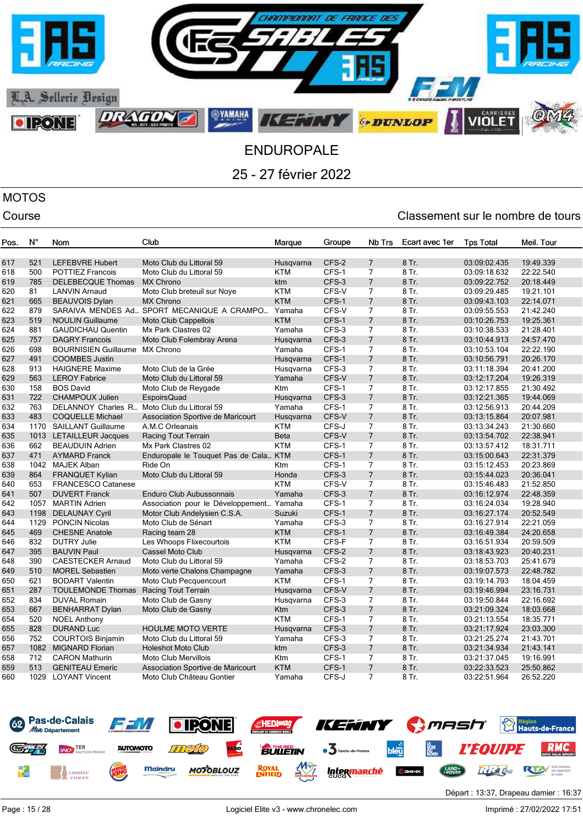

# MOTOS

| Pos.       | N°         | Nom                                                | Club                                                   | Marque           | Groupe         | Nb Trs                           | Ecart avec 1er | <b>Tps Total</b>             | Meil. Tour             |
|------------|------------|----------------------------------------------------|--------------------------------------------------------|------------------|----------------|----------------------------------|----------------|------------------------------|------------------------|
| 617        | 521        | <b>LEFEBVRE Hubert</b>                             | Moto Club du Littoral 59                               | Husqvarna        | CFS-2          | $\overline{7}$                   | 8 Tr.          | 03:09:02.435                 | 19:49.339              |
| 618        | 500        | <b>POTTIEZ Francois</b>                            | Moto Club du Littoral 59                               | <b>KTM</b>       | CFS-1          | $\overline{7}$                   | 8 Tr.          | 03:09:18.632                 | 22:22.540              |
| 619        | 785        | <b>DELEBECQUE Thomas</b>                           | <b>MX Chrono</b>                                       | ktm              | CFS-3          | $\overline{7}$                   | 8 Tr.          | 03:09:22.752                 | 20:18.449              |
| 620        | 81         | <b>LANVIN Arnaud</b>                               | Moto Club breteuil sur Noye                            | <b>KTM</b>       | CFS-V          | $\overline{7}$                   | 8 Tr.          | 03:09:29.485                 | 19:21.101              |
| 621        | 665        | <b>BEAUVOIS Dylan</b>                              | <b>MX Chrono</b>                                       | <b>KTM</b>       | CFS-1          | $\overline{7}$                   | 8 Tr.          | 03:09:43.103                 | 22:14.071              |
| 622        | 879        |                                                    | SARAIVA MENDES Ad SPORT MECANIQUE A CRAMPO             | Yamaha           | CFS-V          | 7                                | 8 Tr.          | 03:09:55.553                 | 21:42.240              |
| 623        | 519        | <b>NOULIN Guillaume</b>                            | <b>Moto Club Cappellois</b>                            | <b>KTM</b>       | CFS-1          | $\overline{7}$                   | 8 Tr.          | 03:10:26.753                 | 19:25.361              |
| 624        | 881        | <b>GAUDICHAU Quentin</b>                           | Mx Park Clastres 02                                    | Yamaha           | CFS-3          | $\overline{7}$                   | 8 Tr.          | 03:10:38.533                 | 21:28.401              |
| 625        | 757        | <b>DAGRY Francois</b>                              | Moto Club Folembray Arena                              | Husqvarna        | CFS-3          | $\overline{7}$                   | 8 Tr.          | 03:10:44.913                 | 24:57.470              |
| 626        | 698        | <b>BOURNISIEN Guillaume</b>                        | <b>MX Chrono</b>                                       | Yamaha           | CFS-1          | $\overline{7}$                   | 8 Tr.          | 03:10:53.104                 | 22:22.190              |
| 627        | 491        | <b>COOMBES Justin</b>                              |                                                        | Husqvarna        | CFS-1          | $\overline{7}$                   | 8 Tr.          | 03:10:56.791                 | 20:26.170              |
| 628        | 913        | <b>HAIGNERE Maxime</b>                             | Moto Club de la Grée                                   | Husqvarna        | CFS-3          | $\overline{7}$                   | 8 Tr.          | 03:11:18.394                 | 20:41.200              |
| 629        | 563        | <b>LEROY Fabrice</b>                               | Moto Club du Littoral 59                               | Yamaha           | CFS-V          | $\overline{7}$                   | 8 Tr.          | 03:12:17.204                 | 19:26.319              |
| 630        | 158        | <b>BOS David</b>                                   | Moto Club de Reygade                                   | <b>Ktm</b>       | CFS-1          | $\overline{7}$                   | 8 Tr.          | 03:12:17.855                 | 21:30.492              |
| 631        | 722        | <b>CHAMPOUX Julien</b>                             | <b>EspoirsQuad</b>                                     | Husqvarna        | CFS-3          | $\overline{7}$                   | 8 Tr.          | 03:12:21.365                 | 19:44.069              |
| 632        | 763        | DELANNOY Charles R                                 | Moto Club du Littoral 59                               | Yamaha           | CFS-1          | $\overline{7}$                   | 8 Tr.          | 03:12:56.913                 | 20:44.209              |
| 633        | 483        | <b>COQUELLE Michael</b>                            | Association Sportive de Maricourt                      | Husqvarna        | CFS-V          | $\overline{7}$                   | 8 Tr.          | 03:13:15.864                 | 20:07.981              |
| 634        | 1170       | <b>SAILLANT Guillaume</b>                          | A.M.C Orleanais                                        | <b>KTM</b>       | CFS-J          | $\overline{7}$                   | 8 Tr.          | 03:13:34.243                 | 21:30.660              |
| 635        | 1013       | LETAILLEUR Jacques                                 | Racing Tout Terrain                                    | <b>Beta</b>      | CFS-V          | 7                                | 8 Tr.          | 03:13:54.702                 | 22:38.941              |
| 636        | 662        | <b>BEAUDUIN Adrien</b>                             | Mx Park Clastres 02                                    | <b>KTM</b>       | CFS-1          | 7                                | 8 Tr.          | 03:13:57.412                 | 18:31.711              |
| 637        | 471        | <b>AYMARD Franck</b>                               | Enduropale le Touquet Pas de Cala KTM                  |                  | CFS-1          | $\overline{7}$                   | 8 Tr.          | 03:15:00.643                 | 22:31.379              |
| 638        | 1042       | <b>MAJEK Alban</b>                                 | Ride On                                                | Ktm              | CFS-1          | $\overline{7}$                   | 8 Tr.          | 03:15:12.453                 | 20:23.869              |
| 639        | 864        | <b>FRANQUET Kylian</b>                             | Moto Club du Littoral 59                               | Honda            | CFS-3          | $\overline{7}$                   | 8 Tr.          | 03:15:44.023                 | 20:36.041              |
| 640        | 653        | <b>FRANCESCO Catanese</b>                          |                                                        | <b>KTM</b>       | CFS-V          | $\overline{7}$                   | 8 Tr.          | 03:15:46.483                 | 21:52.850              |
| 641        | 507        | <b>DUVERT Franck</b>                               | Enduro Club Aubussonnais                               | Yamaha           | CFS-3          | $\overline{7}$                   | 8 Tr.          | 03:16:12.974                 | 22:48.359              |
| 642        | 1057       | <b>MARTIN Adrien</b>                               | Association pour le Développement Yamaha               |                  | CFS-1          | $\overline{7}$                   | 8 Tr.          | 03:16:24.034                 | 19:28.940              |
| 643        | 1198       | <b>DELAUNAY Cyril</b>                              | Motor Club Andelysien C.S.A.                           | Suzuki           | CFS-1          | $\overline{7}$                   | 8 Tr.          | 03:16:27.174                 | 20:52.549              |
| 644        | 1129       | <b>PONCIN Nicolas</b>                              | Moto Club de Sénart                                    | Yamaha           | CFS-3          | 7                                | 8 Tr.          | 03:16:27.914                 | 22:21.059              |
| 645        | 469        | <b>CHESNE Anatole</b>                              | Racing team 28                                         | <b>KTM</b>       | CFS-1          | $\overline{7}$                   | 8 Tr.          | 03:16:49.384                 | 24:20.658              |
| 646        | 832        | <b>DUTRY Julie</b>                                 | Les Whoops Flixecourtois                               | <b>KTM</b>       | CFS-F          | $\overline{7}$<br>$\overline{7}$ | 8 Tr.          | 03:16:51.934                 | 20:59.509              |
| 647        | 395<br>390 | <b>BAUVIN Paul</b>                                 | <b>Cassel Moto Club</b>                                | Husqvarna        | CFS-2<br>CFS-2 | 7                                | 8 Tr.<br>8 Tr. | 03:18:43.923                 | 20:40.231              |
| 648<br>649 | 510        | <b>CAESTECKER Arnaud</b><br><b>MOREL Sebastien</b> | Moto Club du Littoral 59                               | Yamaha<br>Yamaha | CFS-3          | $\overline{7}$                   | 8 Tr.          | 03:18:53.703<br>03:19:07.573 | 25:41.679<br>22:48.782 |
| 650        | 621        | <b>BODART Valentin</b>                             | Moto verte Chalons Champagne<br>Moto Club Pecquencourt | <b>KTM</b>       | CFS-1          | $\overline{7}$                   | 8 Tr.          | 03:19:14.793                 | 18:04.459              |
| 651        | 287        | <b>TOULEMONDE Thomas</b>                           | Racing Tout Terrain                                    | Husgvarna        | CFS-V          | $\overline{7}$                   | 8 Tr.          | 03:19:46.994                 | 23:16.731              |
| 652        | 834        | <b>DUVAL Romain</b>                                | Moto Club de Gasny                                     | Husqvarna        | CFS-3          | $\overline{7}$                   | 8 Tr.          | 03:19:50.844                 | 22:16.692              |
| 653        | 667        | <b>BENHARRAT Dylan</b>                             | Moto Club de Gasny                                     | Ktm              | CFS-3          | $\overline{7}$                   | 8 Tr.          | 03:21:09.324                 | 18:03.668              |
| 654        | 520        | <b>NOEL Anthony</b>                                |                                                        | <b>KTM</b>       | CFS-1          | $\overline{7}$                   | 8 Tr.          | 03:21:13.554                 | 18:35.771              |
| 655        | 828        | <b>DURAND Luc</b>                                  | <b>HOULME MOTO VERTE</b>                               | Husqvarna        | CFS-3          | $\overline{7}$                   | 8 Tr.          | 03:21:17.924                 | 23:03.300              |
| 656        | 752        | <b>COURTOIS Binjamin</b>                           | Moto Club du Littoral 59                               | Yamaha           | CFS-3          | 7                                | 8 Tr.          | 03:21:25.274                 | 21:43.701              |
| 657        | 1082       | <b>MIGNARD Florian</b>                             | <b>Holeshot Moto Club</b>                              | ktm              | CFS-3          | $\overline{7}$                   | 8 Tr.          | 03:21:34.934                 | 21:43.141              |
| 658        | 712        | <b>CARON Mathurin</b>                              | <b>Moto Club Mervillois</b>                            | Ktm              | CFS-1          | 7                                | 8 Tr.          | 03:21:37.045                 | 19:16.991              |
| 659        | 513        | <b>GENITEAU Emeric</b>                             | Association Sportive de Maricourt                      | <b>KTM</b>       | CFS-1          | $\overline{7}$                   | 8 Tr.          | 03:22:33.523                 | 25:50.862              |
| 660        | 1029       | <b>LOYANT Vincent</b>                              | Moto Club Château Gontier                              | Yamaha           | CFS-J          | $\overline{7}$                   | 8 Tr.          | 03:22:51.964                 | 26:52.220              |
|            |            |                                                    |                                                        |                  |                |                                  |                |                              |                        |

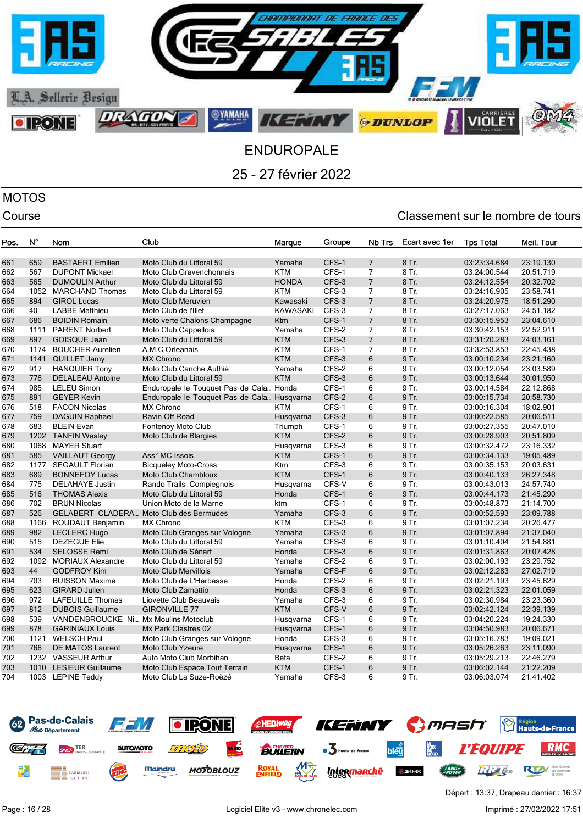

# MOTOS

### Course Course Course Course Course Course Course Course Course Course Course Course Course Course Course Cours

| Pos. | Ν°   | Nom                                  | Club                                        | Marque          | Groupe | Nb Trs         | Ecart avec 1er | <b>Tps Total</b> | Meil. Tour |
|------|------|--------------------------------------|---------------------------------------------|-----------------|--------|----------------|----------------|------------------|------------|
| 661  | 659  | <b>BASTAERT</b> Emilien              | Moto Club du Littoral 59                    | Yamaha          | CFS-1  | $\overline{7}$ | 8 Tr.          | 03:23:34.684     | 23:19.130  |
| 662  | 567  | <b>DUPONT Mickael</b>                | Moto Club Gravenchonnais                    | <b>KTM</b>      | CFS-1  | $\overline{7}$ | 8 Tr.          | 03:24:00.544     | 20:51.719  |
| 663  | 565  | <b>DUMOULIN Arthur</b>               | Moto Club du Littoral 59                    | <b>HONDA</b>    | CFS-3  | $\overline{7}$ | 8 Tr.          | 03:24:12.554     | 20:32.702  |
| 664  | 1052 | <b>MARCHAND Thomas</b>               | Moto Club du Littoral 59                    | <b>KTM</b>      | CFS-3  | 7              | 8 Tr.          | 03:24:16.905     | 23:58.741  |
| 665  | 894  | <b>GIROL Lucas</b>                   | Moto Club Meruvien                          | Kawasaki        | CFS-3  | $\overline{7}$ | 8 Tr.          | 03:24:20.975     | 18:51.290  |
| 666  | 40   | <b>LABBE Matthieu</b>                | Moto Club de l'Illet                        | <b>KAWASAKI</b> | CFS-3  | $\overline{7}$ | 8 Tr.          | 03:27:17.063     | 24:51.182  |
| 667  | 686  | <b>BOIDIN Romain</b>                 | Moto verte Chalons Champagne                | Ktm             | CFS-1  | $\overline{7}$ | 8 Tr.          | 03:30:15.953     | 23:04.610  |
| 668  | 1111 | <b>PARENT Norbert</b>                | Moto Club Cappellois                        | Yamaha          | CFS-2  | 7              | 8 Tr.          | 03:30:42.153     | 22:52.911  |
| 669  | 897  | <b>GOISQUE Jean</b>                  | Moto Club du Littoral 59                    | <b>KTM</b>      | CFS-3  | $\overline{7}$ | 8 Tr.          | 03:31:20.283     | 24:03.161  |
| 670  | 1174 | <b>BOUCHER Aurelien</b>              | A.M.C Orleanais                             | <b>KTM</b>      | CFS-1  | 7              | 8 Tr.          | 03:32:53.853     | 22:45.438  |
| 671  | 1141 | <b>QUILLET Jamy</b>                  | <b>MX Chrono</b>                            | <b>KTM</b>      | CFS-3  | 6              | 9 Tr.          | 03:00:10.234     | 23:21.160  |
| 672  | 917  | <b>HANQUIER Tony</b>                 | Moto Club Canche Authié                     | Yamaha          | CFS-2  | 6              | 9 Tr.          | 03:00:12.054     | 23:03.589  |
| 673  | 776  | <b>DELALEAU Antoine</b>              | Moto Club du Littoral 59                    | <b>KTM</b>      | CFS-3  | 6              | 9 Tr.          | 03:00:13.644     | 30:01.950  |
| 674  | 985  | <b>LELEU Simon</b>                   | Enduropale le Touquet Pas de Cala Honda     |                 | CFS-1  | 6              | 9 Tr.          | 03:00:14.584     | 22:12.868  |
| 675  | 891  | <b>GEYER Kevin</b>                   | Enduropale le Touquet Pas de Cala Husqvarna |                 | CFS-2  | 6              | 9 Tr.          | 03:00:15.734     | 20:58.730  |
| 676  | 518  | <b>FACON Nicolas</b>                 | <b>MX Chrono</b>                            | KTM             | CFS-1  | 6              | 9 Tr.          | 03:00:16.304     | 18:02.901  |
| 677  | 759  | <b>DAGUIN Raphael</b>                | Ravin Off Road                              | Husqvarna       | CFS-3  | 6              | 9 Tr.          | 03:00:22.585     | 20:06.511  |
| 678  | 683  | <b>BLEIN Evan</b>                    | Fontenoy Moto Club                          | Triumph         | CFS-1  | 6              | 9 Tr.          | 03:00:27.355     | 20:47.010  |
| 679  |      | 1202 TANFIN Wesley                   | Moto Club de Blargies                       | <b>KTM</b>      | CFS-2  | 6              | 9 Tr.          | 03:00:28.903     | 20:51.809  |
| 680  | 1068 | <b>MAYER Stuart</b>                  |                                             | Husqvarna       | CFS-3  | 6              | 9 Tr.          | 03:00:32.472     | 23:16.332  |
| 681  | 585  | <b>VAILLAUT Georgy</b>               | Ass° MC Issois                              | <b>KTM</b>      | CFS-1  | 6              | 9 Tr.          | 03:00:34.133     | 19:05.489  |
| 682  | 1177 | <b>SEGAULT Florian</b>               | <b>Bicqueley Moto-Cross</b>                 | Ktm             | CFS-3  | 6              | 9 Tr.          | 03:00:35.153     | 20:03.631  |
| 683  | 689  | <b>BONNEFOY Lucas</b>                | Moto Club Chambloux                         | <b>KTM</b>      | CFS-1  | 6              | 9 Tr.          | 03:00:40.133     | 26:27.348  |
| 684  | 775  | <b>DELAHAYE Justin</b>               | Rando Trails Compiegnois                    | Husqvarna       | CFS-V  | 6              | 9 Tr.          | 03:00:43.013     | 24:57.740  |
| 685  | 516  | <b>THOMAS Alexis</b>                 | Moto Club du Littoral 59                    | Honda           | CFS-1  | 6              | 9 Tr.          | 03:00:44.173     | 21:45.290  |
| 686  | 702  | <b>BRUN Nicolas</b>                  | Union Moto de la Marne                      | ktm             | CFS-1  | 6              | 9 Tr.          | 03:00:48.873     | 21:14.700  |
| 687  | 526  |                                      | GELABERT CLADERA Moto Club des Bermudes     | Yamaha          | CFS-3  | 6              | 9 Tr.          | 03:00:52.593     | 23:09.788  |
| 688  | 1166 | ROUDAUT Benjamin                     | <b>MX Chrono</b>                            | <b>KTM</b>      | CFS-3  | 6              | 9 Tr.          | 03:01:07.234     | 20:26.477  |
| 689  | 982  | <b>LECLERC Hugo</b>                  | Moto Club Granges sur Vologne               | Yamaha          | CFS-3  | 6              | 9 Tr.          | 03:01:07.894     | 21:37.040  |
| 690  | 515  | <b>DEZEGUE Elie</b>                  | Moto Club du Littoral 59                    | Yamaha          | CFS-3  | 6              | 9 Tr.          | 03:01:10.404     | 21:54.881  |
| 691  | 534  | <b>SELOSSE Remi</b>                  | Moto Club de Sénart                         | Honda           | CFS-3  | 6              | 9 Tr.          | 03:01:31.863     | 20:07.428  |
| 692  | 1092 | <b>MORIAUX Alexandre</b>             | Moto Club du Littoral 59                    | Yamaha          | CFS-2  | 6              | 9 Tr.          | 03:02:00.193     | 23:29.752  |
| 693  | 44   | <b>GODFROY Kim</b>                   | <b>Moto Club Mervillois</b>                 | Yamaha          | CFS-F  | 6              | 9 Tr.          | 03:02:12.283     | 27:02.719  |
| 694  | 703  | <b>BUISSON Maxime</b>                | Moto Club de L'Herbasse                     | Honda           | CFS-2  | 6              | 9 Tr.          | 03:02:21.193     | 23:45.629  |
| 695  | 623  | <b>GIRARD Julien</b>                 | Moto Club Zamattio                          | Honda           | CFS-3  | 6              | 9 Tr.          | 03:02:21.323     | 22:01.059  |
| 696  | 972  | LAFEUILLE Thomas                     | Liovette Club Beauvais                      | Yamaha          | CFS-3  | 6              | 9 Tr.          | 03:02:30.984     | 23:23.360  |
| 697  | 812  | <b>DUBOIS Guillaume</b>              | <b>GIRONVILLE 77</b>                        | <b>KTM</b>      | CFS-V  | 6              | 9 Tr.          | 03:02:42.124     | 22:39.139  |
| 698  | 539  | VANDENBROUCKE Ni Mx Moulins Motoclub |                                             | Husqvarna       | CFS-1  | 6              | 9 Tr.          | 03:04:20.224     | 19:24.330  |
| 699  | 878  | <b>GARINIAUX Louis</b>               | Mx Park Clastres 02                         | Husqvarna       | CFS-1  | 6              | 9 Tr.          | 03:04:50.983     | 20:06.671  |
| 700  | 1121 | <b>WELSCH Paul</b>                   | Moto Club Granges sur Vologne               | Honda           | CFS-3  | 6              | 9 Tr.          | 03:05:16.783     | 19:09.021  |
| 701  | 766  | DE MATOS Laurent                     | <b>Moto Club Yzeure</b>                     | Husqvarna       | CFS-1  | 6              | 9 Tr.          | 03:05:26.263     | 23:11.090  |
| 702  |      | 1232 VASSEUR Arthur                  | Auto Moto Club Morbihan                     | Beta            | CFS-2  | 6              | 9 Tr.          | 03:05:29.213     | 22:46.279  |
| 703  |      | 1010 LESIEUR Guillaume               | Moto Club Espace Tout Terrain               | <b>KTM</b>      | CFS-1  | 6              | 9 Tr.          | 03:06:02.144     | 21:22.209  |
| 704  |      | 1003 LEPINE Teddy                    | Moto Club La Suze-Roëzé                     | Yamaha          | CFS-3  | 6              | 9 Tr.          | 03:06:03.074     | 21:41.402  |

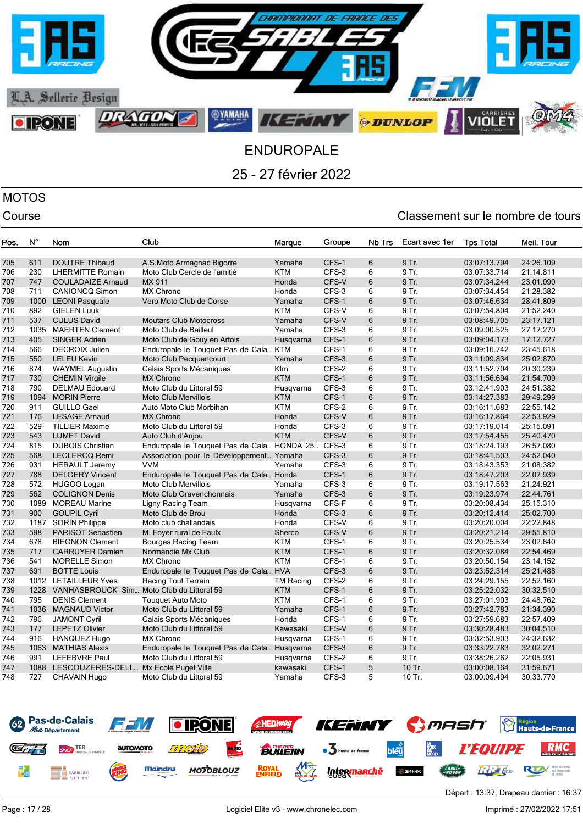

# MOTOS

| Pos. | N°   | Nom                                       | Club                                        | Marque           | Groupe | Nb Trs | Ecart avec 1er | <b>Tps Total</b> | Meil. Tour |
|------|------|-------------------------------------------|---------------------------------------------|------------------|--------|--------|----------------|------------------|------------|
|      |      |                                           |                                             |                  |        |        |                |                  |            |
| 705  | 611  | <b>DOUTRE Thibaud</b>                     | A.S.Moto Armagnac Bigorre                   | Yamaha           | CFS-1  | 6      | 9 Tr.          | 03:07:13.794     | 24:26.109  |
| 706  | 230  | <b>LHERMITTE Romain</b>                   | Moto Club Cercle de l'amitié                | <b>KTM</b>       | CFS-3  | 6      | 9 Tr.          | 03:07:33.714     | 21:14.811  |
| 707  | 747  | <b>COULADAIZE Arnaud</b>                  | MX 911                                      | Honda            | CFS-V  | 6      | 9 Tr.          | 03:07:34.244     | 23:01.090  |
| 708  | 711  | <b>CANIONCQ Simon</b>                     | <b>MX Chrono</b>                            | Honda            | CFS-3  | 6      | 9 Tr.          | 03:07:34.454     | 21:28.382  |
| 709  | 1000 | <b>LEONI Pasquale</b>                     | Vero Moto Club de Corse                     | Yamaha           | CFS-1  | 6      | 9 Tr.          | 03:07:46.634     | 28:41.809  |
| 710  | 892  | <b>GIELEN Luuk</b>                        |                                             | <b>KTM</b>       | CFS-V  | 6      | 9 Tr.          | 03:07:54.804     | 21:52.240  |
| 711  | 537  | <b>CULUS David</b>                        | <b>Moutars Club Motocross</b>               | Yamaha           | CFS-V  | 6      | 9 Tr.          | 03:08:49.705     | 23:17.121  |
| 712  | 1035 | <b>MAERTEN Clement</b>                    | Moto Club de Bailleul                       | Yamaha           | CFS-3  | 6      | 9 Tr.          | 03:09:00.525     | 27:17.270  |
| 713  | 405  | <b>SINGER Adrien</b>                      | Moto Club de Gouy en Artois                 | Husqvarna        | CFS-1  | 6      | 9 Tr.          | 03:09:04.173     | 17:12.727  |
| 714  | 566  | <b>DECROIX Julien</b>                     | Enduropale le Touquet Pas de Cala KTM       |                  | CFS-1  | 6      | 9 Tr.          | 03:09:16.742     | 23:45.618  |
| 715  | 550  | <b>LELEU Kevin</b>                        | Moto Club Pecquencourt                      | Yamaha           | CFS-3  | 6      | 9 Tr.          | 03:11:09.834     | 25:02.870  |
| 716  | 874  | <b>WAYMEL Augustin</b>                    | Calais Sports Mécaniques                    | Ktm              | CFS-2  | 6      | 9 Tr.          | 03:11:52.704     | 20:30.239  |
| 717  | 730  | <b>CHEMIN Virgile</b>                     | <b>MX Chrono</b>                            | <b>KTM</b>       | CFS-1  | 6      | 9 Tr.          | 03:11:56.694     | 21:54.709  |
| 718  | 790  | <b>DELMAU Edouard</b>                     | Moto Club du Littoral 59                    | Husqvarna        | CFS-3  | 6      | 9 Tr.          | 03:12:41.903     | 24:51.382  |
| 719  | 1094 | <b>MORIN Pierre</b>                       | <b>Moto Club Mervillois</b>                 | <b>KTM</b>       | CFS-1  | 6      | 9 Tr.          | 03:14:27.383     | 29:49.299  |
| 720  | 911  | <b>GUILLO Gael</b>                        | Auto Moto Club Morbihan                     | <b>KTM</b>       | CFS-2  | 6      | 9 Tr.          | 03:16:11.683     | 22:55.142  |
| 721  | 176  | <b>LESAGE Arnaud</b>                      | <b>MX Chrono</b>                            | Honda            | CFS-V  | 6      | 9 Tr.          | 03:16:17.864     | 22:53.929  |
| 722  | 529  | <b>TILLIER Maxime</b>                     | Moto Club du Littoral 59                    | Honda            | CFS-3  | 6      | 9 Tr.          | 03:17:19.014     | 25:15.091  |
| 723  | 543  | <b>LUMET David</b>                        | Auto Club d'Anjou                           | <b>KTM</b>       | CFS-V  | 6      | 9 Tr.          | 03:17:54.455     | 25:40.470  |
| 724  | 815  | <b>DUBOIS Christian</b>                   | Enduropale le Touquet Pas de Cala HONDA 25  |                  | CFS-3  | 6      | 9 Tr.          | 03:18:24.193     | 26:57.080  |
| 725  | 568  | <b>LECLERCQ Remi</b>                      | Association pour le Développement Yamaha    |                  | CFS-3  | 6      | 9 Tr.          | 03:18:41.503     | 24:52.040  |
| 726  | 931  | <b>HERAULT Jeremy</b>                     | <b>VVM</b>                                  | Yamaha           | CFS-3  | 6      | 9 Tr.          | 03:18:43.353     | 21:08.382  |
| 727  | 788  | <b>DELGERY Vincent</b>                    | Enduropale le Touquet Pas de Cala Honda     |                  | CFS-1  | 6      | 9 Tr.          | 03:18:47.203     | 22:07.939  |
| 728  | 572  | HUGOO Logan                               | <b>Moto Club Mervillois</b>                 | Yamaha           | CFS-3  | 6      | 9 Tr.          | 03:19:17.563     | 21:24.921  |
| 729  | 562  | <b>COLIGNON Denis</b>                     | Moto Club Gravenchonnais                    | Yamaha           | CFS-3  | 6      | 9 Tr.          | 03:19:23.974     | 22:44.761  |
| 730  | 1089 | <b>MOREAU Marine</b>                      | Ligny Racing Team                           | Husgvarna        | CFS-F  | 6      | 9 Tr.          | 03:20:08.434     | 25:15.310  |
| 731  | 900  | <b>GOUPIL Cyril</b>                       | Moto Club de Brou                           | Honda            | CFS-3  | 6      | 9 Tr.          | 03:20:12.414     | 25:02.700  |
| 732  | 1187 | <b>SORIN Philippe</b>                     | Moto club challandais                       | Honda            | CFS-V  | 6      | 9 Tr.          | 03:20:20.004     | 22:22.848  |
| 733  | 598  | <b>PARISOT Sebastien</b>                  | M. Foyer rural de Faulx                     | Sherco           | CFS-V  | 6      | 9 Tr.          | 03:20:21.214     | 29:55.810  |
| 734  | 678  | <b>BIEGNON Clement</b>                    | Bourges Racing Team                         | <b>KTM</b>       | CFS-1  | 6      | 9 Tr.          | 03:20:25.534     | 23:02.640  |
| 735  | 717  | <b>CARRUYER Damien</b>                    | Normandie Mx Club                           | <b>KTM</b>       | CFS-1  | 6      | 9 Tr.          | 03:20:32.084     | 22:54.469  |
| 736  | 541  | <b>MORELLE Simon</b>                      | <b>MX Chrono</b>                            | <b>KTM</b>       | CFS-1  | 6      | 9 Tr.          | 03:20:50.154     | 23:14.152  |
| 737  | 691  | <b>BOTTE Louis</b>                        | Enduropale le Touquet Pas de Cala HVA       |                  | CFS-3  | 6      | 9 Tr.          | 03:23:52.314     | 25:21.488  |
| 738  | 1012 | <b>LETAILLEUR Yves</b>                    | Racing Tout Terrain                         | <b>TM Racing</b> | CFS-2  | 6      | 9 Tr.          | 03:24:29.155     | 22:52.160  |
| 739  | 1228 | VANHASBROUCK Sim Moto Club du Littoral 59 |                                             | <b>KTM</b>       | CFS-1  | 6      | 9 Tr.          | 03:25:22.032     | 30:32.510  |
| 740  | 795  | <b>DENIS Clement</b>                      | <b>Touguet Auto Moto</b>                    | <b>KTM</b>       | CFS-1  | 6      | 9 Tr.          | 03:27:01.903     | 24:48.762  |
| 741  | 1036 | <b>MAGNAUD Victor</b>                     | Moto Club du Littoral 59                    | Yamaha           | CFS-1  | 6      | 9 Tr.          | 03:27:42.783     | 21:34.390  |
| 742  | 796  | <b>JAMONT Cyril</b>                       | Calais Sports Mécaniques                    | Honda            | CFS-1  | 6      | 9 Tr.          | 03:27:59.683     | 22:57.409  |
| 743  | 177  | <b>LEPETZ Olivier</b>                     | Moto Club du Littoral 59                    | Kawasaki         | CFS-V  | 6      | 9 Tr.          | 03:30:28.483     | 30:04.510  |
| 744  | 916  | HANQUEZ Hugo                              | <b>MX Chrono</b>                            | Husqvarna        | CFS-1  | 6      | 9 Tr.          | 03:32:53.903     | 24:32.632  |
| 745  | 1063 | <b>MATHIAS Alexis</b>                     | Enduropale le Touquet Pas de Cala Husqvarna |                  | CFS-3  | 6      | 9 Tr.          | 03:33:22.783     | 32:02.271  |
| 746  | 991  | <b>LEFEBVRE Paul</b>                      | Moto Club du Littoral 59                    | Husqvarna        | CFS-2  | 6      | 9 Tr.          | 03:38:26.262     | 22:05.931  |
| 747  | 1088 | LESCOUZERES-DELL Mx Ecole Puget Ville     |                                             | kawasaki         | CFS-1  | 5      | 10 Tr.         | 03:00:08.164     | 31:59.671  |
| 748  | 727  | CHAVAIN Hugo                              | Moto Club du Littoral 59                    | Yamaha           | CFS-3  | 5      | 10 Tr.         | 03:00:09.494     | 30:33.770  |
|      |      |                                           |                                             |                  |        |        |                |                  |            |

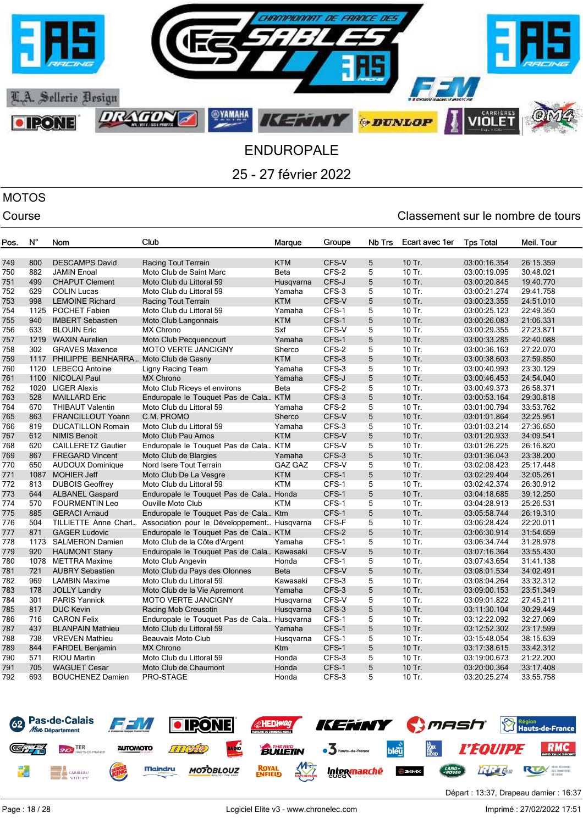

# MOTOS

| Pos. | N°   | Nom                                  | Club                                        | Marque               | Groupe | Nb Trs | Ecart avec 1er   | <b>Tps Total</b> | Meil. Tour |
|------|------|--------------------------------------|---------------------------------------------|----------------------|--------|--------|------------------|------------------|------------|
| 749  | 800  | <b>DESCAMPS David</b>                | Racing Tout Terrain                         | <b>KTM</b>           | CFS-V  | 5      | 10 Tr.           | 03:00:16.354     | 26:15.359  |
| 750  | 882  | <b>JAMIN Enoal</b>                   | Moto Club de Saint Marc                     | Beta                 | CFS-2  | 5      | 10 Tr.           | 03:00:19.095     | 30:48.021  |
| 751  | 499  | <b>CHAPUT Clement</b>                | Moto Club du Littoral 59                    | Husgvarna            | CFS-J  | 5      | 10 Tr.           | 03:00:20.845     | 19:40.770  |
| 752  | 629  | <b>COLIN Lucas</b>                   | Moto Club du Littoral 59                    |                      | CFS-3  | 5      | 10 Tr.           | 03:00:21.274     | 29:41.758  |
| 753  | 998  | <b>LEMOINE Richard</b>               |                                             | Yamaha<br><b>KTM</b> | CFS-V  | 5      | 10 Tr.           | 03:00:23.355     |            |
|      | 1125 |                                      | Racing Tout Terrain                         |                      | CFS-1  | 5      | 10 Tr.           |                  | 24:51.010  |
| 754  | 940  | <b>POCHET Fabien</b>                 | Moto Club du Littoral 59                    | Yamaha<br><b>KTM</b> | CFS-1  | 5      | 10 Tr.           | 03:00:25.123     | 22:49.350  |
| 755  | 633  | <b>IMBERT Sebastien</b>              | Moto Club Langonnais                        |                      | CFS-V  |        |                  | 03:00:26.083     | 21:06.331  |
| 756  |      | <b>BLOUIN Eric</b>                   | <b>MX Chrono</b>                            | Sxf                  | CFS-1  | 5<br>5 | 10 Tr.<br>10 Tr. | 03:00:29.355     | 27:23.871  |
| 757  |      | 1219 WAXIN Aurelien                  | Moto Club Pecquencourt                      | Yamaha               |        |        |                  | 03:00:33.285     | 22:40.088  |
| 758  | 302  | <b>GRAVES Maxence</b>                | <b>MOTO VERTE JANCIGNY</b>                  | Sherco               | CFS-2  | 5<br>5 | 10 Tr.           | 03:00:36.163     | 27:22.070  |
| 759  | 1117 | PHILIPPE BENHARRA Moto Club de Gasny |                                             | <b>KTM</b>           | CFS-3  | 5      | 10 Tr.           | 03:00:38.603     | 27:59.850  |
| 760  |      | 1120 LEBECQ Antoine                  | Ligny Racing Team                           | Yamaha               | CFS-3  |        | 10 Tr.           | 03:00:40.993     | 23:30.129  |
| 761  | 1100 | <b>NICOLAI Paul</b>                  | <b>MX Chrono</b>                            | Yamaha               | CFS-J  | 5      | 10 Tr.           | 03:00:46.453     | 24:54.040  |
| 762  | 1020 | <b>LIGER Alexis</b>                  | Moto Club Riceys et environs                | Beta                 | CFS-2  | 5      | 10 Tr.           | 03:00:49.373     | 26:58.371  |
| 763  | 528  | <b>MAILLARD Eric</b>                 | Enduropale le Touquet Pas de Cala KTM       |                      | CFS-3  | 5      | 10 Tr.           | 03:00:53.164     | 29:30.818  |
| 764  | 670  | <b>THIBAUT Valentin</b>              | Moto Club du Littoral 59                    | Yamaha               | CFS-2  | 5      | 10 Tr.           | 03:01:00.794     | 33:53.762  |
| 765  | 863  | FRANCILLOUT Yoann                    | C.M. PROMO                                  | Sherco               | CFS-V  | 5      | 10 Tr.           | 03:01:01.864     | 32:25.951  |
| 766  | 819  | <b>DUCATILLON Romain</b>             | Moto Club du Littoral 59                    | Yamaha               | CFS-3  | 5      | 10 Tr.           | 03:01:03.214     | 27:36.650  |
| 767  | 612  | <b>NIMIS Benoit</b>                  | Moto Club Pau Arnos                         | <b>KTM</b>           | CFS-V  | 5      | 10 Tr.           | 03:01:20.933     | 34:09.541  |
| 768  | 620  | <b>CAILLERETZ Gautier</b>            | Enduropale le Touquet Pas de Cala KTM       |                      | CFS-V  | 5      | 10 Tr.           | 03:01:26.225     | 26:16.820  |
| 769  | 867  | <b>FREGARD Vincent</b>               | Moto Club de Blargies                       | Yamaha               | CFS-3  | 5      | 10 Tr.           | 03:01:36.043     | 23:38.200  |
| 770  | 650  | <b>AUDOUX Dominique</b>              | Nord Isere Tout Terrain                     | <b>GAZ GAZ</b>       | CFS-V  | 5      | 10 Tr.           | 03:02:08.423     | 25:17.448  |
| 771  | 1087 | <b>MOHIER Jeff</b>                   | Moto Club De La Vesgre                      | <b>KTM</b>           | CFS-1  | 5      | 10 Tr.           | 03:02:29.404     | 32:05.261  |
| 772  | 813  | <b>DUBOIS Geoffrey</b>               | Moto Club du Littoral 59                    | <b>KTM</b>           | CFS-1  | 5      | 10 Tr.           | 03:02:42.374     | 26:30.912  |
| 773  | 644  | <b>ALBANEL Gaspard</b>               | Enduropale le Touquet Pas de Cala Honda     |                      | CFS-1  | 5      | 10 Tr.           | 03:04:18.685     | 39:12.250  |
| 774  | 570  | <b>FOURMENTIN Leo</b>                | <b>Ouville Moto Club</b>                    | <b>KTM</b>           | CFS-1  | 5      | 10 Tr.           | 03:04:28.913     | 25:26.531  |
| 775  | 885  | <b>GERACI Arnaud</b>                 | Enduropale le Touquet Pas de Cala Ktm       |                      | CFS-1  | 5      | 10 Tr.           | 03:05:58.744     | 26:19.310  |
| 776  | 504  | TILLIETTE Anne Charl                 | Association pour le Développement Husqvarna |                      | CFS-F  | 5      | 10 Tr.           | 03:06:28.424     | 22:20.011  |
| 777  | 871  | <b>GAGER Ludovic</b>                 | Enduropale le Touquet Pas de Cala KTM       |                      | CFS-2  | 5      | 10 Tr.           | 03:06:30.914     | 31:54.659  |
| 778  | 1173 | <b>SALMERON Damien</b>               | Moto Club de la Côte d'Argent               | Yamaha               | CFS-1  | 5      | 10 Tr.           | 03:06:34.744     | 31:28.978  |
| 779  | 920  | <b>HAUMONT Stany</b>                 | Enduropale le Touquet Pas de Cala Kawasaki  |                      | CFS-V  | 5      | 10 Tr.           | 03:07:16.364     | 33:55.430  |
| 780  | 1078 | <b>METTRA Maxime</b>                 | Moto Club Angevin                           | Honda                | CFS-1  | 5      | 10 Tr.           | 03:07:43.654     | 31:41.138  |
| 781  | 721  | <b>AUBRY Sebastien</b>               | Moto Club du Pays des Olonnes               | <b>Beta</b>          | CFS-V  | 5      | 10 Tr.           | 03:08:01.534     | 34:02.491  |
| 782  | 969  | <b>LAMBIN Maxime</b>                 | Moto Club du Littoral 59                    | Kawasaki             | CFS-3  | 5      | 10 Tr.           | 03:08:04.264     | 33:32.312  |
| 783  | 178  | <b>JOLLY Landry</b>                  | Moto Club de la Vie Apremont                | Yamaha               | CFS-3  | 5      | 10 Tr.           | 03:09:00.153     | 23:51.349  |
| 784  | 301  | <b>PARIS Yannick</b>                 | <b>MOTO VERTE JANCIGNY</b>                  | Husgvarna            | CFS-V  | 5      | 10 Tr.           | 03:09:01.822     | 27:45.211  |
| 785  | 817  | <b>DUC Kevin</b>                     | Racing Mob Creusotin                        | Husqvarna            | CFS-3  | 5      | 10 Tr.           | 03:11:30.104     | 30:29.449  |
| 786  | 716  | <b>CARON Felix</b>                   | Enduropale le Touquet Pas de Cala Husqvarna |                      | CFS-1  | 5      | 10 Tr.           | 03:12:22.092     | 32:27.069  |
| 787  | 437  | <b>BLANPAIN Mathieu</b>              | Moto Club du Littoral 59                    | Yamaha               | CFS-1  | 5      | 10 Tr.           | 03:12:52.302     | 23:17.599  |
| 788  | 738  | <b>VREVEN Mathieu</b>                | Beauvais Moto Club                          | Husqvarna            | CFS-1  | 5      | 10 Tr.           | 03:15:48.054     | 38:15.639  |
| 789  | 844  | <b>FARDEL Benjamin</b>               | <b>MX Chrono</b>                            | Ktm                  | CFS-1  | 5      | 10 Tr.           | 03:17:38.615     | 33:42.312  |
| 790  | 571  | <b>RIOU Martin</b>                   | Moto Club du Littoral 59                    | Honda                | CFS-3  | 5      | 10 Tr.           | 03:19:00.673     | 21:22.200  |
| 791  | 705  | <b>WAGUET Cesar</b>                  | Moto Club de Chaumont                       | Honda                | CFS-1  | 5      | 10 Tr.           | 03:20:00.364     | 33:17.408  |
| 792  | 693  | <b>BOUCHENEZ Damien</b>              | PRO-STAGE                                   | Honda                | CFS-3  | 5      | 10 Tr.           | 03:20:25.274     | 33:55.758  |

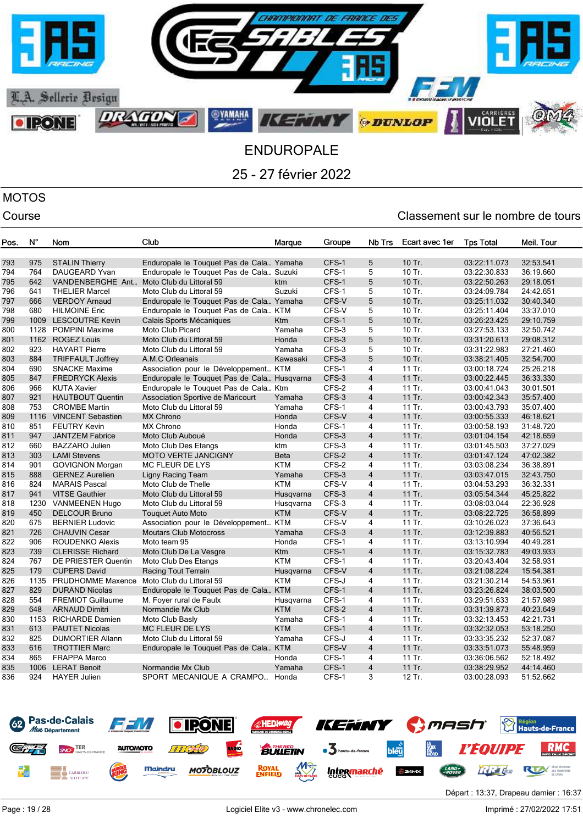

# MOTOS

| Pos. | $N^{\circ}$ | Nom                                        | Club                                        | Marque      | Groupe | Nb Trs                  | Ecart avec 1er | <b>Tps Total</b> | Meil. Tour |
|------|-------------|--------------------------------------------|---------------------------------------------|-------------|--------|-------------------------|----------------|------------------|------------|
|      |             |                                            |                                             |             |        |                         |                |                  |            |
| 793  | 975         | <b>STALIN Thierry</b>                      | Enduropale le Touquet Pas de Cala Yamaha    |             | CFS-1  | 5                       | 10 Tr.         | 03:22:11.073     | 32:53.541  |
| 794  | 764         | <b>DAUGEARD Yvan</b>                       | Enduropale le Touquet Pas de Cala Suzuki    |             | CFS-1  | 5                       | 10 Tr.         | 03:22:30.833     | 36:19.660  |
| 795  | 642         | VANDENBERGHE Ant                           | Moto Club du Littoral 59                    | ktm         | CFS-1  | 5                       | 10 Tr.         | 03:22:50.263     | 29:18.051  |
| 796  | 641         | <b>THELIER Marcel</b>                      | Moto Club du Littoral 59                    | Suzuki      | CFS-1  | 5                       | 10 Tr.         | 03:24:09.784     | 24:42.651  |
| 797  | 666         | <b>VERDOY Arnaud</b>                       | Enduropale le Touquet Pas de Cala Yamaha    |             | CFS-V  | 5                       | 10 Tr.         | 03:25:11.032     | 30:40.340  |
| 798  | 680         | <b>HILMOINE Eric</b>                       | Enduropale le Touquet Pas de Cala KTM       |             | CFS-V  | 5                       | 10 Tr.         | 03:25:11.404     | 33:37.010  |
| 799  | 1009        | <b>LESCOUTRE Kevin</b>                     | Calais Sports Mécaniques                    | Ktm         | CFS-1  | 5                       | 10 Tr.         | 03:26:23.425     | 29:10.759  |
| 800  | 1128        | <b>POMPINI Maxime</b>                      | Moto Club Picard                            | Yamaha      | CFS-3  | 5                       | 10 Tr.         | 03:27:53.133     | 32:50.742  |
| 801  | 1162        | <b>ROGEZ Louis</b>                         | Moto Club du Littoral 59                    | Honda       | CFS-3  | 5                       | 10 Tr.         | 03:31:20.613     | 29:08.312  |
| 802  | 923         | <b>HAYART</b> Pierre                       | Moto Club du Littoral 59                    | Yamaha      | CFS-3  | 5                       | 10 Tr.         | 03:31:22.983     | 27:21.460  |
| 803  | 884         | <b>TRIFFAULT Joffrey</b>                   | A.M.C Orleanais                             | Kawasaki    | CFS-3  | 5                       | 10 Tr.         | 03:38:21.405     | 32:54.700  |
| 804  | 690         | <b>SNACKE Maxime</b>                       | Association pour le Développement KTM       |             | CFS-1  | 4                       | 11 Tr.         | 03:00:18.724     | 25:26.218  |
| 805  | 847         | <b>FREDRYCK Alexis</b>                     | Enduropale le Touquet Pas de Cala Husgvarna |             | CFS-3  | $\overline{4}$          | 11 Tr.         | 03:00:22.445     | 36:33.330  |
| 806  | 966         | <b>KUTA Xavier</b>                         | Enduropale le Touquet Pas de Cala Ktm       |             | CFS-2  | 4                       | 11 Tr.         | 03:00:41.043     | 30:01.501  |
| 807  | 921         | <b>HAUTBOUT Quentin</b>                    | Association Sportive de Maricourt           | Yamaha      | CFS-3  | $\overline{4}$          | $11$ Tr.       | 03:00:42.343     | 35:57.400  |
| 808  | 753         | <b>CROMBE Martin</b>                       | Moto Club du Littoral 59                    | Yamaha      | CFS-1  | 4                       | 11 Tr.         | 03:00:43.793     | 35:07.400  |
| 809  | 1116        | <b>VINCENT Sebastien</b>                   | <b>MX Chrono</b>                            | Honda       | CFS-V  | $\overline{4}$          | 11 Tr.         | 03:00:55.333     | 46:18.621  |
| 810  | 851         | <b>FEUTRY Kevin</b>                        | <b>MX Chrono</b>                            | Honda       | CFS-1  | 4                       | 11 Tr.         | 03:00:58.193     | 31:48.720  |
| 811  | 947         | <b>JANTZEM Fabrice</b>                     | Moto Club Auboué                            | Honda       | CFS-3  | $\overline{4}$          | 11 Tr.         | 03:01:04.154     | 42:18.659  |
| 812  | 660         | BAZZARO Julien                             | Moto Club Des Etangs                        | ktm         | CFS-3  | $\overline{\mathbf{4}}$ | 11 Tr.         | 03:01:45.503     | 37:27.029  |
| 813  | 303         | <b>LAMI Stevens</b>                        | <b>MOTO VERTE JANCIGNY</b>                  | <b>Beta</b> | CFS-2  | $\overline{4}$          | $11$ Tr.       | 03:01:47.124     | 47:02.382  |
| 814  | 901         | <b>GOVIGNON Morgan</b>                     | <b>MC FLEUR DE LYS</b>                      | <b>KTM</b>  | CFS-2  | $\overline{\mathbf{4}}$ | 11 Tr.         | 03:03:08.234     | 36:38.891  |
| 815  | 888         | <b>GERNEZ Aurelien</b>                     | Ligny Racing Team                           | Yamaha      | CFS-3  | $\overline{4}$          | 11 Tr.         | 03:03:47.015     | 32:43.750  |
| 816  | 824         | <b>MARAIS Pascal</b>                       | Moto Club de Thelle                         | <b>KTM</b>  | CFS-V  | $\overline{4}$          | 11 Tr.         | 03:04:53.293     | 36:32.331  |
| 817  | 941         | <b>VITSE Gauthier</b>                      | Moto Club du Littoral 59                    | Husgvarna   | CFS-3  | $\overline{4}$          | 11 Tr.         | 03:05:54.344     | 45:25.822  |
| 818  | 1230        | <b>VANMEENEN Hugo</b>                      | Moto Club du Littoral 59                    | Husqvarna   | CFS-3  | 4                       | 11 Tr.         | 03:08:03.044     | 22:36.928  |
| 819  | 450         | <b>DELCOUR Bruno</b>                       | <b>Touquet Auto Moto</b>                    | <b>KTM</b>  | CFS-V  | $\overline{4}$          | 11 Tr.         | 03:08:22.725     | 36:58.899  |
| 820  | 675         | <b>BERNIER Ludovic</b>                     | Association pour le Développement KTM       |             | CFS-V  | 4                       | 11 Tr.         | 03:10:26.023     | 37:36.643  |
| 821  | 726         | <b>CHAUVIN Cesar</b>                       | <b>Moutars Club Motocross</b>               | Yamaha      | CFS-3  | $\overline{4}$          | 11 Tr.         | 03:12:39.883     | 40:56.521  |
| 822  | 906         | <b>ROUDENKO Alexis</b>                     | Moto team 95                                | Honda       | CFS-1  | 4                       | $11$ Tr.       | 03:13:10.994     | 40:49.281  |
| 823  | 739         | <b>CLERISSE Richard</b>                    | Moto Club De La Vesgre                      | <b>Ktm</b>  | CFS-1  | $\overline{4}$          | 11 Tr.         | 03:15:32.783     | 49:03.933  |
| 824  | 767         | <b>DE PRIESTER Quentin</b>                 | Moto Club Des Etangs                        | <b>KTM</b>  | CFS-1  | 4                       | 11 Tr.         | 03:20:43.404     | 32:58.931  |
| 825  | 179         | <b>CUPERS David</b>                        | Racing Tout Terrain                         | Husqvarna   | CFS-V  | $\overline{4}$          | 11 Tr.         | 03:21:08.224     | 15:54.381  |
| 826  | 1135        | PRUDHOMME Maxence Moto Club du Littoral 59 |                                             | <b>KTM</b>  | CFS-J  | 4                       | 11 Tr.         | 03:21:30.214     | 54:53.961  |
| 827  | 829         | <b>DURAND Nicolas</b>                      | Enduropale le Touquet Pas de Cala KTM       |             | CFS-1  | $\overline{4}$          | 11 Tr.         | 03:23:26.824     | 38:03.500  |
| 828  | 554         | <b>FREMIOT Guillaume</b>                   | M. Foyer rural de Faulx                     | Husqvarna   | CFS-1  | 4                       | 11 Tr.         | 03:29:51.633     | 21:57.989  |
| 829  | 648         | <b>ARNAUD Dimitri</b>                      | Normandie Mx Club                           | <b>KTM</b>  | CFS-2  | $\overline{4}$          | 11 Tr.         | 03:31:39.873     | 40:23.649  |
| 830  | 1153        | <b>RICHARDE Damien</b>                     | Moto Club Basly                             | Yamaha      | CFS-1  | 4                       | 11 Tr.         | 03:32:13.453     | 42:21.731  |
| 831  | 613         | <b>PAUTET Nicolas</b>                      | <b>MC FLEUR DE LYS</b>                      | <b>KTM</b>  | CFS-1  | $\overline{4}$          | 11 Tr.         | 03:32:32.053     | 53:18.250  |
| 832  | 825         | <b>DUMORTIER Allann</b>                    | Moto Club du Littoral 59                    | Yamaha      | CFS-J  | 4                       | $11$ Tr.       | 03:33:35.232     | 52:37.087  |
| 833  | 616         | <b>TROTTIER Marc</b>                       | Enduropale le Touquet Pas de Cala KTM       |             | CFS-V  | $\overline{4}$          | 11 Tr.         | 03:33:51.073     | 55:48.959  |
| 834  | 865         | <b>FRAPPA Marco</b>                        |                                             | Honda       | CFS-1  | 4                       | 11 Tr.         | 03:36:06.562     | 52:18.492  |
| 835  | 1006        | <b>LERAT Benoit</b>                        | Normandie Mx Club                           | Yamaha      | CFS-1  | $\overline{4}$          | 11 Tr.         | 03:38:29.952     | 44:14.460  |
| 836  | 924         | <b>HAYER Julien</b>                        | SPORT MECANIQUE A CRAMPO Honda              |             | CFS-1  | 3                       | 12 Tr.         | 03:00:28.093     | 51:52.662  |

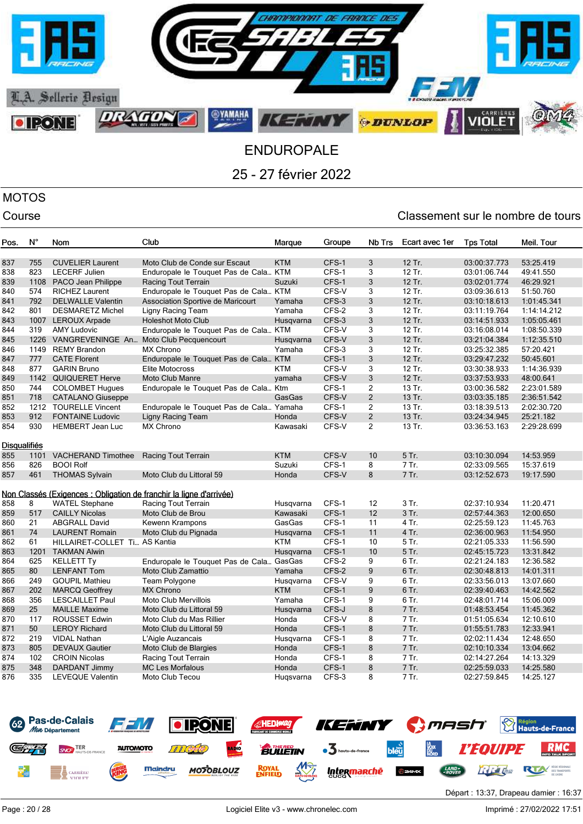

# MOTOS

| Pos.                | $N^{\circ}$ | Nom                                     | Club                                                                | Marque     | Groupe | Nb Trs         | Ecart avec 1er | <b>Tps Total</b> | Meil. Tour  |
|---------------------|-------------|-----------------------------------------|---------------------------------------------------------------------|------------|--------|----------------|----------------|------------------|-------------|
| 837                 | 755         | <b>CUVELIER Laurent</b>                 | Moto Club de Conde sur Escaut                                       | <b>KTM</b> | CFS-1  | 3              | 12 Tr.         | 03:00:37.773     | 53:25.419   |
| 838                 | 823         | <b>LECERF Julien</b>                    | Enduropale le Touquet Pas de Cala KTM                               |            | CFS-1  | 3              | 12 Tr.         | 03:01:06.744     | 49:41.550   |
| 839                 | 1108        | PACO Jean Philippe                      | Racing Tout Terrain                                                 | Suzuki     | CFS-1  | 3              | 12 Tr.         | 03:02:01.774     | 46:29.921   |
| 840                 | 574         | <b>RICHEZ Laurent</b>                   | Enduropale le Touquet Pas de Cala KTM                               |            | CFS-V  | 3              | 12 Tr.         | 03:09:36.613     | 51:50.760   |
| 841                 | 792         | <b>DELWALLE Valentin</b>                | Association Sportive de Maricourt                                   | Yamaha     | CFS-3  | 3              | 12 Tr.         | 03:10:18.613     | 1:01:45.341 |
| 842                 | 801         | <b>DESMARETZ Michel</b>                 | Ligny Racing Team                                                   | Yamaha     | CFS-2  | 3              | 12 Tr.         | 03:11:19.764     | 1:14:14.212 |
| 843                 | 1007        | <b>LEROUX Arpade</b>                    | <b>Holeshot Moto Club</b>                                           | Husgvarna  | CFS-3  | 3              | 12 Tr.         | 03:14:51.933     | 1:05:05.461 |
| 844                 | 319         | <b>AMY Ludovic</b>                      | Enduropale le Touquet Pas de Cala KTM                               |            | CFS-V  | 3              | 12 Tr.         | 03:16:08.014     | 1:08:50.339 |
| 845                 | 1226        | VANGREVENINGE An Moto Club Pecquencourt |                                                                     | Husqvarna  | CFS-V  | 3              | 12 Tr.         | 03:21:04.384     | 1:12:35.510 |
| 846                 | 1149        | <b>REMY Brandon</b>                     | <b>MX Chrono</b>                                                    | Yamaha     | CFS-3  | 3              | 12 Tr.         | 03:25:32.385     | 57:20.421   |
| 847                 | 777         | <b>CATE Florent</b>                     | Enduropale le Touquet Pas de Cala KTM                               |            | CFS-1  | 3              | 12 Tr.         | 03:29:47.232     | 50:45.601   |
| 848                 | 877         | <b>GARIN Bruno</b>                      | Elite Motocross                                                     | <b>KTM</b> | CFS-V  | 3              | 12 Tr.         | 03:30:38.933     | 1:14:36.939 |
| 849                 |             | 1142 QUIQUERET Herve                    | <b>Moto Club Manre</b>                                              | yamaha     | CFS-V  | 3              | 12 Tr.         | 03:37:53.933     | 48:00.641   |
| 850                 | 744         | <b>COLOMBET Hugues</b>                  | Enduropale le Touquet Pas de Cala Ktm                               |            | CFS-1  | 2              | 13 Tr.         | 03:00:36.582     | 2:23:01.589 |
| 851                 | 718         | <b>CATALANO Giuseppe</b>                |                                                                     | GasGas     | CFS-V  | $\overline{2}$ | 13 Tr.         | 03:03:35.185     | 2:36:51.542 |
| 852                 |             | 1212 TOURELLE Vincent                   | Enduropale le Touquet Pas de Cala Yamaha                            |            | CFS-1  | $\overline{2}$ | 13 Tr.         | 03:18:39.513     | 2:02:30.720 |
| 853                 | 912         | <b>FONTAINE Ludovic</b>                 | Ligny Racing Team                                                   | Honda      | CFS-V  | $\overline{c}$ | 13 Tr.         | 03:24:34.945     | 25:21.182   |
| 854                 | 930         | <b>HEMBERT Jean Luc</b>                 | <b>MX Chrono</b>                                                    | Kawasaki   | CFS-V  | $\overline{2}$ | 13 Tr.         | 03:36:53.163     | 2:29:28.699 |
| <b>Disqualifiés</b> |             |                                         |                                                                     |            |        |                |                |                  |             |
| 855                 | 1101        | <b>VACHERAND Timothee</b>               | Racing Tout Terrain                                                 | <b>KTM</b> | CFS-V  | 10             | 5 Tr.          | 03:10:30.094     | 14:53.959   |
| 856                 | 826         | <b>BOOI Rolf</b>                        |                                                                     | Suzuki     | CFS-1  | 8              | 7 Tr.          | 02:33:09.565     | 15:37.619   |
| 857                 | 461         | <b>THOMAS Sylvain</b>                   | Moto Club du Littoral 59                                            | Honda      | CFS-V  | 8              | 7 Tr.          | 03:12:52.673     | 19:17.590   |
|                     |             |                                         | Non Classés (Exigences : Obligation de franchir la ligne d'arrivée) |            |        |                |                |                  |             |
| 858                 | 8           | <b>WATEL Stephane</b>                   | Racing Tout Terrain                                                 | Husgvarna  | CFS-1  | 12             | 3 Tr.          | 02:37:10.934     | 11:20.471   |
| 859                 | 517         | <b>CAILLY Nicolas</b>                   | Moto Club de Brou                                                   | Kawasaki   | CFS-1  | 12             | 3 Tr.          | 02:57:44.363     | 12:00.650   |
| 860                 | 21          | <b>ABGRALL David</b>                    | Kewenn Krampons                                                     | GasGas     | CFS-1  | 11             | 4 Tr.          | 02:25:59.123     | 11:45.763   |
| 861                 | 74          | <b>LAURENT Romain</b>                   | Moto Club du Pignada                                                | Husqvarna  | CFS-1  | 11             | 4 Tr.          | 02:36:00.963     | 11:54.950   |
| 862                 | 61          | HILLAIRET-COLLET Ti AS Kantia           |                                                                     | KTM        | CFS-1  | 10             | 5 Tr.          | 02:21:05.333     | 11:56.590   |
| 863                 | 1201        | <b>TAKMAN Alwin</b>                     |                                                                     | Husqvarna  | CFS-1  | 10             | 5 Tr.          | 02:45:15.723     | 13:31.842   |
| 864                 | 625         | <b>KELLETT Ty</b>                       | Enduropale le Touquet Pas de Cala GasGas                            |            | CFS-2  | 9              | 6 Tr.          | 02:21:24.183     | 12:36.582   |
| 865                 | 80          | <b>LENFANT Tom</b>                      | Moto Club Zamattio                                                  | Yamaha     | CFS-2  | 9              | 6 Tr.          | 02:30:48.813     | 14:01.311   |
| 866                 | 249         | <b>GOUPIL Mathieu</b>                   | Team Polygone                                                       | Husqvarna  | CFS-V  | 9              | 6 Tr.          | 02:33:56.013     | 13:07.660   |
| 867                 | 202         | <b>MARCQ Geoffrey</b>                   | <b>MX Chrono</b>                                                    | <b>KTM</b> | CFS-1  | 9              | 6 Tr.          | 02:39:40.463     | 14:42.562   |
| 868                 | 356         | <b>LESCAILLET Paul</b>                  | <b>Moto Club Mervillois</b>                                         | Yamaha     | CFS-1  | 9              | 6 Tr.          | 02:48:01.714     | 15:06.009   |
| 869                 | 25          | <b>MAILLE Maxime</b>                    | Moto Club du Littoral 59                                            | Husgvarna  | CFS-J  | 8              | 7 Tr.          | 01:48:53.454     | 11:45.362   |
| 870                 | 117         | <b>ROUSSET Edwin</b>                    | Moto Club du Mas Rillier                                            | Honda      | CFS-V  | 8              | 7 Tr.          | 01:51:05.634     | 12:10.610   |
| 871                 | 50          | <b>LEROY Richard</b>                    | Moto Club du Littoral 59                                            | Honda      | CFS-1  | 8              | 7 Tr.          | 01:55:51.783     | 12:33.941   |
| 872                 | 219         | <b>VIDAL Nathan</b>                     | L'Aigle Auzancais                                                   | Husqvarna  | CFS-1  | 8              | 7 Tr.          | 02:02:11.434     | 12:48.650   |
| 873                 | 805         | <b>DEVAUX Gautier</b>                   | Moto Club de Blargies                                               | Honda      | CFS-1  | 8              | 7 Tr.          | 02:10:10.334     | 13:04.662   |
| 874                 | 102         | <b>CROIN Nicolas</b>                    | Racing Tout Terrain                                                 | Honda      | CFS-1  | 8              | 7 Tr.          | 02:14:27.264     | 14:13.329   |
| 875                 | 348         | DARDANT Jimmy                           | <b>MC Les Morfalous</b>                                             | Honda      | CFS-1  | 8              | 7 Tr.          | 02:25:59.033     | 14:25.580   |
| 876                 | 335         | <b>LEVEQUE Valentin</b>                 | Moto Club Tecou                                                     | Hugsvarna  | CFS-3  | 8              | 7 Tr.          | 02:27:59.845     | 14:25.127   |
|                     |             |                                         |                                                                     |            |        |                |                |                  |             |

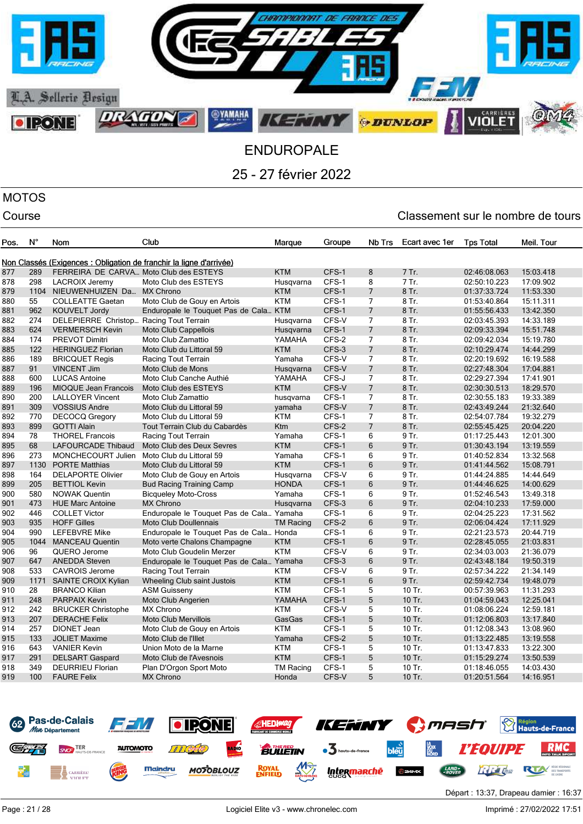

## MOTOS

| Pos. | $N^{\circ}$ | Nom                                     | Club                                                                | Marque           | Groupe | Nb Trs         | Ecart avec 1er | <b>Tps Total</b> | Meil. Tour |
|------|-------------|-----------------------------------------|---------------------------------------------------------------------|------------------|--------|----------------|----------------|------------------|------------|
|      |             |                                         | Non Classés (Exigences : Obligation de franchir la ligne d'arrivée) |                  |        |                |                |                  |            |
| 877  | 289         | FERREIRA DE CARVA Moto Club des ESTEYS  |                                                                     | <b>KTM</b>       | CFS-1  | 8              | 7 Tr.          | 02:46:08.063     | 15:03.418  |
| 878  | 298         | <b>LACROIX Jeremy</b>                   | Moto Club des ESTEYS                                                | Husqvarna        | CFS-1  | 8              | 7 Tr.          | 02:50:10.223     | 17:09.902  |
| 879  |             | 1104 NIEUWENHUIZEN Da MX Chrono         |                                                                     | <b>KTM</b>       | CFS-1  | $\overline{7}$ | 8 Tr.          | 01:37:33.724     | 11:53.330  |
| 880  | 55          | <b>COLLEATTE Gaetan</b>                 | Moto Club de Gouy en Artois                                         | <b>KTM</b>       | CFS-1  | $\overline{7}$ | 8 Tr.          | 01:53:40.864     | 15:11.311  |
| 881  | 962         | <b>KOUVELT Jordy</b>                    | Enduropale le Touquet Pas de Cala KTM                               |                  | CFS-1  | $\overline{7}$ | 8 Tr.          | 01:55:56.433     | 13:42.350  |
| 882  | 274         | DELEPIERRE Christop Racing Tout Terrain |                                                                     | Husqvarna        | CFS-V  | 7              | 8 Tr.          | 02:03:45.393     | 14:33.189  |
| 883  | 624         | <b>VERMERSCH Kevin</b>                  | <b>Moto Club Cappellois</b>                                         | Husqvarna        | CFS-1  | $\overline{7}$ | 8 Tr.          | 02:09:33.394     | 15:51.748  |
| 884  | 174         | <b>PREVOT Dimitri</b>                   | Moto Club Zamattio                                                  | YAMAHA           | CFS-2  | $\overline{7}$ | 8 Tr.          | 02:09:42.034     | 15:19.780  |
| 885  | 122         | <b>HERINGUEZ Florian</b>                | Moto Club du Littoral 59                                            | <b>KTM</b>       | CFS-3  | $\overline{7}$ | 8 Tr.          | 02:10:29.474     | 14:44.299  |
| 886  | 189         | <b>BRICQUET Regis</b>                   | Racing Tout Terrain                                                 | Yamaha           | CFS-V  | 7              | 8 Tr.          | 02:20:19.692     | 16:19.588  |
| 887  | 91          | <b>VINCENT Jim</b>                      | Moto Club de Mons                                                   | Husqvarna        | CFS-V  | $\overline{7}$ | 8 Tr.          | 02:27:48.304     | 17:04.881  |
| 888  | 600         | <b>LUCAS Antoine</b>                    | Moto Club Canche Authié                                             | YAMAHA           | CFS-J  | $\overline{7}$ | 8 Tr.          | 02:29:27.394     | 17:41.901  |
| 889  | 196         | <b>MIOQUE Jean Francois</b>             | Moto Club des ESTEYS                                                | <b>KTM</b>       | CFS-V  | $\overline{7}$ | 8 Tr.          | 02:30:30.513     | 18:29.570  |
| 890  | 200         | <b>LALLOYER Vincent</b>                 | Moto Club Zamattio                                                  | husqvarna        | CFS-1  | 7              | 8 Tr.          | 02:30:55.183     | 19:33.389  |
| 891  | 309         | <b>VOSSIUS Andre</b>                    | Moto Club du Littoral 59                                            | yamaha           | CFS-V  | $\overline{7}$ | 8 Tr.          | 02:43:49.244     | 21:32.640  |
| 892  | 770         | <b>DECOCQ Gregory</b>                   | Moto Club du Littoral 59                                            | <b>KTM</b>       | CFS-1  | 7              | 8 Tr.          | 02:54:07.784     | 19:32.279  |
| 893  | 899         | <b>GOTTI Alain</b>                      | Tout Terrain Club du Cabardès                                       | Ktm              | CFS-2  | $\overline{7}$ | 8 Tr.          | 02:55:45.425     | 20:04.220  |
| 894  | 78          | <b>THOREL Francois</b>                  | Racing Tout Terrain                                                 | Yamaha           | CFS-1  | 6              | 9 Tr.          | 01:17:25.443     | 12:01.300  |
| 895  | 68          | <b>LAFOURCADE Thibaud</b>               | Moto Club des Deux Sevres                                           | <b>KTM</b>       | CFS-1  | 6              | 9 Tr.          | 01:30:43.194     | 13:19.559  |
| 896  | 273         | MONCHECOURT Julien                      | Moto Club du Littoral 59                                            | Yamaha           | CFS-1  | 6              | 9 Tr.          | 01:40:52.834     | 13:32.568  |
| 897  | 1130        | <b>PORTE Matthias</b>                   | Moto Club du Littoral 59                                            | <b>KTM</b>       | CFS-1  | 6              | 9 Tr.          | 01:41:44.562     | 15:08.791  |
| 898  | 164         | <b>DELAPORTE Olivier</b>                | Moto Club de Gouy en Artois                                         | Husqvarna        | CFS-V  | 6              | 9 Tr.          | 01:44:24.885     | 14:44.649  |
| 899  | 205         | <b>BETTIOL Kevin</b>                    | <b>Bud Racing Training Camp</b>                                     | <b>HONDA</b>     | CFS-1  | 6              | 9 Tr.          | 01:44:46.625     | 14:00.629  |
| 900  | 580         | <b>NOWAK Quentin</b>                    | <b>Bicqueley Moto-Cross</b>                                         | Yamaha           | CFS-1  | 6              | 9 Tr.          | 01:52:46.543     | 13:49.318  |
| 901  | 473         | <b>HUE Marc Antoine</b>                 | <b>MX Chrono</b>                                                    | Husqvarna        | CFS-3  | 6              | 9 Tr.          | 02:04:10.233     | 17:59.000  |
| 902  | 446         | <b>COLLET Victor</b>                    | Enduropale le Touquet Pas de Cala Yamaha                            |                  | CFS-1  | 6              | 9 Tr.          | 02:04:25.223     | 17:31.562  |
| 903  | 935         | <b>HOFF Gilles</b>                      | <b>Moto Club Doullennais</b>                                        | <b>TM Racing</b> | CFS-2  | 6              | 9 Tr.          | 02:06:04.424     | 17:11.929  |
| 904  | 990         | <b>LEFEBVRE Mike</b>                    | Enduropale le Touquet Pas de Cala Honda                             |                  | CFS-1  | 6              | 9 Tr.          | 02:21:23.573     | 20:44.719  |
| 905  | 1044        | <b>MANCEAU Quentin</b>                  | Moto verte Chalons Champagne                                        | <b>KTM</b>       | CFS-1  | $6\phantom{1}$ | 9 Tr.          | 02:28:45.055     | 21:03.831  |
| 906  | 96          | QUERO Jerome                            | Moto Club Goudelin Merzer                                           | <b>KTM</b>       | CFS-V  | 6              | 9 Tr.          | 02:34:03.003     | 21:36.079  |
| 907  | 647         | <b>ANEDDA Steven</b>                    | Enduropale le Touquet Pas de Cala Yamaha                            |                  | CFS-3  | 6              | 9 Tr.          | 02:43:48.184     | 19:50.319  |
| 908  | 533         | <b>CAVROIS Jerome</b>                   | Racing Tout Terrain                                                 | <b>KTM</b>       | CFS-V  | 6              | 9 Tr.          | 02:57:34.222     | 21:34.149  |
| 909  | 1171        | SAINTE CROIX Kylian                     | Wheeling Club saint Justois                                         | <b>KTM</b>       | CFS-1  | 6              | 9 Tr.          | 02:59:42.734     | 19:48.079  |
| 910  | 28          | <b>BRANCO Kilian</b>                    | <b>ASM Guisseny</b>                                                 | KTM              | CFS-1  | 5              | 10 Tr.         | 00:57:39.963     | 11:31.293  |
| 911  | 248         | <b>PARPAIX Kevin</b>                    | Moto Club Angerien                                                  | YAMAHA           | CFS-1  | 5              | 10 Tr.         | 01:04:59.043     | 12:25.041  |
| 912  | 242         | <b>BRUCKER Christophe</b>               | <b>MX Chrono</b>                                                    | <b>KTM</b>       | CFS-V  | 5              | 10 Tr.         | 01:08:06.224     | 12:59.181  |
| 913  | 207         | <b>DERACHE Felix</b>                    | <b>Moto Club Mervillois</b>                                         | GasGas           | CFS-1  | 5              | 10 Tr.         | 01:12:06.803     | 13:17.840  |
| 914  | 257         | DIONET Jean                             | Moto Club de Gouy en Artois                                         | <b>KTM</b>       | CFS-1  | 5              | 10 Tr.         | 01:12:08.343     | 13:08.960  |
| 915  | 133         | <b>JOLIET Maxime</b>                    | Moto Club de l'Illet                                                | Yamaha           | CFS-2  | 5              | 10 Tr.         | 01:13:22.485     | 13:19.558  |
| 916  | 643         | <b>VANIER Kevin</b>                     | Union Moto de la Marne                                              | <b>KTM</b>       | CFS-1  | 5              | 10 Tr.         | 01:13:47.833     | 13:22.300  |
| 917  | 291         | <b>DELSART Gaspard</b>                  | Moto Club de l'Avesnois                                             | <b>KTM</b>       | CFS-1  | 5              | 10 Tr.         | 01:15:29.274     | 13:50.539  |
| 918  | 349         | <b>DEURRIEU Florian</b>                 | Plan D'Orgon Sport Moto                                             | <b>TM Racing</b> | CFS-1  | 5              | 10 Tr.         | 01:18:46.055     | 14:03.430  |
| 919  | 100         | <b>FAURE Felix</b>                      | <b>MX Chrono</b>                                                    | Honda            | CFS-V  | 5              | 10 Tr.         | 01:20:51.564     | 14:16.951  |
|      |             |                                         |                                                                     |                  |        |                |                |                  |            |

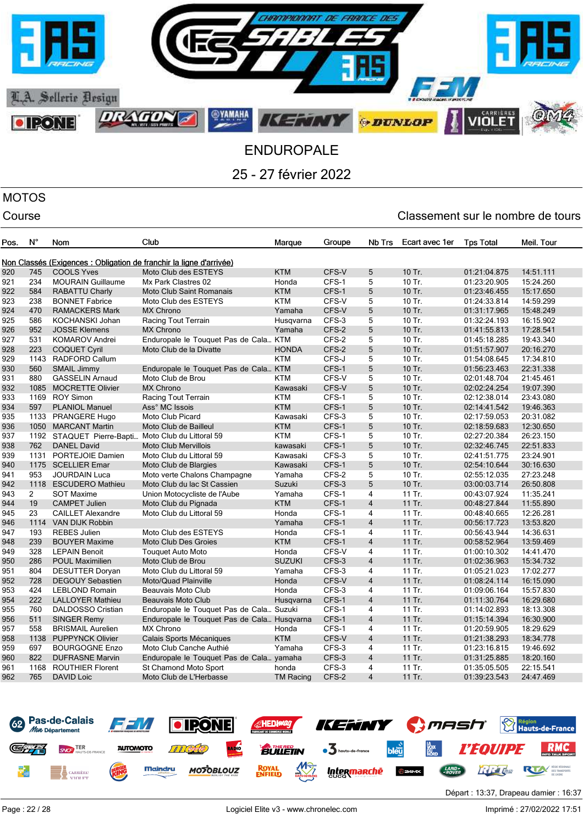

## MOTOS

| Pos. | N°             | Nom                       | Club                                                                | Marque           | Groupe | Nb Trs         | Ecart avec 1er | <b>Tps Total</b> | Meil. Tour |
|------|----------------|---------------------------|---------------------------------------------------------------------|------------------|--------|----------------|----------------|------------------|------------|
|      |                |                           | Non Classés (Exigences : Obligation de franchir la ligne d'arrivée) |                  |        |                |                |                  |            |
| 920  | 745            | <b>COOLS Yves</b>         | Moto Club des ESTEYS                                                | <b>KTM</b>       | CFS-V  | 5              | 10 Tr.         | 01:21:04.875     | 14:51.111  |
| 921  | 234            | <b>MOURAIN Guillaume</b>  | Mx Park Clastres 02                                                 | Honda            | CFS-1  | 5              | 10 Tr.         | 01:23:20.905     | 15:24.260  |
| 922  | 584            | <b>RABATTU Charly</b>     | <b>Moto Club Saint Romanais</b>                                     | <b>KTM</b>       | CFS-1  | 5              | 10 Tr.         | 01:23:46.455     | 15:17.650  |
| 923  | 238            | <b>BONNET Fabrice</b>     | Moto Club des ESTEYS                                                | <b>KTM</b>       | CFS-V  | 5              | 10 Tr.         | 01:24:33.814     | 14:59.299  |
| 924  | 470            | <b>RAMACKERS Mark</b>     | <b>MX Chrono</b>                                                    | Yamaha           | CFS-V  | 5              | 10 Tr.         | 01:31:17.965     | 15:48.249  |
| 925  | 586            | KOCHANSKI Johan           | Racing Tout Terrain                                                 | Husqvarna        | CFS-3  | 5              | 10 Tr.         | 01:32:24.193     | 16:15.902  |
| 926  | 952            | <b>JOSSE Klemens</b>      | <b>MX Chrono</b>                                                    | Yamaha           | CFS-2  | 5              | 10 Tr.         | 01:41:55.813     | 17:28.541  |
| 927  | 531            | <b>KOMAROV Andrei</b>     | Enduropale le Touquet Pas de Cala KTM                               |                  | CFS-2  | 5              | 10 Tr.         | 01:45:18.285     | 19:43.340  |
| 928  | 223            | <b>COQUET Cyril</b>       | Moto Club de la Divatte                                             | <b>HONDA</b>     | CFS-2  | 5              | 10 Tr.         | 01:51:57.907     | 20:16.270  |
| 929  | 1143           | <b>RADFORD Callum</b>     |                                                                     | <b>KTM</b>       | CFS-J  | 5              | 10 Tr.         | 01:54:08.645     | 17:34.810  |
| 930  | 560            | <b>SMAIL Jimmy</b>        | Enduropale le Touquet Pas de Cala KTM                               |                  | CFS-1  | 5              | 10 Tr.         | 01:56:23.463     | 22:31.338  |
| 931  | 880            | <b>GASSELIN Arnaud</b>    | Moto Club de Brou                                                   | <b>KTM</b>       | CFS-V  | 5              | 10 Tr.         | 02:01:48.704     | 21:45.461  |
| 932  | 1085           | <b>MOCRETTE Olivier</b>   | <b>MX Chrono</b>                                                    | Kawasaki         | CFS-V  | 5              | 10 Tr.         | 02:02:24.254     | 19:07.390  |
| 933  | 1169           | <b>ROY Simon</b>          | Racing Tout Terrain                                                 | <b>KTM</b>       | CFS-1  | 5              | 10 Tr.         | 02:12:38.014     | 23:43.080  |
| 934  | 597            | <b>PLANIOL Manuel</b>     | Ass° MC Issois                                                      | <b>KTM</b>       | CFS-1  | 5              | 10 Tr.         | 02:14:41.542     | 19:46.363  |
| 935  | 1133           | <b>PRANGERE Hugo</b>      | Moto Club Picard                                                    | Kawasaki         | CFS-3  | 5              | 10 Tr.         | 02:17:59.053     | 20:31.082  |
| 936  | 1050           | <b>MARCANT Martin</b>     | Moto Club de Bailleul                                               | <b>KTM</b>       | CFS-1  | 5              | 10 Tr.         | 02:18:59.683     | 12:30.650  |
| 937  |                | 1192 STAQUET Pierre-Bapti | Moto Club du Littoral 59                                            | <b>KTM</b>       | CFS-1  | 5              | 10 Tr.         | 02:27:20.384     | 26:23.150  |
| 938  | 762            | <b>DANEL David</b>        | <b>Moto Club Mervillois</b>                                         | kawasaki         | CFS-1  | 5              | 10 Tr.         | 02:32:46.745     | 22:51.833  |
| 939  |                | 1131 PORTEJOIE Damien     | Moto Club du Littoral 59                                            | Kawasaki         | CFS-3  | 5              | 10 Tr.         | 02:41:51.775     | 23:24.901  |
| 940  |                | 1175 SCELLIER Emar        | Moto Club de Blargies                                               | Kawasaki         | CFS-1  | 5              | 10 Tr.         | 02:54:10.644     | 30:16.630  |
| 941  | 953            | <b>JOURDAIN Luca</b>      | Moto verte Chalons Champagne                                        | Yamaha           | CFS-2  | 5              | 10 Tr.         | 02:55:12.035     | 27:23.248  |
| 942  |                | 1118 ESCUDERO Mathieu     | Moto Club du lac St Cassien                                         | Suzuki           | CFS-3  | 5              | 10 Tr.         | 03:00:03.714     | 26:50.808  |
| 943  | $\overline{2}$ | <b>SOT Maxime</b>         | Union Motocycliste de l'Aube                                        | Yamaha           | CFS-1  | 4              | 11 Tr.         | 00:43:07.924     | 11:35.241  |
| 944  | 19             | <b>CAMPET Julien</b>      | Moto Club du Pignada                                                | KTM              | CFS-1  | $\overline{4}$ | 11 Tr.         | 00:48:27.844     | 11:55.890  |
| 945  | 23             | <b>CAILLET Alexandre</b>  | Moto Club du Littoral 59                                            | Honda            | CFS-1  | 4              | 11 Tr.         | 00:48:40.665     | 12:26.281  |
| 946  |                | 1114 VAN DIJK Robbin      |                                                                     | Yamaha           | CFS-1  | $\overline{4}$ | 11 Tr.         | 00:56:17.723     | 13:53.820  |
| 947  | 193            | <b>REBES Julien</b>       | Moto Club des ESTEYS                                                | Honda            | CFS-1  | $\overline{4}$ | 11 Tr.         | 00:56:43.944     | 14:36.631  |
| 948  | 239            | <b>BOUYER Maxime</b>      | <b>Moto Club Des Groies</b>                                         | <b>KTM</b>       | CFS-1  | $\overline{4}$ | 11 Tr.         | 00:58:52.964     | 13:59.469  |
| 949  | 328            | <b>LEPAIN Benoit</b>      | <b>Touquet Auto Moto</b>                                            | Honda            | CFS-V  | 4              | 11 Tr.         | 01:00:10.302     | 14:41.470  |
| 950  | 286            | <b>POUL Maximilien</b>    | Moto Club de Brou                                                   | <b>SUZUKI</b>    | CFS-3  | $\overline{4}$ | 11 Tr.         | 01:02:36.963     | 15:34.732  |
| 951  | 804            | <b>DESUTTER Doryan</b>    | Moto Club du Littoral 59                                            | Yamaha           | CFS-3  | 4              | 11 Tr.         | 01:05:21.023     | 17:02.277  |
| 952  | 728            | <b>DEGOUY Sebastien</b>   | Moto/Quad Plainville                                                | Honda            | CFS-V  | $\overline{4}$ | 11 Tr.         | 01:08:24.114     | 16:15.090  |
| 953  | 424            | <b>LEBLOND Romain</b>     | Beauvais Moto Club                                                  | Honda            | CFS-3  | 4              | 11 Tr.         | 01:09:06.164     | 15:57.830  |
| 954  | 222            | <b>LALLOYER Mathieu</b>   | Beauvais Moto Club                                                  | Husgvarna        | CFS-1  | $\overline{4}$ | 11 Tr.         | 01:11:30.764     | 16:29.680  |
| 955  | 760            | <b>DALDOSSO Cristian</b>  | Enduropale le Touquet Pas de Cala Suzuki                            |                  | CFS-1  | 4              | 11 Tr.         | 01:14:02.893     | 18:13.308  |
| 956  | 511            | <b>SINGER Remy</b>        | Enduropale le Touquet Pas de Cala Husqvarna                         |                  | CFS-1  | $\overline{4}$ | 11 Tr.         | 01:15:14.394     | 16:30.900  |
| 957  | 558            | <b>BRISMAIL Aurelien</b>  | <b>MX Chrono</b>                                                    | Honda            | CFS-1  | $\overline{4}$ | 11 Tr.         | 01:20:59.905     | 18:29.629  |
| 958  | 1138           | <b>PUPPYNCK Olivier</b>   | Calais Sports Mécaniques                                            | <b>KTM</b>       | CFS-V  | $\overline{4}$ | 11 Tr.         | 01:21:38.293     | 18:34.778  |
| 959  | 697            | <b>BOURGOGNE Enzo</b>     | Moto Club Canche Authié                                             | Yamaha           | CFS-3  | $\overline{4}$ | 11 Tr.         | 01:23:16.815     | 19:46.692  |
| 960  | 822            | <b>DUFRASNE Marvin</b>    | Enduropale le Touquet Pas de Cala yamaha                            |                  | CFS-3  | $\overline{4}$ | 11 Tr.         | 01:31:25.885     | 18:20.160  |
| 961  | 1168           | <b>ROUTHIER Florent</b>   | St Chamond Moto Sport                                               | honda            | CFS-3  | $\overline{4}$ | 11 Tr.         | 01:35:05.505     | 22:15.541  |
| 962  | 765            | <b>DAVID Loic</b>         | Moto Club de L'Herbasse                                             | <b>TM Racing</b> | CFS-2  | $\overline{4}$ | 11 Tr.         | 01:39:23.543     | 24:47.469  |
|      |                |                           |                                                                     |                  |        |                |                |                  |            |

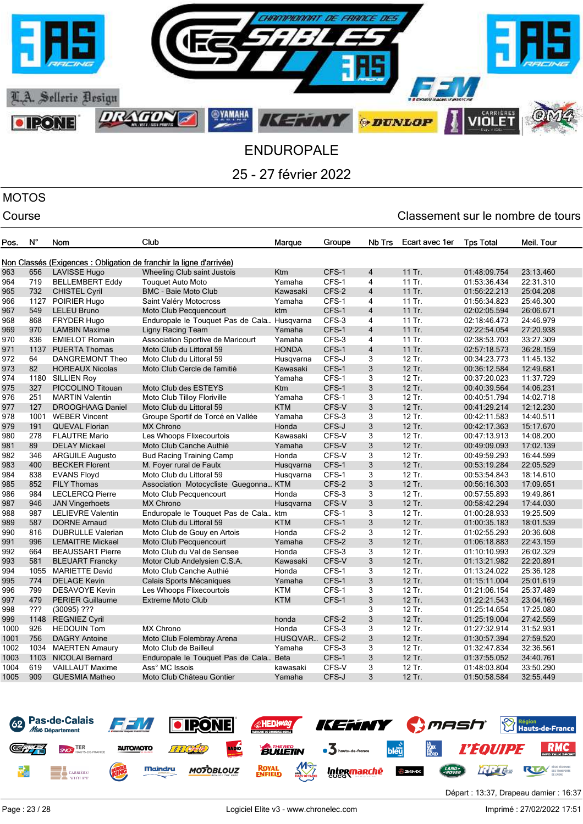

### MOTOS

| Pos.         | $N^{\circ}$ | Nom                      | Club                                                                | Marque        | Groupe | Nb Trs         | Ecart avec 1er | <b>Tps Total</b> | Meil. Tour |
|--------------|-------------|--------------------------|---------------------------------------------------------------------|---------------|--------|----------------|----------------|------------------|------------|
|              |             |                          | Non Classés (Exigences : Obligation de franchir la ligne d'arrivée) |               |        |                |                |                  |            |
| 963          | 656         | <b>LAVISSE Hugo</b>      | Wheeling Club saint Justois                                         | <b>Ktm</b>    | CFS-1  | 4              | 11 Tr.         | 01:48:09.754     | 23:13.460  |
| 964          | 719         | <b>BELLEMBERT Eddy</b>   | <b>Touguet Auto Moto</b>                                            | Yamaha        | CFS-1  | $\overline{4}$ | 11 Tr.         | 01:53:36.434     | 22:31.310  |
| 965          | 732         | <b>CHISTEL Cyril</b>     | <b>BMC - Baie Moto Club</b>                                         | Kawasaki      | CFS-2  | $\overline{4}$ | 11 Tr.         | 01:56:22.213     | 25:04.208  |
| 966          | 1127        | POIRIER Hugo             | Saint Valéry Motocross                                              | Yamaha        | CFS-1  | 4              | 11 Tr.         | 01:56:34.823     | 25:46.300  |
| 967          | 549         | <b>LELEU Bruno</b>       | Moto Club Pecquencourt                                              | ktm           | CFS-1  | $\overline{4}$ | 11 Tr.         | 02:02:05.594     | 26:06.671  |
| 968          | 868         | <b>FRYDER Hugo</b>       | Enduropale le Touquet Pas de Cala Husqvarna                         |               | CFS-3  | 4              | 11 Tr.         | 02:18:46.473     | 24:46.979  |
| 969          | 970         | <b>LAMBIN Maxime</b>     | Ligny Racing Team                                                   | Yamaha        | CFS-1  | $\overline{4}$ | 11 Tr.         | 02:22:54.054     | 27:20.938  |
| 970          | 836         | <b>EMIELOT Romain</b>    | Association Sportive de Maricourt                                   | Yamaha        | CFS-3  | 4              | 11 Tr.         | 02:38:53.703     | 33:27.309  |
| 971          | 1137        | <b>PUERTA Thomas</b>     | Moto Club du Littoral 59                                            | <b>HONDA</b>  | CFS-1  | $\overline{4}$ | 11 Tr.         | 02:57:18.573     | 36:28.159  |
| 972          | 64          | DANGREMONT Theo          | Moto Club du Littoral 59                                            | Husgvarna     | CFS-J  | 3              | $12$ Tr.       | 00:34:23.773     | 11:45.132  |
| 973          | 82          | <b>HOREAUX Nicolas</b>   | Moto Club Cercle de l'amitié                                        | Kawasaki      | CFS-1  | 3              | 12 Tr.         | 00:36:12.584     | 12:49.681  |
| 974          | 1180        | <b>SILLIEN Roy</b>       |                                                                     | Yamaha        | CFS-1  | 3              | 12 Tr.         | 00:37:20.023     | 11:37.729  |
| 975          | 327         | PICCOLINO Titouan        | Moto Club des ESTEYS                                                | Ktm           | CFS-1  | 3              | 12 Tr.         | 00:40:39.564     | 14:06.231  |
| 976          | 251         | <b>MARTIN Valentin</b>   | Moto Club Tilloy Floriville                                         | Yamaha        | CFS-1  | 3              | 12 Tr.         | 00:40:51.794     | 14:02.718  |
| 977          | 127         | <b>DROOGHAAG Daniel</b>  | Moto Club du Littoral 59                                            | <b>KTM</b>    | CFS-V  | 3              | 12 Tr.         | 00:41:29.214     | 12:12.230  |
| 978          | 1001        | <b>WEBER Vincent</b>     | Groupe Sportif de Torcé en Vallée                                   | Yamaha        | CFS-3  | 3              | $12$ Tr.       | 00:42:11.583     | 14:40.511  |
| 979          | 191         | <b>QUEVAL Florian</b>    | <b>MX Chrono</b>                                                    | Honda         | CFS-J  | 3              | 12 Tr.         | 00:42:17.363     | 15:17.670  |
| 980          | 278         | <b>FLAUTRE Mario</b>     | Les Whoops Flixecourtois                                            | Kawasaki      | CFS-V  | 3              | $12$ Tr.       | 00:47:13.913     | 14:08.200  |
| 981          | 89          | <b>DELAY Mickael</b>     | Moto Club Canche Authié                                             | Yamaha        | CFS-V  | 3              | 12 Tr.         | 00:49:09.093     | 17:02.139  |
| 982          | 346         | <b>ARGUILE Augusto</b>   | <b>Bud Racing Training Camp</b>                                     | Honda         | CFS-V  | 3              | 12 Tr.         | 00:49:59.293     | 16:44.599  |
| 983          | 400         | <b>BECKER Florent</b>    | M. Foyer rural de Faulx                                             | Husqvarna     | CFS-1  | 3              | 12 Tr.         | 00:53:19.284     | 22:05.529  |
| 984          | 838         | <b>EVANS Floyd</b>       | Moto Club du Littoral 59                                            | Husqvarna     | CFS-1  | 3              | 12 Tr.         | 00:53:54.843     | 18:14.610  |
| 985          | 852         | <b>FILY Thomas</b>       | Association Motocycliste Guegonna KTM                               |               | CFS-2  | 3              | 12 Tr.         | 00:56:16.303     | 17:09.651  |
| 986          | 984         | <b>LECLERCQ Pierre</b>   | Moto Club Pecquencourt                                              | Honda         | CFS-3  | 3              | $12$ Tr.       | 00:57:55.893     | 19:49.861  |
| 987          | 946         | <b>JAN Vingerhoets</b>   | <b>MX Chrono</b>                                                    | Husgvarna     | CFS-V  | 3              | 12 Tr.         | 00:58:42.294     | 17:44.030  |
| 988          | 987         | <b>LELIEVRE Valentin</b> | Enduropale le Touquet Pas de Cala ktm                               |               | CFS-1  | 3              | 12 Tr.         | 01:00:28.933     | 19:25.509  |
| 989          | 587         | <b>DORNE Arnaud</b>      | Moto Club du Littoral 59                                            | <b>KTM</b>    | CFS-1  | 3              | 12 Tr.         | 01:00:35.183     | 18:01.539  |
| 990          | 816         | <b>DUBRULLE Valerian</b> | Moto Club de Gouy en Artois                                         | Honda         | CFS-2  | 3              | 12 Tr.         | 01:02:55.293     | 20:36.608  |
| 991          | 996         | <b>LEMAITRE Mickael</b>  | Moto Club Pecquencourt                                              | Yamaha        | CFS-2  | 3              | 12 Tr.         | 01:06:18.883     | 22:43.159  |
| 992          | 664         | <b>BEAUSSART Pierre</b>  | Moto Club du Val de Sensee                                          | Honda         | CFS-3  | 3              | 12 Tr.         | 01:10:10.993     | 26:02.329  |
| 993          | 581         | <b>BLEUART Francky</b>   | Motor Club Andelysien C.S.A.                                        | Kawasaki      | CFS-V  | 3              | 12 Tr.         | 01:13:21.982     | 22:20.891  |
| 994          | 1055        | <b>MARIETTE David</b>    | Moto Club Canche Authié                                             | Honda         | CFS-1  | 3              | 12 Tr.         | 01:13:24.022     | 25:36.128  |
| 995          | 774         | <b>DELAGE Kevin</b>      | Calais Sports Mécaniques                                            | Yamaha        | CFS-1  | 3              | 12 Tr.         | 01:15:11.004     | 25:01.619  |
| 996          | 799         | <b>DESAVOYE Kevin</b>    | Les Whoops Flixecourtois                                            | <b>KTM</b>    | CFS-1  | 3              | 12 Tr.         | 01:21:06.154     | 25:37.489  |
| 997          | 479         | <b>PERIER Guillaume</b>  | <b>Extreme Moto Club</b>                                            | <b>KTM</b>    | CFS-1  | 3              | 12 Tr.         | 01:22:21.543     | 23:04.169  |
| 998          | ???         | $(30095)$ ???            |                                                                     |               |        | 3              | 12 Tr.         | 01:25:14.654     | 17:25.080  |
| 999          | 1148        | <b>REGNIEZ Cyril</b>     |                                                                     | honda         | CFS-2  | 3              | 12 Tr.         | 01:25:19.004     | 27:42.559  |
| 1000         | 926         | <b>HEDOUIN Tom</b>       | <b>MX Chrono</b>                                                    | Honda         | CFS-3  | 3              | 12 Tr.         | 01:27:32.914     | 31:52.931  |
| 1001         | 756         | <b>DAGRY Antoine</b>     | Moto Club Folembray Arena                                           | HUSQVAR CFS-2 |        | 3              | 12 Tr.         | 01:30:57.394     | 27:59.520  |
| 1002         | 1034        |                          |                                                                     | Yamaha        | CFS-3  | 3              | $12$ Tr.       | 01:32:47.834     | 32:36.561  |
|              |             | <b>MAERTEN Amaury</b>    | Moto Club de Bailleul                                               |               | CFS-1  | 3              | 12 Tr.         |                  |            |
| 1003         | 1103<br>619 | <b>NICOLAI Bernard</b>   | Enduropale le Touquet Pas de Cala Beta                              |               |        |                | 12 Tr.         | 01:37:55.052     | 34:40.761  |
| 1004<br>1005 | 909         | <b>VAILLAUT Maxime</b>   | Ass° MC Issois                                                      | kawasaki      | CFS-V  | 3<br>3         | 12 Tr.         | 01:48:03.804     | 33:50.290  |
|              |             | <b>GUESMIA Matheo</b>    | Moto Club Château Gontier                                           | Yamaha        | CFS-J  |                |                | 01:50:58.584     | 32:55.449  |

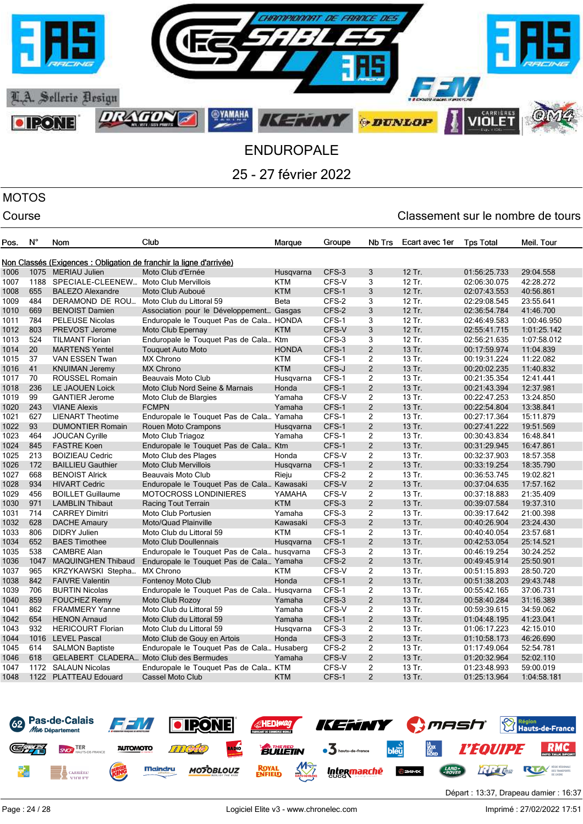

### MOTOS

| Pos. | $N^{\circ}$ | Nom                                      | Club                                                                | Marque       | Groupe | Nb Trs         | Ecart avec 1er | <b>Tps Total</b> | Meil. Tour  |
|------|-------------|------------------------------------------|---------------------------------------------------------------------|--------------|--------|----------------|----------------|------------------|-------------|
|      |             |                                          | Non Classés (Exigences : Obligation de franchir la ligne d'arrivée) |              |        |                |                |                  |             |
| 1006 |             | 1075 MERIAU Julien                       | Moto Club d'Ernée                                                   | Husqvarna    | CFS-3  | 3              | 12 Tr.         | 01:56:25.733     | 29:04.558   |
| 1007 | 1188        | SPECIALE-CLEENEW Moto Club Mervillois    |                                                                     | <b>KTM</b>   | CFS-V  | 3              | 12 Tr.         | 02:06:30.075     | 42:28.272   |
| 1008 | 655         | <b>BALEZO Alexandre</b>                  | Moto Club Auboué                                                    | <b>KTM</b>   | CFS-1  | 3              | 12 Tr.         | 02:07:43.553     | 40:56.861   |
| 1009 | 484         | DERAMOND DE ROU Moto Club du Littoral 59 |                                                                     | <b>Beta</b>  | CFS-2  | 3              | 12 Tr.         | 02:29:08.545     | 23:55.641   |
| 1010 | 669         | <b>BENOIST Damien</b>                    | Association pour le Développement Gasgas                            |              | CFS-2  | 3              | 12 Tr.         | 02:36:54.784     | 41:46.700   |
| 1011 | 784         | <b>PELEUSE Nicolas</b>                   | Enduropale le Touquet Pas de Cala HONDA                             |              | CFS-1  | 3              | 12 Tr.         | 02:46:49.583     | 1:00:46.950 |
| 1012 | 803         | PREVOST Jerome                           | Moto Club Epernay                                                   | <b>KTM</b>   | CFS-V  | 3              | 12 Tr.         | 02:55:41.715     | 1:01:25.142 |
| 1013 | 524         | <b>TILMANT Florian</b>                   | Enduropale le Touquet Pas de Cala Ktm                               |              | CFS-3  | 3              | 12 Tr.         | 02:56:21.635     | 1:07:58.012 |
| 1014 | 20          | <b>MARTENS Yentel</b>                    | <b>Touquet Auto Moto</b>                                            | <b>HONDA</b> | CFS-1  | $\overline{c}$ | 13 Tr.         | 00:17:59.974     | 11:04.839   |
| 1015 | 37          | VAN ESSEN Twan                           | <b>MX Chrono</b>                                                    | <b>KTM</b>   | CFS-1  | $\overline{2}$ | 13 Tr.         | 00:19:31.224     | 11:22.082   |
| 1016 | 41          | <b>KNUIMAN Jeremy</b>                    | <b>MX Chrono</b>                                                    | <b>KTM</b>   | CFS-J  | $\overline{2}$ | 13 Tr.         | 00:20:02.235     | 11:40.832   |
| 1017 | 70          | ROUSSEL Romain                           | Beauvais Moto Club                                                  | Husqvarna    | CFS-1  | 2              | 13 Tr.         | 00:21:35.354     | 12:41.441   |
| 1018 | 236         | <b>LE JAOUEN Loick</b>                   | Moto Club Nord Seine & Marnais                                      | Honda        | CFS-1  | $\overline{2}$ | 13 Tr.         | 00:21:43.394     | 12:37.981   |
| 1019 | 99          | <b>GANTIER Jerome</b>                    | Moto Club de Blargies                                               | Yamaha       | CFS-V  | 2              | 13 Tr.         | 00:22:47.253     | 13:24.850   |
| 1020 | 243         | <b>VIANE Alexis</b>                      | <b>FCMPN</b>                                                        | Yamaha       | CFS-1  | $\overline{2}$ | 13 Tr.         | 00:22:54.804     | 13:38.841   |
| 1021 | 627         | <b>LIENART Theotime</b>                  | Enduropale le Touquet Pas de Cala Yamaha                            |              | CFS-1  | $\overline{2}$ | 13 Tr.         | 00:27:17.364     | 15:11.879   |
| 1022 | 93          | <b>DUMONTIER Romain</b>                  | Rouen Moto Crampons                                                 | Husgvarna    | CFS-1  | $\overline{c}$ | 13 Tr.         | 00:27:41.222     | 19:51.569   |
| 1023 | 464         | <b>JOUCAN Cyrille</b>                    | Moto Club Triagoz                                                   | Yamaha       | CFS-1  | 2              | 13 Tr.         | 00:30:43.834     | 16:48.841   |
| 1024 | 845         | <b>FASTRE Koen</b>                       | Enduropale le Touquet Pas de Cala Ktm                               |              | CFS-1  | $\overline{c}$ | 13 Tr.         | 00:31:29.945     | 16:47.861   |
| 1025 | 213         | <b>BOIZIEAU Cedric</b>                   | Moto Club des Plages                                                | Honda        | CFS-V  | $\overline{2}$ | 13 Tr.         | 00:32:37.903     | 18:57.358   |
| 1026 | 172         | <b>BAILLIEU Gauthier</b>                 | <b>Moto Club Mervillois</b>                                         | Husqvarna    | CFS-1  | $\overline{2}$ | 13 Tr.         | 00:33:19.254     | 18:35.790   |
| 1027 | 668         | <b>BENOIST Alrick</b>                    | Beauvais Moto Club                                                  | Rieju        | CFS-2  | $\overline{2}$ | 13 Tr.         | 00:36:53.745     | 19:02.821   |
| 1028 | 934         | <b>HIVART Cedric</b>                     | Enduropale le Touquet Pas de Cala Kawasaki                          |              | CFS-V  | $\mathbf 2$    | 13 Tr.         | 00:37:04.635     | 17:57.162   |
| 1029 | 456         | <b>BOILLET Guillaume</b>                 | <b>MOTOCROSS LONDINIERES</b>                                        | YAMAHA       | CFS-V  | 2              | 13 Tr.         | 00:37:18.883     | 21:35.409   |
| 1030 | 971         | <b>LAMBLIN Thibaut</b>                   | Racing Tout Terrain                                                 | <b>KTM</b>   | CFS-3  | $\overline{2}$ | 13 Tr.         | 00:39:07.584     | 19:37.310   |
| 1031 | 714         | <b>CARREY Dimitri</b>                    | Moto Club Portusien                                                 | Yamaha       | CFS-3  | 2              | 13 Tr.         | 00:39:17.642     | 21:00.398   |
| 1032 | 628         | <b>DACHE Amaury</b>                      | Moto/Quad Plainville                                                | Kawasaki     | CFS-3  | $\overline{c}$ | 13 Tr.         | 00:40:26.904     | 23:24.430   |
| 1033 | 806         | <b>DIDRY Julien</b>                      | Moto Club du Littoral 59                                            | <b>KTM</b>   | CFS-1  | $\overline{2}$ | 13 Tr.         | 00:40:40.054     | 23:57.681   |
| 1034 | 652         | <b>BAES Timothee</b>                     | <b>Moto Club Doullennais</b>                                        | Husqvarna    | CFS-1  | $\overline{c}$ | 13 Tr.         | 00:42:53.054     | 25:14.521   |
| 1035 | 538         | <b>CAMBRE Alan</b>                       | Enduropale le Touquet Pas de Cala husqvarna                         |              | CFS-3  | 2              | 13 Tr.         | 00:46:19.254     | 30:24.252   |
| 1036 | 1047        | <b>MAQUINGHEN Thibaud</b>                | Enduropale le Touquet Pas de Cala Yamaha                            |              | CFS-2  | $\overline{c}$ | 13 Tr.         | 00:49:45.914     | 25:50.901   |
| 1037 | 965         | KRZYKAWSKI Stepha                        | <b>MX Chrono</b>                                                    | KTM          | CFS-V  | $\overline{c}$ | 13 Tr.         | 00:51:15.893     | 28:50.720   |
| 1038 | 842         | <b>FAIVRE Valentin</b>                   | <b>Fontenoy Moto Club</b>                                           | Honda        | CFS-1  | $\overline{2}$ | 13 Tr.         | 00:51:38.203     | 29:43.748   |
| 1039 | 706         | <b>BURTIN Nicolas</b>                    | Enduropale le Touquet Pas de Cala Husqvarna                         |              | CFS-1  | $\overline{2}$ | 13 Tr.         | 00:55:42.165     | 37:06.731   |
| 1040 | 859         | <b>FOUCHEZ Remy</b>                      | Moto Club Rozoy                                                     | Yamaha       | CFS-3  | $\overline{2}$ | 13 Tr.         | 00:58:40.284     | 31:16.389   |
| 1041 | 862         | <b>FRAMMERY Yanne</b>                    | Moto Club du Littoral 59                                            | Yamaha       | CFS-V  | $\overline{2}$ | 13 Tr.         | 00:59:39.615     | 34:59.062   |
| 1042 | 654         | <b>HENON Arnaud</b>                      | Moto Club du Littoral 59                                            | Yamaha       | CFS-1  | $\overline{2}$ | 13 Tr.         | 01:04:48.195     | 41:23.041   |
| 1043 | 932         | <b>HERICOURT Florian</b>                 | Moto Club du Littoral 59                                            | Husqvarna    | CFS-3  | 2              | 13 Tr.         | 01:06:17.223     | 42:15.010   |
| 1044 | 1016        | <b>LEVEL Pascal</b>                      | Moto Club de Gouy en Artois                                         | Honda        | CFS-3  | $\overline{2}$ | 13 Tr.         | 01:10:58.173     | 46:26.690   |
| 1045 | 614         | <b>SALMON Baptiste</b>                   | Enduropale le Touquet Pas de Cala Husaberg                          |              | CFS-2  | 2              | 13 Tr.         | 01:17:49.064     | 52:54.781   |
| 1046 | 618         |                                          | GELABERT CLADERA Moto Club des Bermudes                             | Yamaha       | CFS-V  | $\mathbf 2$    | 13 Tr.         | 01:20:32.964     | 52:02.110   |
| 1047 |             | 1172 SALAUN Nicolas                      | Enduropale le Touquet Pas de Cala KTM                               |              | CFS-V  | $\overline{2}$ | 13 Tr.         | 01:23:48.993     | 59:00.019   |
| 1048 |             | 1122 PLATTEAU Edouard                    | Cassel Moto Club                                                    | <b>KTM</b>   | CFS-1  | $\overline{2}$ | 13 Tr.         | 01:25:13.964     | 1:04:58.181 |

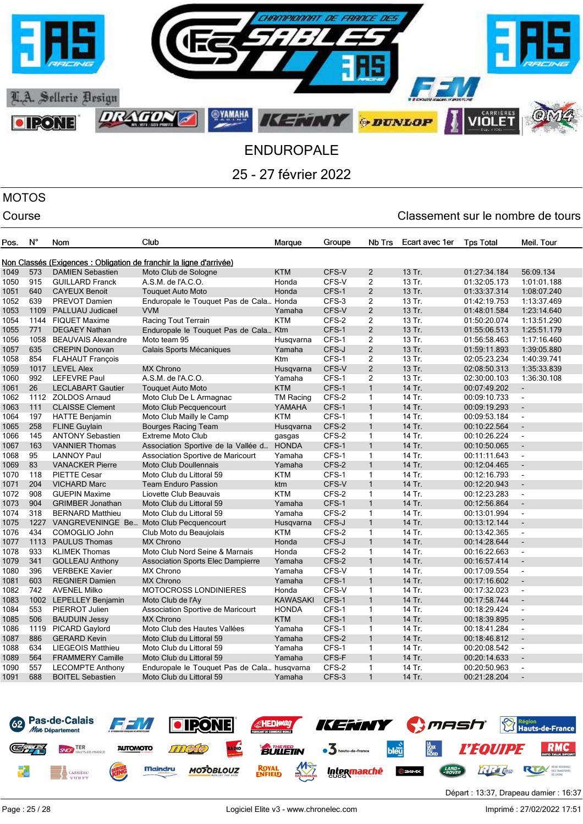

## MOTOS

| Pos. | $N^{\circ}$ | Nom                       | Club                                                                | Marque           | Groupe | Nb Trs         | Ecart avec 1er | <b>Tps Total</b> | Meil. Tour               |
|------|-------------|---------------------------|---------------------------------------------------------------------|------------------|--------|----------------|----------------|------------------|--------------------------|
|      |             |                           |                                                                     |                  |        |                |                |                  |                          |
|      |             |                           | Non Classés (Exigences : Obligation de franchir la ligne d'arrivée) |                  |        |                |                |                  |                          |
| 1049 | 573         | <b>DAMIEN Sebastien</b>   | Moto Club de Sologne                                                | <b>KTM</b>       | CFS-V  | 2              | 13 Tr.         | 01:27:34.184     | 56:09.134                |
| 1050 | 915         | <b>GUILLARD Franck</b>    | A.S.M. de l'A.C.O.                                                  | Honda            | CFS-V  | 2              | 13 Tr.         | 01:32:05.173     | 1:01:01.188              |
| 1051 | 640         | <b>CAYEUX Benoit</b>      | <b>Touquet Auto Moto</b>                                            | Honda            | CFS-1  | $\overline{2}$ | 13 Tr.         | 01:33:37.314     | 1:08:07.240              |
| 1052 | 639         | PREVOT Damien             | Enduropale le Touquet Pas de Cala Honda                             |                  | CFS-3  | $\overline{2}$ | 13 Tr.         | 01:42:19.753     | 1:13:37.469              |
| 1053 | 1109        | PALLUAU Judicael          | <b>VVM</b>                                                          | Yamaha           | CFS-V  | $\overline{c}$ | 13 Tr.         | 01:48:01.584     | 1:23:14.640              |
| 1054 | 1144        | <b>FIQUET Maxime</b>      | Racing Tout Terrain                                                 | <b>KTM</b>       | CFS-2  | 2              | 13 Tr.         | 01:50:20.074     | 1:13:51.290              |
| 1055 | 771         | <b>DEGAEY Nathan</b>      | Enduropale le Touquet Pas de Cala Ktm                               |                  | CFS-1  | $\overline{2}$ | 13 Tr.         | 01:55:06.513     | 1:25:51.179              |
| 1056 | 1058        | <b>BEAUVAIS Alexandre</b> | Moto team 95                                                        | Husqvarna        | CFS-1  | $\overline{2}$ | 13 Tr.         | 01:56:58.463     | 1:17:16.460              |
| 1057 | 635         | <b>CREPIN Donovan</b>     | Calais Sports Mécaniques                                            | Yamaha           | CFS-J  | $\overline{2}$ | 13 Tr.         | 01:59:11.893     | 1:39:05.880              |
| 1058 | 854         | <b>FLAHAUT François</b>   |                                                                     | <b>Ktm</b>       | CFS-1  | $\overline{2}$ | 13 Tr.         | 02:05:23.234     | 1:40:39.741              |
| 1059 |             | 1017 LEVEL Alex           | <b>MX Chrono</b>                                                    | Husqvarna        | CFS-V  | $\overline{2}$ | 13 Tr.         | 02:08:50.313     | 1:35:33.839              |
| 1060 | 992         | <b>LEFEVRE Paul</b>       | A.S.M. de l'A.C.O.                                                  | Yamaha           | CFS-1  | 2              | 13 Tr.         | 02:30:00.103     | 1:36:30.108              |
| 1061 | 26          | <b>LECLABART Gautier</b>  | <b>Touquet Auto Moto</b>                                            | <b>KTM</b>       | CFS-1  | $\mathbf{1}$   | 14 Tr.         | 00:07:49.202     | $\overline{\phantom{a}}$ |
| 1062 | 1112        | <b>ZOLDOS Arnaud</b>      | Moto Club De L Armagnac                                             | <b>TM Racing</b> | CFS-2  | $\mathbf{1}$   | 14 Tr.         | 00:09:10.733     | $\overline{\phantom{a}}$ |
| 1063 | 111         | <b>CLAISSE Clement</b>    | Moto Club Pecquencourt                                              | YAMAHA           | CFS-1  | $\mathbf{1}$   | 14 Tr.         | 00:09:19.293     | $\blacksquare$           |
| 1064 | 197         | <b>HATTE Benjamin</b>     | Moto Club Mailly le Camp                                            | <b>KTM</b>       | CFS-1  | 1              | 14 Tr.         | 00:09:53.184     | $\overline{\phantom{a}}$ |
| 1065 | 258         | <b>FLINE Guylain</b>      | <b>Bourges Racing Team</b>                                          | Husqvarna        | CFS-2  | $\mathbf{1}$   | 14 Tr.         | 00:10:22.564     | ÷,                       |
| 1066 | 145         | <b>ANTONY Sebastien</b>   | <b>Extreme Moto Club</b>                                            | gasgas           | CFS-2  | $\mathbf{1}$   | 14 Tr.         | 00:10:26.224     | $\blacksquare$           |
| 1067 | 163         | <b>VANNIER Thomas</b>     | Association Sportive de la Vallée d                                 | <b>HONDA</b>     | CFS-1  | $\mathbf{1}$   | 14 Tr.         | 00:10:50.065     | $\overline{\phantom{a}}$ |
| 1068 | 95          | <b>LANNOY Paul</b>        | Association Sportive de Maricourt                                   | Yamaha           | CFS-1  | $\mathbf{1}$   | 14 Tr.         | 00:11:11.643     | $\blacksquare$           |
| 1069 | 83          | <b>VANACKER Pierre</b>    | Moto Club Doullennais                                               | Yamaha           | CFS-2  | $\mathbf{1}$   | 14 Tr.         | 00:12:04.465     | $\blacksquare$           |
| 1070 | 118         | <b>PIETTE Cesar</b>       | Moto Club du Littoral 59                                            | <b>KTM</b>       | CFS-1  | 1              | 14 Tr.         | 00:12:16.793     | $\blacksquare$           |
| 1071 | 204         | <b>VICHARD Marc</b>       | <b>Team Enduro Passion</b>                                          | ktm              | CFS-V  | $\mathbf{1}$   | 14 Tr.         | 00:12:20.943     | $\overline{a}$           |
| 1072 | 908         | <b>GUEPIN Maxime</b>      | Liovette Club Beauvais                                              | <b>KTM</b>       | CFS-2  | $\mathbf{1}$   | 14 Tr.         | 00:12:23.283     | $\mathbf{r}$             |
| 1073 | 904         | <b>GRIMBER Jonathan</b>   | Moto Club du Littoral 59                                            | Yamaha           | CFS-1  | $\mathbf{1}$   | 14 Tr.         | 00:12:56.864     | $\blacksquare$           |
| 1074 | 318         | <b>BERNARD Matthieu</b>   | Moto Club du Littoral 59                                            | Yamaha           | CFS-2  | $\mathbf{1}$   | 14 Tr.         | 00:13:01.994     | $\blacksquare$           |
| 1075 | 1227        | VANGREVENINGE Be          | Moto Club Pecquencourt                                              | Husqvarna        | CFS-J  | $\mathbf{1}$   | 14 Tr.         | 00:13:12.144     | $\blacksquare$           |
| 1076 | 434         | COMOGLIO John             | Club Moto du Beaujolais                                             | <b>KTM</b>       | CFS-2  | $\mathbf{1}$   | 14 Tr.         | 00:13:42.365     | $\overline{\phantom{a}}$ |
| 1077 | 1113        | <b>PAULUS Thomas</b>      | <b>MX Chrono</b>                                                    | Honda            | CFS-J  | $\mathbf{1}$   | 14 Tr.         | 00:14:28.644     | $\overline{\phantom{a}}$ |
| 1078 | 933         | <b>KLIMEK Thomas</b>      | Moto Club Nord Seine & Marnais                                      | Honda            | CFS-2  | $\mathbf{1}$   | 14 Tr.         | 00:16:22.663     | $\blacksquare$           |
| 1079 | 341         | <b>GOLLEAU Anthony</b>    | <b>Association Sports Elec Dampierre</b>                            | Yamaha           | CFS-2  | $\mathbf{1}$   | 14 Tr.         | 00:16:57.414     | $\blacksquare$           |
| 1080 | 396         | <b>VERBEKE Xavier</b>     | <b>MX Chrono</b>                                                    | Yamaha           | CFS-V  | $\mathbf{1}$   | 14 Tr.         | 00:17:09.554     | $\overline{\phantom{a}}$ |
| 1081 | 603         | <b>REGNIER Damien</b>     | <b>MX Chrono</b>                                                    | Yamaha           | CFS-1  | $\mathbf{1}$   | 14 Tr.         | 00:17:16.602     | $\mathbf{r}$             |
| 1082 | 742         | <b>AVENEL Milko</b>       | <b>MOTOCROSS LONDINIERES</b>                                        | Honda            | CFS-V  | $\mathbf{1}$   | 14 Tr.         | 00:17:32.023     | $\blacksquare$           |
| 1083 | 1002        | LEPELLEY Benjamin         | Moto Club de l'Ay                                                   | <b>KAWASAKI</b>  | CFS-1  | $\mathbf{1}$   | 14 Tr.         | 00:17:58.744     |                          |
| 1084 | 553         | PIERROT Julien            | Association Sportive de Maricourt                                   | <b>HONDA</b>     | CFS-1  | 1              | 14 Tr.         | 00:18:29.424     | $\blacksquare$           |
| 1085 | 506         | <b>BAUDUIN Jessy</b>      | <b>MX Chrono</b>                                                    | <b>KTM</b>       | CFS-1  | $\mathbf{1}$   | 14 Tr.         | 00:18:39.895     | $\blacksquare$           |
| 1086 | 1119        | PICARD Gaylord            | Moto Club des Hautes Vallées                                        | Yamaha           | CFS-1  | $\mathbf{1}$   | 14 Tr.         | 00:18:41.284     | $\blacksquare$           |
| 1087 | 886         | <b>GERARD Kevin</b>       | Moto Club du Littoral 59                                            | Yamaha           | CFS-2  | $\mathbf{1}$   | 14 Tr.         | 00:18:46.812     | $\blacksquare$           |
| 1088 | 634         | LIEGEOIS Matthieu         | Moto Club du Littoral 59                                            | Yamaha           | CFS-1  | $\mathbf{1}$   | 14 Tr.         | 00:20:08.542     | $\blacksquare$           |
| 1089 | 564         | <b>FRAMMERY Camille</b>   | Moto Club du Littoral 59                                            | Yamaha           | CFS-F  | $\mathbf{1}$   | 14 Tr.         | 00:20:14.633     | $\overline{\phantom{a}}$ |
| 1090 | 557         | <b>LECOMPTE Anthony</b>   | Enduropale le Touquet Pas de Cala husqvarna                         |                  | CFS-2  | 1              | 14 Tr.         | 00:20:50.963     | $\blacksquare$           |
| 1091 | 688         | <b>BOITEL Sebastien</b>   | Moto Club du Littoral 59                                            | Yamaha           | CFS-3  | $\mathbf{1}$   | 14 Tr.         | 00:21:28.204     | $\overline{a}$           |
|      |             |                           |                                                                     |                  |        |                |                |                  |                          |

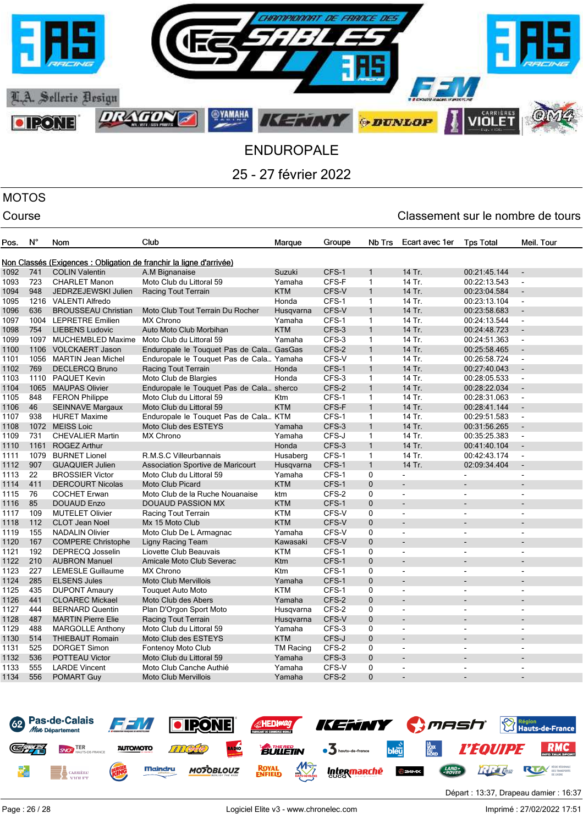

## MOTOS

### Course Course Course Course Course Course Course Course Course Course Course Course Course Course Course Cours

| Non Classés (Exigences : Obligation de franchir la ligne d'arrivée)<br><b>COLIN Valentin</b><br>CFS-1<br>1092<br>741<br>A.M Bignanaise<br>$\mathbf{1}$<br>14 Tr.<br>Suzuki<br>00:21:45.144<br>$\sim$<br>723<br>Moto Club du Littoral 59<br>CFS-F<br>$\mathbf{1}$<br>14 Tr.<br>1093<br><b>CHARLET Manon</b><br>Yamaha<br>00:22:13.543<br>$\blacksquare$<br>$\mathbf{1}$<br>1094<br>948<br>Racing Tout Terrain<br><b>KTM</b><br>CFS-V<br>14 Tr.<br>00:23:04.584<br>JEDRZEJEWSKI Julien<br>$\blacksquare$<br>CFS-1<br>1095<br>1216<br><b>VALENTI Alfredo</b><br>$\mathbf{1}$<br>14 Tr.<br>00:23:13.104<br>Honda<br>$\blacksquare$<br>636<br>$\mathbf{1}$<br>1096<br>CFS-V<br>14 Tr.<br><b>BROUSSEAU Christian</b><br>Moto Club Tout Terrain Du Rocher<br>Husqvarna<br>00:23:58.683<br>$\blacksquare$<br>14 Tr.<br>1097<br>1004<br><b>LEPRETRE Emilien</b><br>CFS-1<br>$\mathbf{1}$<br><b>MX Chrono</b><br>Yamaha<br>00:24:13.544<br>$\blacksquare$<br>1098<br>754<br><b>LIEBENS Ludovic</b><br><b>KTM</b><br>CFS-3<br>$\mathbf{1}$<br>14 Tr.<br>Auto Moto Club Morbihan<br>00:24:48.723<br>CFS-3<br>1097<br>Moto Club du Littoral 59<br>$\mathbf{1}$<br>14 Tr.<br>00:24:51.363<br>1099<br><b>MUCHEMBLED Maxime</b><br>Yamaha<br>$\blacksquare$<br>CFS-2<br>$\mathbf{1}$<br>14 Tr.<br>1100<br>1106<br><b>VOLCKAERT Jason</b><br>00:25:58.465<br>Enduropale le Touquet Pas de Cala GasGas<br>$\blacksquare$<br>CFS-V<br>14 Tr.<br>1101<br>1056<br><b>MARTIN Jean Michel</b><br>$\mathbf{1}$<br>00:26:58.724<br>Enduropale le Touquet Pas de Cala Yamaha<br>$\blacksquare$<br>769<br>CFS-1<br>$\mathbf{1}$<br>14 Tr.<br>1102<br><b>DECLERCQ Bruno</b><br>00:27:40.043<br>Racing Tout Terrain<br>Honda<br>$\overline{a}$<br>CFS-3<br>1103<br>1110<br><b>PAQUET Kevin</b><br>Moto Club de Blargies<br>Honda<br>$\mathbf{1}$<br>14 Tr.<br>00:28:05.533<br>$\blacksquare$<br>CFS-2<br>14 Tr.<br>1104<br>1065<br><b>MAUPAS Olivier</b><br>Enduropale le Touquet Pas de Cala sherco<br>$\mathbf{1}$<br>00:28:22.034<br>$\overline{a}$<br>CFS-1<br>1105<br>848<br><b>FERON Philippe</b><br>Moto Club du Littoral 59<br><b>Ktm</b><br>1<br>14 Tr.<br>00:28:31.063<br>$\blacksquare$<br>46<br><b>KTM</b><br>CFS-F<br>$\mathbf{1}$<br>14 Tr.<br>1106<br><b>SEINNAVE Margaux</b><br>Moto Club du Littoral 59<br>00:28:41.144<br>$\blacksquare$<br>938<br>CFS-1<br>14 Tr.<br>1107<br><b>HURET Maxime</b><br>Enduropale le Touquet Pas de Cala KTM<br>$\mathbf{1}$<br>00:29:51.583<br>$\overline{\phantom{a}}$<br>$\mathbf{1}$<br>1072<br><b>MEISS Loic</b><br>CFS-3<br>14 Tr.<br>1108<br>Moto Club des ESTEYS<br>00:31:56.265<br>Yamaha<br>$\overline{a}$<br>731<br><b>MX Chrono</b><br>CFS-J<br>$\mathbf{1}$<br>14 Tr.<br>1109<br><b>CHEVALIER Martin</b><br>Yamaha<br>00:35:25.383<br>$\blacksquare$<br>1161<br>CFS-3<br>$\mathbf{1}$<br>14 Tr.<br>1110<br><b>ROGEZ Arthur</b><br>Honda<br>00:41:40.104<br>$\blacksquare$<br>1079<br><b>BURNET Lionel</b><br>CFS-1<br>$\mathbf{1}$<br>14 Tr.<br>00:42:43.174<br>1111<br>R.M.S.C Villeurbannais<br>Husaberg<br>$\blacksquare$<br>907<br>CFS-1<br>$\mathbf{1}$<br>14 Tr.<br>02:09:34.404<br>1112<br><b>GUAQUIER Julien</b><br>Association Sportive de Maricourt<br>Husqvarna<br>÷,<br>1113<br>22<br><b>BROSSIER Victor</b><br>CFS-1<br>0<br>Moto Club du Littoral 59<br>Yamaha<br>$\overline{a}$<br>$\overline{a}$<br>411<br><b>DERCOURT Nicolas</b><br><b>Moto Club Picard</b><br><b>KTM</b><br>CFS-1<br>$\mathbf{0}$<br>1114<br>76<br>CFS-2<br>0<br>1115<br><b>COCHET Erwan</b><br>Moto Club de la Ruche Nouanaise<br>ktm<br>85<br><b>KTM</b><br>CFS-1<br>$\mathbf{0}$<br>1116<br><b>DOUAUD Enzo</b><br>DOUAUD PASSION MX<br>109<br><b>KTM</b><br>CFS-V<br>0<br>1117<br><b>MUTELET Olivier</b><br>Racing Tout Terrain<br>$\overline{\phantom{a}}$<br>$\overline{a}$<br>$\blacksquare$<br>112<br>CFS-V<br>$\mathbf 0$<br>1118<br><b>CLOT Jean Noel</b><br>Mx 15 Moto Club<br><b>KTM</b><br>$\mathbf 0$<br>1119<br>155<br><b>NADALIN Olivier</b><br>CFS-V<br>Moto Club De L Armagnac<br>Yamaha<br>$\overline{a}$<br>$\overline{a}$<br>$\blacksquare$<br>167<br>1120<br>CFS-V<br>0<br><b>COMPERE Christophe</b><br>Ligny Racing Team<br>Kawasaki<br>192<br>CFS-1<br>1121<br><b>DEPRECQ Josselin</b><br>Liovette Club Beauvais<br><b>KTM</b><br>0<br>$\overline{\phantom{a}}$<br>$\overline{\phantom{a}}$<br>$\overline{a}$<br>210<br>CFS-1<br>$\mathbf{0}$<br>1122<br><b>AUBRON Manuel</b><br>Amicale Moto Club Severac<br>Ktm<br>1123<br>227<br><b>LEMESLE Guillaume</b><br><b>MX Chrono</b><br>Ktm<br>CFS-1<br>0<br>$\overline{\phantom{a}}$<br>$\blacksquare$<br>$\blacksquare$<br>285<br><b>ELSENS Jules</b><br>CFS-1<br>$\mathbf{0}$<br>1124<br><b>Moto Club Mervillois</b><br>Yamaha<br>÷,<br>435<br>CFS-1<br>$\mathbf 0$<br>1125<br><b>DUPONT Amaury</b><br><b>KTM</b><br><b>Touquet Auto Moto</b><br>$\blacksquare$<br>$\overline{\phantom{a}}$<br>$\blacksquare$<br>441<br>CFS-2<br>$\mathbf{0}$<br>1126<br><b>CLOAREC Mickael</b><br>Moto Club des Abers<br>Yamaha<br>$\overline{a}$<br>444<br>CFS-2<br>1127<br><b>BERNARD Quentin</b><br>Plan D'Orgon Sport Moto<br>0<br>Husqvarna<br>$\blacksquare$<br>$\blacksquare$<br>$\overline{a}$<br>CFS-V<br>1128<br>487<br>$\mathbf{0}$<br><b>MARTIN Pierre Elie</b><br>Racing Tout Terrain<br>Husqvarna<br>÷<br>488<br>CFS-3<br>1129<br>Moto Club du Littoral 59<br>Yamaha<br>0<br><b>MARGOLLE Anthony</b><br>$\overline{\phantom{0}}$<br>$\overline{\phantom{a}}$<br>$\overline{\phantom{a}}$<br>514<br>CFS-J<br>$\mathbf{0}$<br>1130<br><b>THIEBAUT Romain</b><br>Moto Club des ESTEYS<br><b>KTM</b><br>525<br>CFS-2<br>$\mathbf 0$<br>1131<br><b>DORGET Simon</b><br><b>TM Racing</b><br><b>Fontenoy Moto Club</b><br>$\overline{\phantom{a}}$<br>$\overline{\phantom{a}}$<br>$\blacksquare$<br>$\mathbf{0}$<br>536<br>CFS-3<br>1132<br><b>POTTEAU Victor</b><br>Moto Club du Littoral 59<br>Yamaha<br>$\overline{\phantom{a}}$<br>1133<br>555<br>CFS-V<br>$\Omega$<br><b>LARDE Vincent</b><br>Moto Club Canche Authié<br>Yamaha<br>$\blacksquare$<br>$\blacksquare$<br>$\overline{a}$<br>1134<br>556<br>CFS-2<br>$\Omega$<br><b>POMART Guy</b><br><b>Moto Club Mervillois</b><br>Yamaha | Pos. | $N^{\circ}$ | Nom | Club | Marque | Groupe | Nb Trs | Ecart avec 1er | <b>Tps Total</b> | Meil. Tour |
|-------------------------------------------------------------------------------------------------------------------------------------------------------------------------------------------------------------------------------------------------------------------------------------------------------------------------------------------------------------------------------------------------------------------------------------------------------------------------------------------------------------------------------------------------------------------------------------------------------------------------------------------------------------------------------------------------------------------------------------------------------------------------------------------------------------------------------------------------------------------------------------------------------------------------------------------------------------------------------------------------------------------------------------------------------------------------------------------------------------------------------------------------------------------------------------------------------------------------------------------------------------------------------------------------------------------------------------------------------------------------------------------------------------------------------------------------------------------------------------------------------------------------------------------------------------------------------------------------------------------------------------------------------------------------------------------------------------------------------------------------------------------------------------------------------------------------------------------------------------------------------------------------------------------------------------------------------------------------------------------------------------------------------------------------------------------------------------------------------------------------------------------------------------------------------------------------------------------------------------------------------------------------------------------------------------------------------------------------------------------------------------------------------------------------------------------------------------------------------------------------------------------------------------------------------------------------------------------------------------------------------------------------------------------------------------------------------------------------------------------------------------------------------------------------------------------------------------------------------------------------------------------------------------------------------------------------------------------------------------------------------------------------------------------------------------------------------------------------------------------------------------------------------------------------------------------------------------------------------------------------------------------------------------------------------------------------------------------------------------------------------------------------------------------------------------------------------------------------------------------------------------------------------------------------------------------------------------------------------------------------------------------------------------------------------------------------------------------------------------------------------------------------------------------------------------------------------------------------------------------------------------------------------------------------------------------------------------------------------------------------------------------------------------------------------------------------------------------------------------------------------------------------------------------------------------------------------------------------------------------------------------------------------------------------------------------------------------------------------------------------------------------------------------------------------------------------------------------------------------------------------------------------------------------------------------------------------------------------------------------------------------------------------------------------------------------------------------------------------------------------------------------------------------------------------------------------------------------------------------------------------------------------------------------------------------------------------------------------------------------------------------------------------------------------------------------------------------------------------------------------------------------------------------------------------------------------------------------------------------------------------------------------------------------------------------------------------------------------------------------------------------------------------------------------------------------------------------------------------------------------------------------------------------------------------------------------------------------------------------------------------------------------------------------------------------------------------------------------------------------------------------------------------------------------------------------------------------------------------------------------------------------------------------------------------------------------------------------------------------------------------------------------------------------------------------------------------------------------------------------------------------------------------------------------------|------|-------------|-----|------|--------|--------|--------|----------------|------------------|------------|
|                                                                                                                                                                                                                                                                                                                                                                                                                                                                                                                                                                                                                                                                                                                                                                                                                                                                                                                                                                                                                                                                                                                                                                                                                                                                                                                                                                                                                                                                                                                                                                                                                                                                                                                                                                                                                                                                                                                                                                                                                                                                                                                                                                                                                                                                                                                                                                                                                                                                                                                                                                                                                                                                                                                                                                                                                                                                                                                                                                                                                                                                                                                                                                                                                                                                                                                                                                                                                                                                                                                                                                                                                                                                                                                                                                                                                                                                                                                                                                                                                                                                                                                                                                                                                                                                                                                                                                                                                                                                                                                                                                                                                                                                                                                                                                                                                                                                                                                                                                                                                                                                                                                                                                                                                                                                                                                                                                                                                                                                                                                                                                                                                                                                                                                                                                                                                                                                                                                                                                                                                                                                                                                                                                               |      |             |     |      |        |        |        |                |                  |            |
|                                                                                                                                                                                                                                                                                                                                                                                                                                                                                                                                                                                                                                                                                                                                                                                                                                                                                                                                                                                                                                                                                                                                                                                                                                                                                                                                                                                                                                                                                                                                                                                                                                                                                                                                                                                                                                                                                                                                                                                                                                                                                                                                                                                                                                                                                                                                                                                                                                                                                                                                                                                                                                                                                                                                                                                                                                                                                                                                                                                                                                                                                                                                                                                                                                                                                                                                                                                                                                                                                                                                                                                                                                                                                                                                                                                                                                                                                                                                                                                                                                                                                                                                                                                                                                                                                                                                                                                                                                                                                                                                                                                                                                                                                                                                                                                                                                                                                                                                                                                                                                                                                                                                                                                                                                                                                                                                                                                                                                                                                                                                                                                                                                                                                                                                                                                                                                                                                                                                                                                                                                                                                                                                                                               |      |             |     |      |        |        |        |                |                  |            |
|                                                                                                                                                                                                                                                                                                                                                                                                                                                                                                                                                                                                                                                                                                                                                                                                                                                                                                                                                                                                                                                                                                                                                                                                                                                                                                                                                                                                                                                                                                                                                                                                                                                                                                                                                                                                                                                                                                                                                                                                                                                                                                                                                                                                                                                                                                                                                                                                                                                                                                                                                                                                                                                                                                                                                                                                                                                                                                                                                                                                                                                                                                                                                                                                                                                                                                                                                                                                                                                                                                                                                                                                                                                                                                                                                                                                                                                                                                                                                                                                                                                                                                                                                                                                                                                                                                                                                                                                                                                                                                                                                                                                                                                                                                                                                                                                                                                                                                                                                                                                                                                                                                                                                                                                                                                                                                                                                                                                                                                                                                                                                                                                                                                                                                                                                                                                                                                                                                                                                                                                                                                                                                                                                                               |      |             |     |      |        |        |        |                |                  |            |
|                                                                                                                                                                                                                                                                                                                                                                                                                                                                                                                                                                                                                                                                                                                                                                                                                                                                                                                                                                                                                                                                                                                                                                                                                                                                                                                                                                                                                                                                                                                                                                                                                                                                                                                                                                                                                                                                                                                                                                                                                                                                                                                                                                                                                                                                                                                                                                                                                                                                                                                                                                                                                                                                                                                                                                                                                                                                                                                                                                                                                                                                                                                                                                                                                                                                                                                                                                                                                                                                                                                                                                                                                                                                                                                                                                                                                                                                                                                                                                                                                                                                                                                                                                                                                                                                                                                                                                                                                                                                                                                                                                                                                                                                                                                                                                                                                                                                                                                                                                                                                                                                                                                                                                                                                                                                                                                                                                                                                                                                                                                                                                                                                                                                                                                                                                                                                                                                                                                                                                                                                                                                                                                                                                               |      |             |     |      |        |        |        |                |                  |            |
|                                                                                                                                                                                                                                                                                                                                                                                                                                                                                                                                                                                                                                                                                                                                                                                                                                                                                                                                                                                                                                                                                                                                                                                                                                                                                                                                                                                                                                                                                                                                                                                                                                                                                                                                                                                                                                                                                                                                                                                                                                                                                                                                                                                                                                                                                                                                                                                                                                                                                                                                                                                                                                                                                                                                                                                                                                                                                                                                                                                                                                                                                                                                                                                                                                                                                                                                                                                                                                                                                                                                                                                                                                                                                                                                                                                                                                                                                                                                                                                                                                                                                                                                                                                                                                                                                                                                                                                                                                                                                                                                                                                                                                                                                                                                                                                                                                                                                                                                                                                                                                                                                                                                                                                                                                                                                                                                                                                                                                                                                                                                                                                                                                                                                                                                                                                                                                                                                                                                                                                                                                                                                                                                                                               |      |             |     |      |        |        |        |                |                  |            |
|                                                                                                                                                                                                                                                                                                                                                                                                                                                                                                                                                                                                                                                                                                                                                                                                                                                                                                                                                                                                                                                                                                                                                                                                                                                                                                                                                                                                                                                                                                                                                                                                                                                                                                                                                                                                                                                                                                                                                                                                                                                                                                                                                                                                                                                                                                                                                                                                                                                                                                                                                                                                                                                                                                                                                                                                                                                                                                                                                                                                                                                                                                                                                                                                                                                                                                                                                                                                                                                                                                                                                                                                                                                                                                                                                                                                                                                                                                                                                                                                                                                                                                                                                                                                                                                                                                                                                                                                                                                                                                                                                                                                                                                                                                                                                                                                                                                                                                                                                                                                                                                                                                                                                                                                                                                                                                                                                                                                                                                                                                                                                                                                                                                                                                                                                                                                                                                                                                                                                                                                                                                                                                                                                                               |      |             |     |      |        |        |        |                |                  |            |
|                                                                                                                                                                                                                                                                                                                                                                                                                                                                                                                                                                                                                                                                                                                                                                                                                                                                                                                                                                                                                                                                                                                                                                                                                                                                                                                                                                                                                                                                                                                                                                                                                                                                                                                                                                                                                                                                                                                                                                                                                                                                                                                                                                                                                                                                                                                                                                                                                                                                                                                                                                                                                                                                                                                                                                                                                                                                                                                                                                                                                                                                                                                                                                                                                                                                                                                                                                                                                                                                                                                                                                                                                                                                                                                                                                                                                                                                                                                                                                                                                                                                                                                                                                                                                                                                                                                                                                                                                                                                                                                                                                                                                                                                                                                                                                                                                                                                                                                                                                                                                                                                                                                                                                                                                                                                                                                                                                                                                                                                                                                                                                                                                                                                                                                                                                                                                                                                                                                                                                                                                                                                                                                                                                               |      |             |     |      |        |        |        |                |                  |            |
|                                                                                                                                                                                                                                                                                                                                                                                                                                                                                                                                                                                                                                                                                                                                                                                                                                                                                                                                                                                                                                                                                                                                                                                                                                                                                                                                                                                                                                                                                                                                                                                                                                                                                                                                                                                                                                                                                                                                                                                                                                                                                                                                                                                                                                                                                                                                                                                                                                                                                                                                                                                                                                                                                                                                                                                                                                                                                                                                                                                                                                                                                                                                                                                                                                                                                                                                                                                                                                                                                                                                                                                                                                                                                                                                                                                                                                                                                                                                                                                                                                                                                                                                                                                                                                                                                                                                                                                                                                                                                                                                                                                                                                                                                                                                                                                                                                                                                                                                                                                                                                                                                                                                                                                                                                                                                                                                                                                                                                                                                                                                                                                                                                                                                                                                                                                                                                                                                                                                                                                                                                                                                                                                                                               |      |             |     |      |        |        |        |                |                  |            |
|                                                                                                                                                                                                                                                                                                                                                                                                                                                                                                                                                                                                                                                                                                                                                                                                                                                                                                                                                                                                                                                                                                                                                                                                                                                                                                                                                                                                                                                                                                                                                                                                                                                                                                                                                                                                                                                                                                                                                                                                                                                                                                                                                                                                                                                                                                                                                                                                                                                                                                                                                                                                                                                                                                                                                                                                                                                                                                                                                                                                                                                                                                                                                                                                                                                                                                                                                                                                                                                                                                                                                                                                                                                                                                                                                                                                                                                                                                                                                                                                                                                                                                                                                                                                                                                                                                                                                                                                                                                                                                                                                                                                                                                                                                                                                                                                                                                                                                                                                                                                                                                                                                                                                                                                                                                                                                                                                                                                                                                                                                                                                                                                                                                                                                                                                                                                                                                                                                                                                                                                                                                                                                                                                                               |      |             |     |      |        |        |        |                |                  |            |
|                                                                                                                                                                                                                                                                                                                                                                                                                                                                                                                                                                                                                                                                                                                                                                                                                                                                                                                                                                                                                                                                                                                                                                                                                                                                                                                                                                                                                                                                                                                                                                                                                                                                                                                                                                                                                                                                                                                                                                                                                                                                                                                                                                                                                                                                                                                                                                                                                                                                                                                                                                                                                                                                                                                                                                                                                                                                                                                                                                                                                                                                                                                                                                                                                                                                                                                                                                                                                                                                                                                                                                                                                                                                                                                                                                                                                                                                                                                                                                                                                                                                                                                                                                                                                                                                                                                                                                                                                                                                                                                                                                                                                                                                                                                                                                                                                                                                                                                                                                                                                                                                                                                                                                                                                                                                                                                                                                                                                                                                                                                                                                                                                                                                                                                                                                                                                                                                                                                                                                                                                                                                                                                                                                               |      |             |     |      |        |        |        |                |                  |            |
|                                                                                                                                                                                                                                                                                                                                                                                                                                                                                                                                                                                                                                                                                                                                                                                                                                                                                                                                                                                                                                                                                                                                                                                                                                                                                                                                                                                                                                                                                                                                                                                                                                                                                                                                                                                                                                                                                                                                                                                                                                                                                                                                                                                                                                                                                                                                                                                                                                                                                                                                                                                                                                                                                                                                                                                                                                                                                                                                                                                                                                                                                                                                                                                                                                                                                                                                                                                                                                                                                                                                                                                                                                                                                                                                                                                                                                                                                                                                                                                                                                                                                                                                                                                                                                                                                                                                                                                                                                                                                                                                                                                                                                                                                                                                                                                                                                                                                                                                                                                                                                                                                                                                                                                                                                                                                                                                                                                                                                                                                                                                                                                                                                                                                                                                                                                                                                                                                                                                                                                                                                                                                                                                                                               |      |             |     |      |        |        |        |                |                  |            |
|                                                                                                                                                                                                                                                                                                                                                                                                                                                                                                                                                                                                                                                                                                                                                                                                                                                                                                                                                                                                                                                                                                                                                                                                                                                                                                                                                                                                                                                                                                                                                                                                                                                                                                                                                                                                                                                                                                                                                                                                                                                                                                                                                                                                                                                                                                                                                                                                                                                                                                                                                                                                                                                                                                                                                                                                                                                                                                                                                                                                                                                                                                                                                                                                                                                                                                                                                                                                                                                                                                                                                                                                                                                                                                                                                                                                                                                                                                                                                                                                                                                                                                                                                                                                                                                                                                                                                                                                                                                                                                                                                                                                                                                                                                                                                                                                                                                                                                                                                                                                                                                                                                                                                                                                                                                                                                                                                                                                                                                                                                                                                                                                                                                                                                                                                                                                                                                                                                                                                                                                                                                                                                                                                                               |      |             |     |      |        |        |        |                |                  |            |
|                                                                                                                                                                                                                                                                                                                                                                                                                                                                                                                                                                                                                                                                                                                                                                                                                                                                                                                                                                                                                                                                                                                                                                                                                                                                                                                                                                                                                                                                                                                                                                                                                                                                                                                                                                                                                                                                                                                                                                                                                                                                                                                                                                                                                                                                                                                                                                                                                                                                                                                                                                                                                                                                                                                                                                                                                                                                                                                                                                                                                                                                                                                                                                                                                                                                                                                                                                                                                                                                                                                                                                                                                                                                                                                                                                                                                                                                                                                                                                                                                                                                                                                                                                                                                                                                                                                                                                                                                                                                                                                                                                                                                                                                                                                                                                                                                                                                                                                                                                                                                                                                                                                                                                                                                                                                                                                                                                                                                                                                                                                                                                                                                                                                                                                                                                                                                                                                                                                                                                                                                                                                                                                                                                               |      |             |     |      |        |        |        |                |                  |            |
|                                                                                                                                                                                                                                                                                                                                                                                                                                                                                                                                                                                                                                                                                                                                                                                                                                                                                                                                                                                                                                                                                                                                                                                                                                                                                                                                                                                                                                                                                                                                                                                                                                                                                                                                                                                                                                                                                                                                                                                                                                                                                                                                                                                                                                                                                                                                                                                                                                                                                                                                                                                                                                                                                                                                                                                                                                                                                                                                                                                                                                                                                                                                                                                                                                                                                                                                                                                                                                                                                                                                                                                                                                                                                                                                                                                                                                                                                                                                                                                                                                                                                                                                                                                                                                                                                                                                                                                                                                                                                                                                                                                                                                                                                                                                                                                                                                                                                                                                                                                                                                                                                                                                                                                                                                                                                                                                                                                                                                                                                                                                                                                                                                                                                                                                                                                                                                                                                                                                                                                                                                                                                                                                                                               |      |             |     |      |        |        |        |                |                  |            |
|                                                                                                                                                                                                                                                                                                                                                                                                                                                                                                                                                                                                                                                                                                                                                                                                                                                                                                                                                                                                                                                                                                                                                                                                                                                                                                                                                                                                                                                                                                                                                                                                                                                                                                                                                                                                                                                                                                                                                                                                                                                                                                                                                                                                                                                                                                                                                                                                                                                                                                                                                                                                                                                                                                                                                                                                                                                                                                                                                                                                                                                                                                                                                                                                                                                                                                                                                                                                                                                                                                                                                                                                                                                                                                                                                                                                                                                                                                                                                                                                                                                                                                                                                                                                                                                                                                                                                                                                                                                                                                                                                                                                                                                                                                                                                                                                                                                                                                                                                                                                                                                                                                                                                                                                                                                                                                                                                                                                                                                                                                                                                                                                                                                                                                                                                                                                                                                                                                                                                                                                                                                                                                                                                                               |      |             |     |      |        |        |        |                |                  |            |
|                                                                                                                                                                                                                                                                                                                                                                                                                                                                                                                                                                                                                                                                                                                                                                                                                                                                                                                                                                                                                                                                                                                                                                                                                                                                                                                                                                                                                                                                                                                                                                                                                                                                                                                                                                                                                                                                                                                                                                                                                                                                                                                                                                                                                                                                                                                                                                                                                                                                                                                                                                                                                                                                                                                                                                                                                                                                                                                                                                                                                                                                                                                                                                                                                                                                                                                                                                                                                                                                                                                                                                                                                                                                                                                                                                                                                                                                                                                                                                                                                                                                                                                                                                                                                                                                                                                                                                                                                                                                                                                                                                                                                                                                                                                                                                                                                                                                                                                                                                                                                                                                                                                                                                                                                                                                                                                                                                                                                                                                                                                                                                                                                                                                                                                                                                                                                                                                                                                                                                                                                                                                                                                                                                               |      |             |     |      |        |        |        |                |                  |            |
|                                                                                                                                                                                                                                                                                                                                                                                                                                                                                                                                                                                                                                                                                                                                                                                                                                                                                                                                                                                                                                                                                                                                                                                                                                                                                                                                                                                                                                                                                                                                                                                                                                                                                                                                                                                                                                                                                                                                                                                                                                                                                                                                                                                                                                                                                                                                                                                                                                                                                                                                                                                                                                                                                                                                                                                                                                                                                                                                                                                                                                                                                                                                                                                                                                                                                                                                                                                                                                                                                                                                                                                                                                                                                                                                                                                                                                                                                                                                                                                                                                                                                                                                                                                                                                                                                                                                                                                                                                                                                                                                                                                                                                                                                                                                                                                                                                                                                                                                                                                                                                                                                                                                                                                                                                                                                                                                                                                                                                                                                                                                                                                                                                                                                                                                                                                                                                                                                                                                                                                                                                                                                                                                                                               |      |             |     |      |        |        |        |                |                  |            |
|                                                                                                                                                                                                                                                                                                                                                                                                                                                                                                                                                                                                                                                                                                                                                                                                                                                                                                                                                                                                                                                                                                                                                                                                                                                                                                                                                                                                                                                                                                                                                                                                                                                                                                                                                                                                                                                                                                                                                                                                                                                                                                                                                                                                                                                                                                                                                                                                                                                                                                                                                                                                                                                                                                                                                                                                                                                                                                                                                                                                                                                                                                                                                                                                                                                                                                                                                                                                                                                                                                                                                                                                                                                                                                                                                                                                                                                                                                                                                                                                                                                                                                                                                                                                                                                                                                                                                                                                                                                                                                                                                                                                                                                                                                                                                                                                                                                                                                                                                                                                                                                                                                                                                                                                                                                                                                                                                                                                                                                                                                                                                                                                                                                                                                                                                                                                                                                                                                                                                                                                                                                                                                                                                                               |      |             |     |      |        |        |        |                |                  |            |
|                                                                                                                                                                                                                                                                                                                                                                                                                                                                                                                                                                                                                                                                                                                                                                                                                                                                                                                                                                                                                                                                                                                                                                                                                                                                                                                                                                                                                                                                                                                                                                                                                                                                                                                                                                                                                                                                                                                                                                                                                                                                                                                                                                                                                                                                                                                                                                                                                                                                                                                                                                                                                                                                                                                                                                                                                                                                                                                                                                                                                                                                                                                                                                                                                                                                                                                                                                                                                                                                                                                                                                                                                                                                                                                                                                                                                                                                                                                                                                                                                                                                                                                                                                                                                                                                                                                                                                                                                                                                                                                                                                                                                                                                                                                                                                                                                                                                                                                                                                                                                                                                                                                                                                                                                                                                                                                                                                                                                                                                                                                                                                                                                                                                                                                                                                                                                                                                                                                                                                                                                                                                                                                                                                               |      |             |     |      |        |        |        |                |                  |            |
|                                                                                                                                                                                                                                                                                                                                                                                                                                                                                                                                                                                                                                                                                                                                                                                                                                                                                                                                                                                                                                                                                                                                                                                                                                                                                                                                                                                                                                                                                                                                                                                                                                                                                                                                                                                                                                                                                                                                                                                                                                                                                                                                                                                                                                                                                                                                                                                                                                                                                                                                                                                                                                                                                                                                                                                                                                                                                                                                                                                                                                                                                                                                                                                                                                                                                                                                                                                                                                                                                                                                                                                                                                                                                                                                                                                                                                                                                                                                                                                                                                                                                                                                                                                                                                                                                                                                                                                                                                                                                                                                                                                                                                                                                                                                                                                                                                                                                                                                                                                                                                                                                                                                                                                                                                                                                                                                                                                                                                                                                                                                                                                                                                                                                                                                                                                                                                                                                                                                                                                                                                                                                                                                                                               |      |             |     |      |        |        |        |                |                  |            |
|                                                                                                                                                                                                                                                                                                                                                                                                                                                                                                                                                                                                                                                                                                                                                                                                                                                                                                                                                                                                                                                                                                                                                                                                                                                                                                                                                                                                                                                                                                                                                                                                                                                                                                                                                                                                                                                                                                                                                                                                                                                                                                                                                                                                                                                                                                                                                                                                                                                                                                                                                                                                                                                                                                                                                                                                                                                                                                                                                                                                                                                                                                                                                                                                                                                                                                                                                                                                                                                                                                                                                                                                                                                                                                                                                                                                                                                                                                                                                                                                                                                                                                                                                                                                                                                                                                                                                                                                                                                                                                                                                                                                                                                                                                                                                                                                                                                                                                                                                                                                                                                                                                                                                                                                                                                                                                                                                                                                                                                                                                                                                                                                                                                                                                                                                                                                                                                                                                                                                                                                                                                                                                                                                                               |      |             |     |      |        |        |        |                |                  |            |
|                                                                                                                                                                                                                                                                                                                                                                                                                                                                                                                                                                                                                                                                                                                                                                                                                                                                                                                                                                                                                                                                                                                                                                                                                                                                                                                                                                                                                                                                                                                                                                                                                                                                                                                                                                                                                                                                                                                                                                                                                                                                                                                                                                                                                                                                                                                                                                                                                                                                                                                                                                                                                                                                                                                                                                                                                                                                                                                                                                                                                                                                                                                                                                                                                                                                                                                                                                                                                                                                                                                                                                                                                                                                                                                                                                                                                                                                                                                                                                                                                                                                                                                                                                                                                                                                                                                                                                                                                                                                                                                                                                                                                                                                                                                                                                                                                                                                                                                                                                                                                                                                                                                                                                                                                                                                                                                                                                                                                                                                                                                                                                                                                                                                                                                                                                                                                                                                                                                                                                                                                                                                                                                                                                               |      |             |     |      |        |        |        |                |                  |            |
|                                                                                                                                                                                                                                                                                                                                                                                                                                                                                                                                                                                                                                                                                                                                                                                                                                                                                                                                                                                                                                                                                                                                                                                                                                                                                                                                                                                                                                                                                                                                                                                                                                                                                                                                                                                                                                                                                                                                                                                                                                                                                                                                                                                                                                                                                                                                                                                                                                                                                                                                                                                                                                                                                                                                                                                                                                                                                                                                                                                                                                                                                                                                                                                                                                                                                                                                                                                                                                                                                                                                                                                                                                                                                                                                                                                                                                                                                                                                                                                                                                                                                                                                                                                                                                                                                                                                                                                                                                                                                                                                                                                                                                                                                                                                                                                                                                                                                                                                                                                                                                                                                                                                                                                                                                                                                                                                                                                                                                                                                                                                                                                                                                                                                                                                                                                                                                                                                                                                                                                                                                                                                                                                                                               |      |             |     |      |        |        |        |                |                  |            |
|                                                                                                                                                                                                                                                                                                                                                                                                                                                                                                                                                                                                                                                                                                                                                                                                                                                                                                                                                                                                                                                                                                                                                                                                                                                                                                                                                                                                                                                                                                                                                                                                                                                                                                                                                                                                                                                                                                                                                                                                                                                                                                                                                                                                                                                                                                                                                                                                                                                                                                                                                                                                                                                                                                                                                                                                                                                                                                                                                                                                                                                                                                                                                                                                                                                                                                                                                                                                                                                                                                                                                                                                                                                                                                                                                                                                                                                                                                                                                                                                                                                                                                                                                                                                                                                                                                                                                                                                                                                                                                                                                                                                                                                                                                                                                                                                                                                                                                                                                                                                                                                                                                                                                                                                                                                                                                                                                                                                                                                                                                                                                                                                                                                                                                                                                                                                                                                                                                                                                                                                                                                                                                                                                                               |      |             |     |      |        |        |        |                |                  |            |
|                                                                                                                                                                                                                                                                                                                                                                                                                                                                                                                                                                                                                                                                                                                                                                                                                                                                                                                                                                                                                                                                                                                                                                                                                                                                                                                                                                                                                                                                                                                                                                                                                                                                                                                                                                                                                                                                                                                                                                                                                                                                                                                                                                                                                                                                                                                                                                                                                                                                                                                                                                                                                                                                                                                                                                                                                                                                                                                                                                                                                                                                                                                                                                                                                                                                                                                                                                                                                                                                                                                                                                                                                                                                                                                                                                                                                                                                                                                                                                                                                                                                                                                                                                                                                                                                                                                                                                                                                                                                                                                                                                                                                                                                                                                                                                                                                                                                                                                                                                                                                                                                                                                                                                                                                                                                                                                                                                                                                                                                                                                                                                                                                                                                                                                                                                                                                                                                                                                                                                                                                                                                                                                                                                               |      |             |     |      |        |        |        |                |                  |            |
|                                                                                                                                                                                                                                                                                                                                                                                                                                                                                                                                                                                                                                                                                                                                                                                                                                                                                                                                                                                                                                                                                                                                                                                                                                                                                                                                                                                                                                                                                                                                                                                                                                                                                                                                                                                                                                                                                                                                                                                                                                                                                                                                                                                                                                                                                                                                                                                                                                                                                                                                                                                                                                                                                                                                                                                                                                                                                                                                                                                                                                                                                                                                                                                                                                                                                                                                                                                                                                                                                                                                                                                                                                                                                                                                                                                                                                                                                                                                                                                                                                                                                                                                                                                                                                                                                                                                                                                                                                                                                                                                                                                                                                                                                                                                                                                                                                                                                                                                                                                                                                                                                                                                                                                                                                                                                                                                                                                                                                                                                                                                                                                                                                                                                                                                                                                                                                                                                                                                                                                                                                                                                                                                                                               |      |             |     |      |        |        |        |                |                  |            |
|                                                                                                                                                                                                                                                                                                                                                                                                                                                                                                                                                                                                                                                                                                                                                                                                                                                                                                                                                                                                                                                                                                                                                                                                                                                                                                                                                                                                                                                                                                                                                                                                                                                                                                                                                                                                                                                                                                                                                                                                                                                                                                                                                                                                                                                                                                                                                                                                                                                                                                                                                                                                                                                                                                                                                                                                                                                                                                                                                                                                                                                                                                                                                                                                                                                                                                                                                                                                                                                                                                                                                                                                                                                                                                                                                                                                                                                                                                                                                                                                                                                                                                                                                                                                                                                                                                                                                                                                                                                                                                                                                                                                                                                                                                                                                                                                                                                                                                                                                                                                                                                                                                                                                                                                                                                                                                                                                                                                                                                                                                                                                                                                                                                                                                                                                                                                                                                                                                                                                                                                                                                                                                                                                                               |      |             |     |      |        |        |        |                |                  |            |
|                                                                                                                                                                                                                                                                                                                                                                                                                                                                                                                                                                                                                                                                                                                                                                                                                                                                                                                                                                                                                                                                                                                                                                                                                                                                                                                                                                                                                                                                                                                                                                                                                                                                                                                                                                                                                                                                                                                                                                                                                                                                                                                                                                                                                                                                                                                                                                                                                                                                                                                                                                                                                                                                                                                                                                                                                                                                                                                                                                                                                                                                                                                                                                                                                                                                                                                                                                                                                                                                                                                                                                                                                                                                                                                                                                                                                                                                                                                                                                                                                                                                                                                                                                                                                                                                                                                                                                                                                                                                                                                                                                                                                                                                                                                                                                                                                                                                                                                                                                                                                                                                                                                                                                                                                                                                                                                                                                                                                                                                                                                                                                                                                                                                                                                                                                                                                                                                                                                                                                                                                                                                                                                                                                               |      |             |     |      |        |        |        |                |                  |            |
|                                                                                                                                                                                                                                                                                                                                                                                                                                                                                                                                                                                                                                                                                                                                                                                                                                                                                                                                                                                                                                                                                                                                                                                                                                                                                                                                                                                                                                                                                                                                                                                                                                                                                                                                                                                                                                                                                                                                                                                                                                                                                                                                                                                                                                                                                                                                                                                                                                                                                                                                                                                                                                                                                                                                                                                                                                                                                                                                                                                                                                                                                                                                                                                                                                                                                                                                                                                                                                                                                                                                                                                                                                                                                                                                                                                                                                                                                                                                                                                                                                                                                                                                                                                                                                                                                                                                                                                                                                                                                                                                                                                                                                                                                                                                                                                                                                                                                                                                                                                                                                                                                                                                                                                                                                                                                                                                                                                                                                                                                                                                                                                                                                                                                                                                                                                                                                                                                                                                                                                                                                                                                                                                                                               |      |             |     |      |        |        |        |                |                  |            |
|                                                                                                                                                                                                                                                                                                                                                                                                                                                                                                                                                                                                                                                                                                                                                                                                                                                                                                                                                                                                                                                                                                                                                                                                                                                                                                                                                                                                                                                                                                                                                                                                                                                                                                                                                                                                                                                                                                                                                                                                                                                                                                                                                                                                                                                                                                                                                                                                                                                                                                                                                                                                                                                                                                                                                                                                                                                                                                                                                                                                                                                                                                                                                                                                                                                                                                                                                                                                                                                                                                                                                                                                                                                                                                                                                                                                                                                                                                                                                                                                                                                                                                                                                                                                                                                                                                                                                                                                                                                                                                                                                                                                                                                                                                                                                                                                                                                                                                                                                                                                                                                                                                                                                                                                                                                                                                                                                                                                                                                                                                                                                                                                                                                                                                                                                                                                                                                                                                                                                                                                                                                                                                                                                                               |      |             |     |      |        |        |        |                |                  |            |
|                                                                                                                                                                                                                                                                                                                                                                                                                                                                                                                                                                                                                                                                                                                                                                                                                                                                                                                                                                                                                                                                                                                                                                                                                                                                                                                                                                                                                                                                                                                                                                                                                                                                                                                                                                                                                                                                                                                                                                                                                                                                                                                                                                                                                                                                                                                                                                                                                                                                                                                                                                                                                                                                                                                                                                                                                                                                                                                                                                                                                                                                                                                                                                                                                                                                                                                                                                                                                                                                                                                                                                                                                                                                                                                                                                                                                                                                                                                                                                                                                                                                                                                                                                                                                                                                                                                                                                                                                                                                                                                                                                                                                                                                                                                                                                                                                                                                                                                                                                                                                                                                                                                                                                                                                                                                                                                                                                                                                                                                                                                                                                                                                                                                                                                                                                                                                                                                                                                                                                                                                                                                                                                                                                               |      |             |     |      |        |        |        |                |                  |            |
|                                                                                                                                                                                                                                                                                                                                                                                                                                                                                                                                                                                                                                                                                                                                                                                                                                                                                                                                                                                                                                                                                                                                                                                                                                                                                                                                                                                                                                                                                                                                                                                                                                                                                                                                                                                                                                                                                                                                                                                                                                                                                                                                                                                                                                                                                                                                                                                                                                                                                                                                                                                                                                                                                                                                                                                                                                                                                                                                                                                                                                                                                                                                                                                                                                                                                                                                                                                                                                                                                                                                                                                                                                                                                                                                                                                                                                                                                                                                                                                                                                                                                                                                                                                                                                                                                                                                                                                                                                                                                                                                                                                                                                                                                                                                                                                                                                                                                                                                                                                                                                                                                                                                                                                                                                                                                                                                                                                                                                                                                                                                                                                                                                                                                                                                                                                                                                                                                                                                                                                                                                                                                                                                                                               |      |             |     |      |        |        |        |                |                  |            |
|                                                                                                                                                                                                                                                                                                                                                                                                                                                                                                                                                                                                                                                                                                                                                                                                                                                                                                                                                                                                                                                                                                                                                                                                                                                                                                                                                                                                                                                                                                                                                                                                                                                                                                                                                                                                                                                                                                                                                                                                                                                                                                                                                                                                                                                                                                                                                                                                                                                                                                                                                                                                                                                                                                                                                                                                                                                                                                                                                                                                                                                                                                                                                                                                                                                                                                                                                                                                                                                                                                                                                                                                                                                                                                                                                                                                                                                                                                                                                                                                                                                                                                                                                                                                                                                                                                                                                                                                                                                                                                                                                                                                                                                                                                                                                                                                                                                                                                                                                                                                                                                                                                                                                                                                                                                                                                                                                                                                                                                                                                                                                                                                                                                                                                                                                                                                                                                                                                                                                                                                                                                                                                                                                                               |      |             |     |      |        |        |        |                |                  |            |
|                                                                                                                                                                                                                                                                                                                                                                                                                                                                                                                                                                                                                                                                                                                                                                                                                                                                                                                                                                                                                                                                                                                                                                                                                                                                                                                                                                                                                                                                                                                                                                                                                                                                                                                                                                                                                                                                                                                                                                                                                                                                                                                                                                                                                                                                                                                                                                                                                                                                                                                                                                                                                                                                                                                                                                                                                                                                                                                                                                                                                                                                                                                                                                                                                                                                                                                                                                                                                                                                                                                                                                                                                                                                                                                                                                                                                                                                                                                                                                                                                                                                                                                                                                                                                                                                                                                                                                                                                                                                                                                                                                                                                                                                                                                                                                                                                                                                                                                                                                                                                                                                                                                                                                                                                                                                                                                                                                                                                                                                                                                                                                                                                                                                                                                                                                                                                                                                                                                                                                                                                                                                                                                                                                               |      |             |     |      |        |        |        |                |                  |            |
|                                                                                                                                                                                                                                                                                                                                                                                                                                                                                                                                                                                                                                                                                                                                                                                                                                                                                                                                                                                                                                                                                                                                                                                                                                                                                                                                                                                                                                                                                                                                                                                                                                                                                                                                                                                                                                                                                                                                                                                                                                                                                                                                                                                                                                                                                                                                                                                                                                                                                                                                                                                                                                                                                                                                                                                                                                                                                                                                                                                                                                                                                                                                                                                                                                                                                                                                                                                                                                                                                                                                                                                                                                                                                                                                                                                                                                                                                                                                                                                                                                                                                                                                                                                                                                                                                                                                                                                                                                                                                                                                                                                                                                                                                                                                                                                                                                                                                                                                                                                                                                                                                                                                                                                                                                                                                                                                                                                                                                                                                                                                                                                                                                                                                                                                                                                                                                                                                                                                                                                                                                                                                                                                                                               |      |             |     |      |        |        |        |                |                  |            |
|                                                                                                                                                                                                                                                                                                                                                                                                                                                                                                                                                                                                                                                                                                                                                                                                                                                                                                                                                                                                                                                                                                                                                                                                                                                                                                                                                                                                                                                                                                                                                                                                                                                                                                                                                                                                                                                                                                                                                                                                                                                                                                                                                                                                                                                                                                                                                                                                                                                                                                                                                                                                                                                                                                                                                                                                                                                                                                                                                                                                                                                                                                                                                                                                                                                                                                                                                                                                                                                                                                                                                                                                                                                                                                                                                                                                                                                                                                                                                                                                                                                                                                                                                                                                                                                                                                                                                                                                                                                                                                                                                                                                                                                                                                                                                                                                                                                                                                                                                                                                                                                                                                                                                                                                                                                                                                                                                                                                                                                                                                                                                                                                                                                                                                                                                                                                                                                                                                                                                                                                                                                                                                                                                                               |      |             |     |      |        |        |        |                |                  |            |
|                                                                                                                                                                                                                                                                                                                                                                                                                                                                                                                                                                                                                                                                                                                                                                                                                                                                                                                                                                                                                                                                                                                                                                                                                                                                                                                                                                                                                                                                                                                                                                                                                                                                                                                                                                                                                                                                                                                                                                                                                                                                                                                                                                                                                                                                                                                                                                                                                                                                                                                                                                                                                                                                                                                                                                                                                                                                                                                                                                                                                                                                                                                                                                                                                                                                                                                                                                                                                                                                                                                                                                                                                                                                                                                                                                                                                                                                                                                                                                                                                                                                                                                                                                                                                                                                                                                                                                                                                                                                                                                                                                                                                                                                                                                                                                                                                                                                                                                                                                                                                                                                                                                                                                                                                                                                                                                                                                                                                                                                                                                                                                                                                                                                                                                                                                                                                                                                                                                                                                                                                                                                                                                                                                               |      |             |     |      |        |        |        |                |                  |            |
|                                                                                                                                                                                                                                                                                                                                                                                                                                                                                                                                                                                                                                                                                                                                                                                                                                                                                                                                                                                                                                                                                                                                                                                                                                                                                                                                                                                                                                                                                                                                                                                                                                                                                                                                                                                                                                                                                                                                                                                                                                                                                                                                                                                                                                                                                                                                                                                                                                                                                                                                                                                                                                                                                                                                                                                                                                                                                                                                                                                                                                                                                                                                                                                                                                                                                                                                                                                                                                                                                                                                                                                                                                                                                                                                                                                                                                                                                                                                                                                                                                                                                                                                                                                                                                                                                                                                                                                                                                                                                                                                                                                                                                                                                                                                                                                                                                                                                                                                                                                                                                                                                                                                                                                                                                                                                                                                                                                                                                                                                                                                                                                                                                                                                                                                                                                                                                                                                                                                                                                                                                                                                                                                                                               |      |             |     |      |        |        |        |                |                  |            |
|                                                                                                                                                                                                                                                                                                                                                                                                                                                                                                                                                                                                                                                                                                                                                                                                                                                                                                                                                                                                                                                                                                                                                                                                                                                                                                                                                                                                                                                                                                                                                                                                                                                                                                                                                                                                                                                                                                                                                                                                                                                                                                                                                                                                                                                                                                                                                                                                                                                                                                                                                                                                                                                                                                                                                                                                                                                                                                                                                                                                                                                                                                                                                                                                                                                                                                                                                                                                                                                                                                                                                                                                                                                                                                                                                                                                                                                                                                                                                                                                                                                                                                                                                                                                                                                                                                                                                                                                                                                                                                                                                                                                                                                                                                                                                                                                                                                                                                                                                                                                                                                                                                                                                                                                                                                                                                                                                                                                                                                                                                                                                                                                                                                                                                                                                                                                                                                                                                                                                                                                                                                                                                                                                                               |      |             |     |      |        |        |        |                |                  |            |
|                                                                                                                                                                                                                                                                                                                                                                                                                                                                                                                                                                                                                                                                                                                                                                                                                                                                                                                                                                                                                                                                                                                                                                                                                                                                                                                                                                                                                                                                                                                                                                                                                                                                                                                                                                                                                                                                                                                                                                                                                                                                                                                                                                                                                                                                                                                                                                                                                                                                                                                                                                                                                                                                                                                                                                                                                                                                                                                                                                                                                                                                                                                                                                                                                                                                                                                                                                                                                                                                                                                                                                                                                                                                                                                                                                                                                                                                                                                                                                                                                                                                                                                                                                                                                                                                                                                                                                                                                                                                                                                                                                                                                                                                                                                                                                                                                                                                                                                                                                                                                                                                                                                                                                                                                                                                                                                                                                                                                                                                                                                                                                                                                                                                                                                                                                                                                                                                                                                                                                                                                                                                                                                                                                               |      |             |     |      |        |        |        |                |                  |            |
|                                                                                                                                                                                                                                                                                                                                                                                                                                                                                                                                                                                                                                                                                                                                                                                                                                                                                                                                                                                                                                                                                                                                                                                                                                                                                                                                                                                                                                                                                                                                                                                                                                                                                                                                                                                                                                                                                                                                                                                                                                                                                                                                                                                                                                                                                                                                                                                                                                                                                                                                                                                                                                                                                                                                                                                                                                                                                                                                                                                                                                                                                                                                                                                                                                                                                                                                                                                                                                                                                                                                                                                                                                                                                                                                                                                                                                                                                                                                                                                                                                                                                                                                                                                                                                                                                                                                                                                                                                                                                                                                                                                                                                                                                                                                                                                                                                                                                                                                                                                                                                                                                                                                                                                                                                                                                                                                                                                                                                                                                                                                                                                                                                                                                                                                                                                                                                                                                                                                                                                                                                                                                                                                                                               |      |             |     |      |        |        |        |                |                  |            |
|                                                                                                                                                                                                                                                                                                                                                                                                                                                                                                                                                                                                                                                                                                                                                                                                                                                                                                                                                                                                                                                                                                                                                                                                                                                                                                                                                                                                                                                                                                                                                                                                                                                                                                                                                                                                                                                                                                                                                                                                                                                                                                                                                                                                                                                                                                                                                                                                                                                                                                                                                                                                                                                                                                                                                                                                                                                                                                                                                                                                                                                                                                                                                                                                                                                                                                                                                                                                                                                                                                                                                                                                                                                                                                                                                                                                                                                                                                                                                                                                                                                                                                                                                                                                                                                                                                                                                                                                                                                                                                                                                                                                                                                                                                                                                                                                                                                                                                                                                                                                                                                                                                                                                                                                                                                                                                                                                                                                                                                                                                                                                                                                                                                                                                                                                                                                                                                                                                                                                                                                                                                                                                                                                                               |      |             |     |      |        |        |        |                |                  |            |
|                                                                                                                                                                                                                                                                                                                                                                                                                                                                                                                                                                                                                                                                                                                                                                                                                                                                                                                                                                                                                                                                                                                                                                                                                                                                                                                                                                                                                                                                                                                                                                                                                                                                                                                                                                                                                                                                                                                                                                                                                                                                                                                                                                                                                                                                                                                                                                                                                                                                                                                                                                                                                                                                                                                                                                                                                                                                                                                                                                                                                                                                                                                                                                                                                                                                                                                                                                                                                                                                                                                                                                                                                                                                                                                                                                                                                                                                                                                                                                                                                                                                                                                                                                                                                                                                                                                                                                                                                                                                                                                                                                                                                                                                                                                                                                                                                                                                                                                                                                                                                                                                                                                                                                                                                                                                                                                                                                                                                                                                                                                                                                                                                                                                                                                                                                                                                                                                                                                                                                                                                                                                                                                                                                               |      |             |     |      |        |        |        |                |                  |            |
|                                                                                                                                                                                                                                                                                                                                                                                                                                                                                                                                                                                                                                                                                                                                                                                                                                                                                                                                                                                                                                                                                                                                                                                                                                                                                                                                                                                                                                                                                                                                                                                                                                                                                                                                                                                                                                                                                                                                                                                                                                                                                                                                                                                                                                                                                                                                                                                                                                                                                                                                                                                                                                                                                                                                                                                                                                                                                                                                                                                                                                                                                                                                                                                                                                                                                                                                                                                                                                                                                                                                                                                                                                                                                                                                                                                                                                                                                                                                                                                                                                                                                                                                                                                                                                                                                                                                                                                                                                                                                                                                                                                                                                                                                                                                                                                                                                                                                                                                                                                                                                                                                                                                                                                                                                                                                                                                                                                                                                                                                                                                                                                                                                                                                                                                                                                                                                                                                                                                                                                                                                                                                                                                                                               |      |             |     |      |        |        |        |                |                  |            |
|                                                                                                                                                                                                                                                                                                                                                                                                                                                                                                                                                                                                                                                                                                                                                                                                                                                                                                                                                                                                                                                                                                                                                                                                                                                                                                                                                                                                                                                                                                                                                                                                                                                                                                                                                                                                                                                                                                                                                                                                                                                                                                                                                                                                                                                                                                                                                                                                                                                                                                                                                                                                                                                                                                                                                                                                                                                                                                                                                                                                                                                                                                                                                                                                                                                                                                                                                                                                                                                                                                                                                                                                                                                                                                                                                                                                                                                                                                                                                                                                                                                                                                                                                                                                                                                                                                                                                                                                                                                                                                                                                                                                                                                                                                                                                                                                                                                                                                                                                                                                                                                                                                                                                                                                                                                                                                                                                                                                                                                                                                                                                                                                                                                                                                                                                                                                                                                                                                                                                                                                                                                                                                                                                                               |      |             |     |      |        |        |        |                |                  |            |

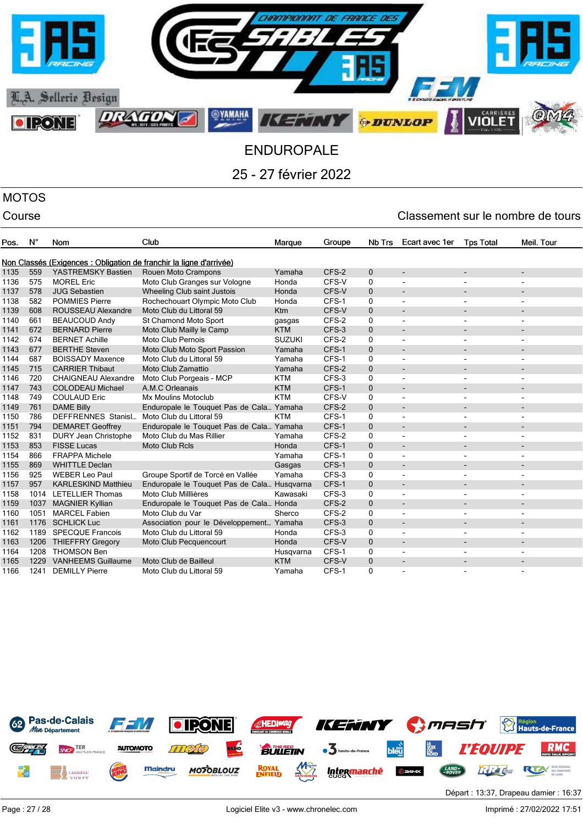

## MOTOS

| Pos. | $N^{\circ}$ | Nom                         | Club                                                                | Marque        | Groupe | Nb Trs       | Ecart avec 1er           | <b>Tps Total</b>         | Meil. Tour               |
|------|-------------|-----------------------------|---------------------------------------------------------------------|---------------|--------|--------------|--------------------------|--------------------------|--------------------------|
|      |             |                             |                                                                     |               |        |              |                          |                          |                          |
|      |             |                             | Non Classés (Exigences : Obligation de franchir la ligne d'arrivée) |               |        |              |                          |                          |                          |
| 1135 | 559         | YASTREMSKY Bastien          | Rouen Moto Crampons                                                 | Yamaha        | CFS-2  | $\mathbf 0$  | $\overline{\phantom{0}}$ |                          |                          |
| 1136 | 575         | <b>MOREL Eric</b>           | Moto Club Granges sur Vologne                                       | Honda         | CFS-V  | 0            |                          |                          |                          |
| 1137 | 578         | <b>JUG Sebastien</b>        | Wheeling Club saint Justois                                         | Honda         | CFS-V  | $\mathbf 0$  |                          |                          |                          |
| 1138 | 582         | <b>POMMIES Pierre</b>       | Rochechouart Olympic Moto Club                                      | Honda         | CFS-1  | 0            | ۰                        |                          |                          |
| 1139 | 608         | <b>ROUSSEAU Alexandre</b>   | Moto Club du Littoral 59                                            | Ktm           | CFS-V  | $\mathbf{0}$ |                          |                          |                          |
| 1140 | 661         | <b>BEAUCOUD Andy</b>        | St Chamond Moto Sport                                               | gasgas        | CFS-2  | 0            |                          |                          |                          |
| 1141 | 672         | <b>BERNARD Pierre</b>       | Moto Club Mailly le Camp                                            | <b>KTM</b>    | CFS-3  | $\mathbf 0$  |                          |                          |                          |
| 1142 | 674         | <b>BERNET Achille</b>       | Moto Club Pernois                                                   | <b>SUZUKI</b> | CFS-2  | 0            |                          |                          |                          |
| 1143 | 677         | <b>BERTHE Steven</b>        | Moto Club Moto Sport Passion                                        | Yamaha        | CFS-1  | $\mathbf{0}$ |                          |                          |                          |
| 1144 | 687         | <b>BOISSADY Maxence</b>     | Moto Club du Littoral 59                                            | Yamaha        | CFS-1  | 0            | $\blacksquare$           | $\overline{\phantom{a}}$ | $\overline{\phantom{a}}$ |
| 1145 | 715         | <b>CARRIER Thibaut</b>      | Moto Club Zamattio                                                  | Yamaha        | CFS-2  | $\mathbf 0$  | $\overline{\phantom{a}}$ |                          |                          |
| 1146 | 720         | <b>CHAIGNEAU Alexandre</b>  | Moto Club Porgeais - MCP                                            | <b>KTM</b>    | CFS-3  | 0            |                          |                          |                          |
| 1147 | 743         | <b>COLODEAU Michael</b>     | A.M.C Orleanais                                                     | <b>KTM</b>    | CFS-1  | $\mathbf{0}$ |                          |                          |                          |
| 1148 | 749         | <b>COULAUD Eric</b>         | <b>Mx Moulins Motoclub</b>                                          | <b>KTM</b>    | CFS-V  | 0            |                          |                          |                          |
| 1149 | 761         | <b>DAME Billy</b>           | Enduropale le Touquet Pas de Cala Yamaha                            |               | CFS-2  | $\mathbf 0$  |                          |                          |                          |
| 1150 | 786         | <b>DEFFRENNES Stanisl</b>   | Moto Club du Littoral 59                                            | <b>KTM</b>    | CFS-1  | 0            |                          |                          |                          |
| 1151 | 794         | <b>DEMARET Geoffrey</b>     | Enduropale le Touquet Pas de Cala Yamaha                            |               | CFS-1  | $\mathbf{0}$ | $\blacksquare$           |                          |                          |
| 1152 | 831         | <b>DURY Jean Christophe</b> | Moto Club du Mas Rillier                                            | Yamaha        | CFS-2  | 0            | $\blacksquare$           |                          |                          |
| 1153 | 853         | <b>FISSE Lucas</b>          | <b>Moto Club Rcls</b>                                               | Honda         | CFS-1  | $\mathbf{0}$ | $\blacksquare$           |                          |                          |
| 1154 | 866         | <b>FRAPPA Michele</b>       |                                                                     | Yamaha        | CFS-1  | 0            | $\blacksquare$           |                          |                          |
| 1155 | 869         | <b>WHITTLE Declan</b>       |                                                                     | Gasgas        | CFS-1  | $\mathbf{0}$ |                          |                          |                          |
| 1156 | 925         | <b>WEBER Leo Paul</b>       | Groupe Sportif de Torcé en Vallée                                   | Yamaha        | CFS-3  | 0            |                          |                          |                          |
| 1157 | 957         | <b>KARLESKIND Matthieu</b>  | Enduropale le Touquet Pas de Cala Husqvarna                         |               | CFS-1  | $\mathbf 0$  |                          |                          |                          |
| 1158 | 1014        | LETELLIER Thomas            | Moto Club Milllières                                                | Kawasaki      | CFS-3  | 0            |                          |                          |                          |
| 1159 | 1037        | <b>MAGNIER Kyllian</b>      | Enduropale le Touquet Pas de Cala Honda                             |               | CFS-2  | $\mathbf{0}$ |                          |                          |                          |
| 1160 | 1051        | <b>MARCEL Fabien</b>        | Moto Club du Var                                                    | Sherco        | CFS-2  | 0            |                          |                          |                          |
| 1161 | 1176        | <b>SCHLICK Luc</b>          | Association pour le Développement Yamaha                            |               | CFS-3  | $\mathbf{0}$ |                          |                          |                          |
| 1162 | 1189        | <b>SPECQUE Francois</b>     | Moto Club du Littoral 59                                            | Honda         | CFS-3  | 0            |                          |                          |                          |
| 1163 | 1206        | <b>THIEFFRY Gregory</b>     | Moto Club Pecquencourt                                              | Honda         | CFS-V  | $\mathbf{0}$ |                          |                          |                          |
| 1164 | 1208        | <b>THOMSON Ben</b>          |                                                                     | Husqvarna     | CFS-1  | 0            | $\blacksquare$           | $\overline{\phantom{a}}$ | $\overline{\phantom{a}}$ |
| 1165 | 1229        | <b>VANHEEMS Guillaume</b>   | Moto Club de Bailleul                                               | <b>KTM</b>    | CFS-V  | $\mathbf{0}$ | $\overline{\phantom{a}}$ |                          |                          |
| 1166 | 1241        | <b>DEMILLY Pierre</b>       | Moto Club du Littoral 59                                            | Yamaha        | CFS-1  | 0            |                          |                          |                          |
|      |             |                             |                                                                     |               |        |              |                          |                          |                          |